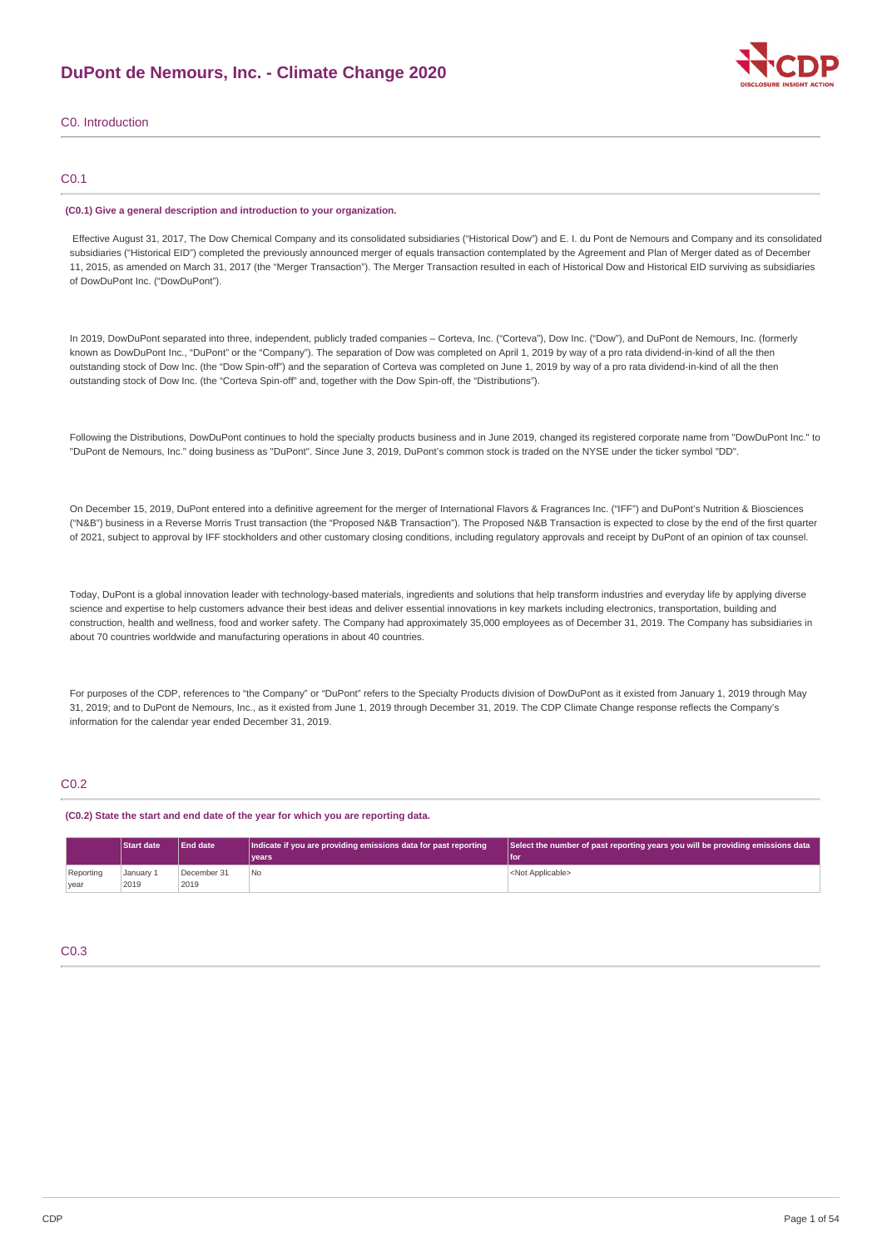

# C0. Introduction

# C0.1

#### **(C0.1) Give a general description and introduction to your organization.**

Effective August 31, 2017, The Dow Chemical Company and its consolidated subsidiaries ("Historical Dow") and E. I. du Pont de Nemours and Company and its consolidated subsidiaries ("Historical EID") completed the previously announced merger of equals transaction contemplated by the Agreement and Plan of Merger dated as of December 11, 2015, as amended on March 31, 2017 (the "Merger Transaction"). The Merger Transaction resulted in each of Historical Dow and Historical EID surviving as subsidiaries of DowDuPont Inc. ("DowDuPont").

In 2019, DowDuPont separated into three, independent, publicly traded companies – Corteva, Inc. ("Corteva"), Dow Inc. ("Dow"), and DuPont de Nemours, Inc. (formerly known as DowDuPont Inc., "DuPont" or the "Company"). The separation of Dow was completed on April 1, 2019 by way of a pro rata dividend-in-kind of all the then outstanding stock of Dow Inc. (the "Dow Spin-off") and the separation of Corteva was completed on June 1, 2019 by way of a pro rata dividend-in-kind of all the then outstanding stock of Dow Inc. (the "Corteva Spin-off" and, together with the Dow Spin-off, the "Distributions").

Following the Distributions, DowDuPont continues to hold the specialty products business and in June 2019, changed its registered corporate name from "DowDuPont Inc." to "DuPont de Nemours, Inc." doing business as "DuPont". Since June 3, 2019, DuPont's common stock is traded on the NYSE under the ticker symbol "DD".

On December 15, 2019, DuPont entered into a definitive agreement for the merger of International Flavors & Fragrances Inc. ("IFF") and DuPont's Nutrition & Biosciences ("N&B") business in a Reverse Morris Trust transaction (the "Proposed N&B Transaction"). The Proposed N&B Transaction is expected to close by the end of the first quarter of 2021, subject to approval by IFF stockholders and other customary closing conditions, including regulatory approvals and receipt by DuPont of an opinion of tax counsel.

Today, DuPont is a global innovation leader with technology-based materials, ingredients and solutions that help transform industries and everyday life by applying diverse science and expertise to help customers advance their best ideas and deliver essential innovations in key markets including electronics, transportation, building and construction, health and wellness, food and worker safety. The Company had approximately 35,000 employees as of December 31, 2019. The Company has subsidiaries in about 70 countries worldwide and manufacturing operations in about 40 countries.

For purposes of the CDP, references to "the Company" or "DuPont" refers to the Specialty Products division of DowDuPont as it existed from January 1, 2019 through May 31, 2019; and to DuPont de Nemours, Inc., as it existed from June 1, 2019 through December 31, 2019. The CDP Climate Change response reflects the Company's information for the calendar year ended December 31, 2019.

# C<sub>0.2</sub>

#### **(C0.2) State the start and end date of the year for which you are reporting data.**

|                   | <b>Start date</b> | <b>End date</b>     | Indicate if you are providing emissions data for past reporting<br>vears <sup>®</sup> | Select the number of past reporting years you will be providing emissions data<br>'l foi |
|-------------------|-------------------|---------------------|---------------------------------------------------------------------------------------|------------------------------------------------------------------------------------------|
| Reporting<br>year | January 1<br>2019 | December 31<br>2019 | 'No                                                                                   | <not applicable=""></not>                                                                |

# C0.3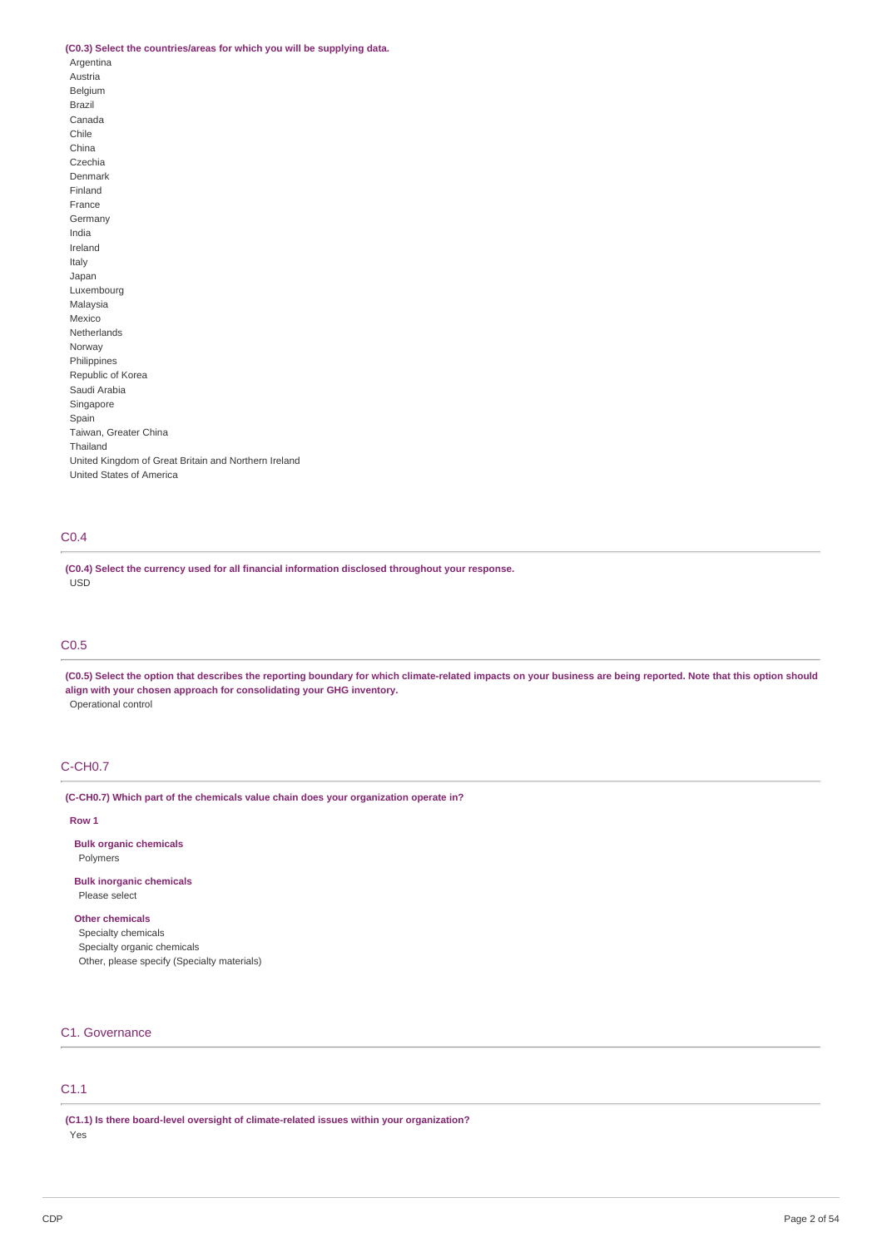## **(C0.3) Select the countries/areas for which you will be supplying data.**

Argentina Austria Belgium Brazil Canada Chile China Czechia Denmark Finland France Germany India Ireland Italy Japan Luxembourg Malaysia Mexico Netherlands Norway Philippines Republic of Korea Saudi Arabia Singapore Spain Taiwan, Greater China Thailand United Kingdom of Great Britain and Northern Ireland United States of America

# C0.4

**(C0.4) Select the currency used for all financial information disclosed throughout your response.** USD

# C0.5

(C0.5) Select the option that describes the reporting boundary for which climate-related impacts on your business are being reported. Note that this option should **align with your chosen approach for consolidating your GHG inventory.** Operational control

# C-CH0.7

**(C-CH0.7) Which part of the chemicals value chain does your organization operate in?**

## **Row 1**

**Bulk organic chemicals** Polymers

## **Bulk inorganic chemicals** Please select

**Other chemicals**

Specialty chemicals Specialty organic chemicals Other, please specify (Specialty materials)

# C1. Governance

# C1.1

**(C1.1) Is there board-level oversight of climate-related issues within your organization?**

Yes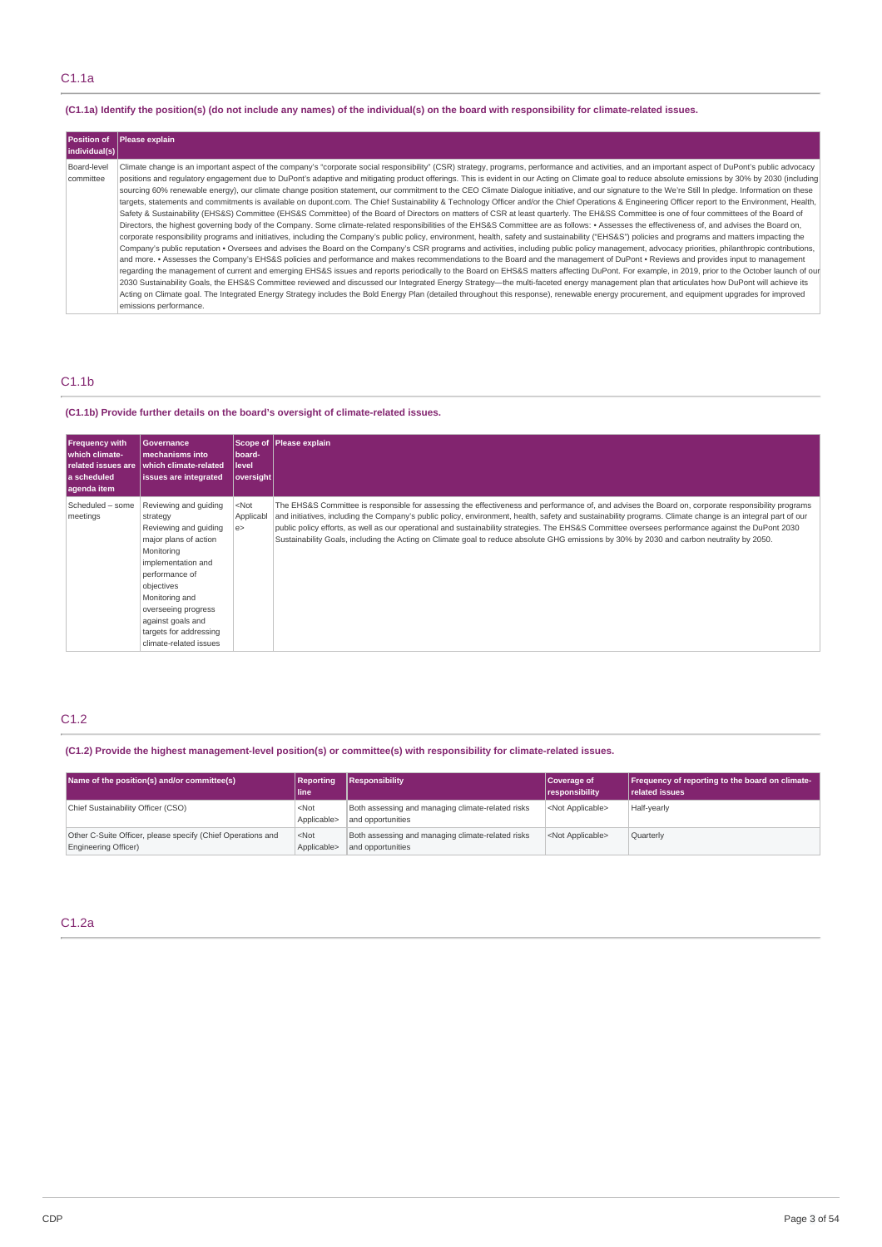# (C1.1a) Identify the position(s) (do not include any names) of the individual(s) on the board with responsibility for climate-related issues.

| <b>Position of</b><br>individual(s) | Please explain                                                                                                                                                                                                                                                                                                                                                                                                                                                                                                                                                                                                                                                                                                                                                                                                                                                                                                                                                                                                                                                                                                                                                                                                                                                                                                                                                                                                                                                                                                                                                                                                                                                                                                                                                                                                                                                                                                                                                                                                                                                                                                                                                                                                                                                                                                                                                                                                                              |
|-------------------------------------|---------------------------------------------------------------------------------------------------------------------------------------------------------------------------------------------------------------------------------------------------------------------------------------------------------------------------------------------------------------------------------------------------------------------------------------------------------------------------------------------------------------------------------------------------------------------------------------------------------------------------------------------------------------------------------------------------------------------------------------------------------------------------------------------------------------------------------------------------------------------------------------------------------------------------------------------------------------------------------------------------------------------------------------------------------------------------------------------------------------------------------------------------------------------------------------------------------------------------------------------------------------------------------------------------------------------------------------------------------------------------------------------------------------------------------------------------------------------------------------------------------------------------------------------------------------------------------------------------------------------------------------------------------------------------------------------------------------------------------------------------------------------------------------------------------------------------------------------------------------------------------------------------------------------------------------------------------------------------------------------------------------------------------------------------------------------------------------------------------------------------------------------------------------------------------------------------------------------------------------------------------------------------------------------------------------------------------------------------------------------------------------------------------------------------------------------|
| Board-level<br>committee            | Climate change is an important aspect of the company's "corporate social responsibility" (CSR) strategy, programs, performance and activities, and an important aspect of DuPont's public advocacy<br>positions and regulatory engagement due to DuPont's adaptive and mitigating product offerings. This is evident in our Acting on Climate goal to reduce absolute emissions by 30% by 2030 (including<br>sourcing 60% renewable energy), our climate change position statement, our commitment to the CEO Climate Dialoque initiative, and our signature to the We're Still In pledge. Information on these<br>targets, statements and commitments is available on dupont.com. The Chief Sustainability & Technology Officer and/or the Chief Operations & Engineering Officer report to the Environment, Health,<br>Safety & Sustainability (EHS&S) Committee (EHS&S Committee) of the Board of Directors on matters of CSR at least quarterly. The EH&SS Committee is one of four committees of the Board of<br>Directors, the highest governing body of the Company. Some climate-related responsibilities of the EHS&S Committee are as follows: • Assesses the effectiveness of, and advises the Board on,<br>corporate responsibility programs and initiatives, including the Company's public policy, environment, health, safety and sustainability ("EHS&S") policies and programs and matters impacting the<br>Company's public reputation • Oversees and advises the Board on the Company's CSR programs and activities, including public policy management, advocacy priorities, philanthropic contributions,<br>and more. • Assesses the Company's EHS&S policies and performance and makes recommendations to the Board and the management of DuPont • Reviews and provides input to management<br>regarding the management of current and emerging EHS&S issues and reports periodically to the Board on EHS&S matters affecting DuPont. For example, in 2019, prior to the October launch of our<br>2030 Sustainability Goals, the EHS&S Committee reviewed and discussed our Integrated Energy Strategy—the multi-faceted energy management plan that articulates how DuPont will achieve its<br>Acting on Climate goal. The Integrated Energy Strategy includes the Bold Energy Plan (detailed throughout this response), renewable energy procurement, and equipment upgrades for improved<br>emissions performance. |

# C1.1b

# **(C1.1b) Provide further details on the board's oversight of climate-related issues.**

| <b>Frequency with</b><br>which climate-<br>l a scheduled<br>aqenda item | Governance<br>mechanisms into<br>related issues are which climate-related<br>issues are integrated                                                                                                                                                                        | board-<br><b>level</b><br> oversight | Scope of Please explain                                                                                                                                                                                                                                                                                                                                                                                                                                                                                                                                                                                            |
|-------------------------------------------------------------------------|---------------------------------------------------------------------------------------------------------------------------------------------------------------------------------------------------------------------------------------------------------------------------|--------------------------------------|--------------------------------------------------------------------------------------------------------------------------------------------------------------------------------------------------------------------------------------------------------------------------------------------------------------------------------------------------------------------------------------------------------------------------------------------------------------------------------------------------------------------------------------------------------------------------------------------------------------------|
| Scheduled - some<br>meetings                                            | Reviewing and quiding<br>strategy<br>Reviewing and quiding<br>major plans of action<br>Monitoring<br>implementation and<br>performance of<br>objectives<br>Monitoring and<br>overseeing progress<br>against goals and<br>targets for addressing<br>climate-related issues | $<$ Not<br>Applicabl<br>e            | The EHS&S Committee is responsible for assessing the effectiveness and performance of, and advises the Board on, corporate responsibility programs<br>and initiatives, including the Company's public policy, environment, health, safety and sustainability programs. Climate change is an integral part of our<br>public policy efforts, as well as our operational and sustainability strategies. The EHS&S Committee oversees performance against the DuPont 2030<br>Sustainability Goals, including the Acting on Climate goal to reduce absolute GHG emissions by 30% by 2030 and carbon neutrality by 2050. |

# C1.2

# **(C1.2) Provide the highest management-level position(s) or committee(s) with responsibility for climate-related issues.**

| Name of the position(s) and/or committee(s)                                         | Reporting<br>l line    | Responsibility                                                         | Coverage of<br>responsibility | <b>Frequency of reporting to the board on climate-</b><br><b>related issues</b> |
|-------------------------------------------------------------------------------------|------------------------|------------------------------------------------------------------------|-------------------------------|---------------------------------------------------------------------------------|
| Chief Sustainability Officer (CSO)                                                  | $<$ Not<br>Applicable> | Both assessing and managing climate-related risks<br>and opportunities | <not applicable=""></not>     | Half-yearly                                                                     |
| Other C-Suite Officer, please specify (Chief Operations and<br>Engineering Officer) | $<$ Not<br>Applicable> | Both assessing and managing climate-related risks<br>and opportunities | <not applicable=""></not>     | Quarterly                                                                       |

# C1.2a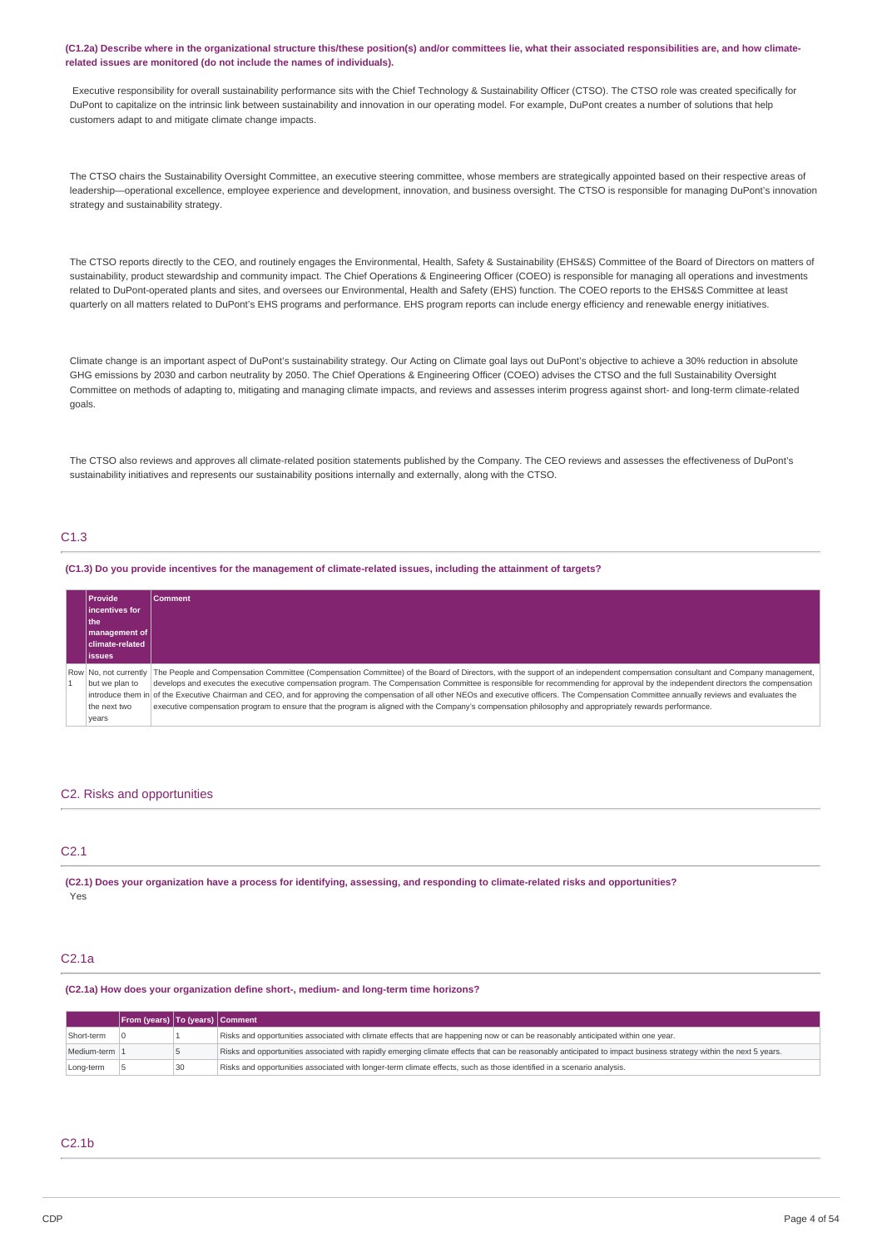#### (C1.2a) Describe where in the organizational structure this/these position(s) and/or committees lie, what their associated responsibilities are, and how climate**related issues are monitored (do not include the names of individuals).**

Executive responsibility for overall sustainability performance sits with the Chief Technology & Sustainability Officer (CTSO). The CTSO role was created specifically for DuPont to capitalize on the intrinsic link between sustainability and innovation in our operating model. For example, DuPont creates a number of solutions that help customers adapt to and mitigate climate change impacts.

The CTSO chairs the Sustainability Oversight Committee, an executive steering committee, whose members are strategically appointed based on their respective areas of leadership—operational excellence, employee experience and development, innovation, and business oversight. The CTSO is responsible for managing DuPont's innovation strategy and sustainability strategy.

The CTSO reports directly to the CEO, and routinely engages the Environmental, Health, Safety & Sustainability (EHS&S) Committee of the Board of Directors on matters of sustainability, product stewardship and community impact. The Chief Operations & Engineering Officer (COEO) is responsible for managing all operations and investments related to DuPont-operated plants and sites, and oversees our Environmental, Health and Safety (EHS) function. The COEO reports to the EHS&S Committee at least quarterly on all matters related to DuPont's EHS programs and performance. EHS program reports can include energy efficiency and renewable energy initiatives.

Climate change is an important aspect of DuPont's sustainability strategy. Our Acting on Climate goal lays out DuPont's objective to achieve a 30% reduction in absolute GHG emissions by 2030 and carbon neutrality by 2050. The Chief Operations & Engineering Officer (COEO) advises the CTSO and the full Sustainability Oversight Committee on methods of adapting to, mitigating and managing climate impacts, and reviews and assesses interim progress against short- and long-term climate-related goals.

The CTSO also reviews and approves all climate-related position statements published by the Company. The CEO reviews and assesses the effectiveness of DuPont's sustainability initiatives and represents our sustainability positions internally and externally, along with the CTSO.

# C1.3

#### (C1.3) Do you provide incentives for the management of climate-related issues, including the attainment of targets?

| <b>Provide</b>        | <b>Comment</b>                                                                                                                                                                                  |
|-----------------------|-------------------------------------------------------------------------------------------------------------------------------------------------------------------------------------------------|
| lincentives for       |                                                                                                                                                                                                 |
| l the                 |                                                                                                                                                                                                 |
| management of         |                                                                                                                                                                                                 |
| climate-related       |                                                                                                                                                                                                 |
| <b>lissues</b>        |                                                                                                                                                                                                 |
| Row No. not currently | The People and Compensation Committee (Compensation Committee) of the Board of Directors, with the support of an independent compensation consultant and Company management,                    |
| but we plan to        | develops and executes the executive compensation program. The Compensation Committee is responsible for recommending for approval by the independent directors the compensation                 |
|                       | introduce them in of the Executive Chairman and CEO, and for approving the compensation of all other NEOs and executive officers. The Compensation Committee annually reviews and evaluates the |
| the next two          | executive compensation program to ensure that the program is aligned with the Company's compensation philosophy and appropriately rewards performance.                                          |
| years                 |                                                                                                                                                                                                 |

#### C2. Risks and opportunities

# C2.1

(C2.1) Does your organization have a process for identifying, assessing, and responding to climate-related risks and opportunities? Yes

## C2.1a

#### **(C2.1a) How does your organization define short-, medium- and long-term time horizons?**

|                 | From (years)   To (years)   Comment |    |                                                                                                                                                                  |
|-----------------|-------------------------------------|----|------------------------------------------------------------------------------------------------------------------------------------------------------------------|
| Short-term      |                                     |    | Risks and opportunities associated with climate effects that are happening now or can be reasonably anticipated within one year.                                 |
| Medium-term   1 |                                     |    | Risks and opportunities associated with rapidly emerging climate effects that can be reasonably anticipated to impact business strategy within the next 5 years. |
| Long-term       |                                     | 30 | Risks and opportunities associated with longer-term climate effects, such as those identified in a scenario analysis.                                            |

## C2.1b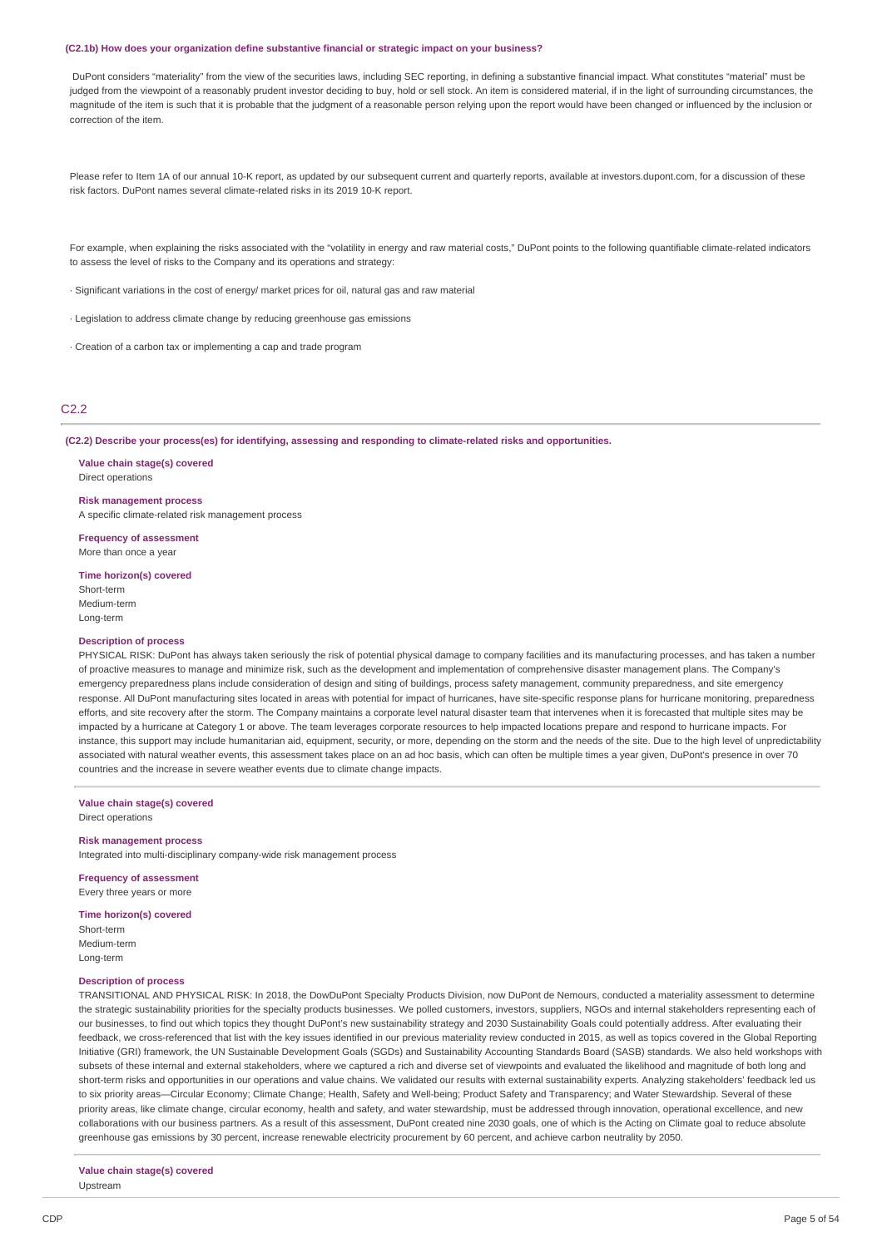#### **(C2.1b) How does your organization define substantive financial or strategic impact on your business?**

DuPont considers "materiality" from the view of the securities laws, including SEC reporting, in defining a substantive financial impact. What constitutes "material" must be judged from the viewpoint of a reasonably prudent investor deciding to buy, hold or sell stock. An item is considered material, if in the light of surrounding circumstances, the magnitude of the item is such that it is probable that the judgment of a reasonable person relying upon the report would have been changed or influenced by the inclusion or correction of the item.

Please refer to Item 1A of our annual 10-K report, as updated by our subsequent current and quarterly reports, available at investors, dupont.com, for a discussion of these risk factors. DuPont names several climate-related risks in its 2019 10-K report.

For example, when explaining the risks associated with the "volatility in energy and raw material costs," DuPont points to the following quantifiable climate-related indicators to assess the level of risks to the Company and its operations and strategy:

· Significant variations in the cost of energy/ market prices for oil, natural gas and raw material

· Legislation to address climate change by reducing greenhouse gas emissions

· Creation of a carbon tax or implementing a cap and trade program

#### C2.2

**(C2.2) Describe your process(es) for identifying, assessing and responding to climate-related risks and opportunities.**

**Value chain stage(s) covered** Direct operations

#### **Risk management process**

A specific climate-related risk management process

**Frequency of assessment** More than once a year

**Time horizon(s) covered**

Short-term Medium-term Long-term

#### **Description of process**

PHYSICAL RISK: DuPont has always taken seriously the risk of potential physical damage to company facilities and its manufacturing processes, and has taken a number of proactive measures to manage and minimize risk, such as the development and implementation of comprehensive disaster management plans. The Company's emergency preparedness plans include consideration of design and siting of buildings, process safety management, community preparedness, and site emergency response. All DuPont manufacturing sites located in areas with potential for impact of hurricanes, have site-specific response plans for hurricane monitoring, preparedness efforts, and site recovery after the storm. The Company maintains a corporate level natural disaster team that intervenes when it is forecasted that multiple sites may be impacted by a hurricane at Category 1 or above. The team leverages corporate resources to help impacted locations prepare and respond to hurricane impacts. For instance, this support may include humanitarian aid, equipment, security, or more, depending on the storm and the needs of the site. Due to the high level of unpredictability associated with natural weather events, this assessment takes place on an ad hoc basis, which can often be multiple times a year given, DuPont's presence in over 70 countries and the increase in severe weather events due to climate change impacts.

**Value chain stage(s) covered** Direct operations

#### **Risk management process**

Integrated into multi-disciplinary company-wide risk management process

**Frequency of assessment** Every three years or more

#### **Time horizon(s) covered**

Short-term

Medium-term Long-term

## **Description of process**

TRANSITIONAL AND PHYSICAL RISK: In 2018, the DowDuPont Specialty Products Division, now DuPont de Nemours, conducted a materiality assessment to determine the strategic sustainability priorities for the specialty products businesses. We polled customers, investors, suppliers, NGOs and internal stakeholders representing each of our businesses, to find out which topics they thought DuPont's new sustainability strategy and 2030 Sustainability Goals could potentially address. After evaluating their feedback, we cross-referenced that list with the key issues identified in our previous materiality review conducted in 2015, as well as topics covered in the Global Reporting Initiative (GRI) framework, the UN Sustainable Development Goals (SGDs) and Sustainability Accounting Standards Board (SASB) standards. We also held workshops with subsets of these internal and external stakeholders, where we captured a rich and diverse set of viewpoints and evaluated the likelihood and magnitude of both long and short-term risks and opportunities in our operations and value chains. We validated our results with external sustainability experts. Analyzing stakeholders' feedback led us to six priority areas—Circular Economy; Climate Change; Health, Safety and Well-being; Product Safety and Transparency; and Water Stewardship. Several of these priority areas, like climate change, circular economy, health and safety, and water stewardship, must be addressed through innovation, operational excellence, and new collaborations with our business partners. As a result of this assessment, DuPont created nine 2030 goals, one of which is the Acting on Climate goal to reduce absolute greenhouse gas emissions by 30 percent, increase renewable electricity procurement by 60 percent, and achieve carbon neutrality by 2050.

**Value chain stage(s) covered** Upstream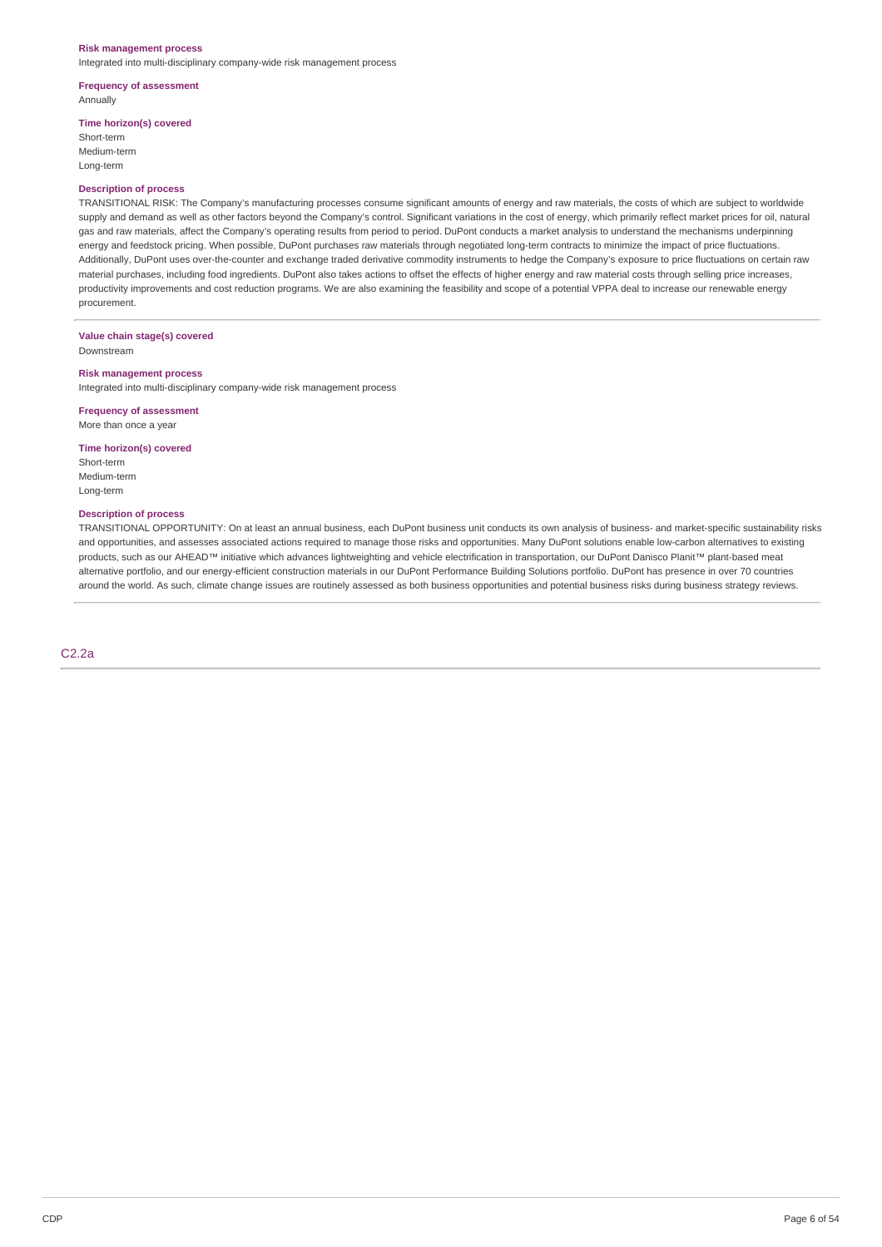#### **Risk management process**

Integrated into multi-disciplinary company-wide risk management process

#### **Frequency of assessment** Annually

**Time horizon(s) covered**

Short-term Medium-term Long-term

## **Description of process**

TRANSITIONAL RISK: The Company's manufacturing processes consume significant amounts of energy and raw materials, the costs of which are subject to worldwide supply and demand as well as other factors beyond the Company's control. Significant variations in the cost of energy, which primarily reflect market prices for oil, natural gas and raw materials, affect the Company's operating results from period to period. DuPont conducts a market analysis to understand the mechanisms underpinning energy and feedstock pricing. When possible, DuPont purchases raw materials through negotiated long-term contracts to minimize the impact of price fluctuations. Additionally, DuPont uses over-the-counter and exchange traded derivative commodity instruments to hedge the Company's exposure to price fluctuations on certain raw material purchases, including food ingredients. DuPont also takes actions to offset the effects of higher energy and raw material costs through selling price increases, productivity improvements and cost reduction programs. We are also examining the feasibility and scope of a potential VPPA deal to increase our renewable energy procurement.

# **Value chain stage(s) covered**

Downstream

## **Risk management process**

Integrated into multi-disciplinary company-wide risk management process

**Frequency of assessment** More than once a year

## **Time horizon(s) covered**

Short-term Medium-term Long-term

# **Description of process**

TRANSITIONAL OPPORTUNITY: On at least an annual business, each DuPont business unit conducts its own analysis of business- and market-specific sustainability risks and opportunities, and assesses associated actions required to manage those risks and opportunities. Many DuPont solutions enable low-carbon alternatives to existing products, such as our AHEAD™ initiative which advances lightweighting and vehicle electrification in transportation, our DuPont Danisco Planit™ plant-based meat alternative portfolio, and our energy-efficient construction materials in our DuPont Performance Building Solutions portfolio. DuPont has presence in over 70 countries around the world. As such, climate change issues are routinely assessed as both business opportunities and potential business risks during business strategy reviews.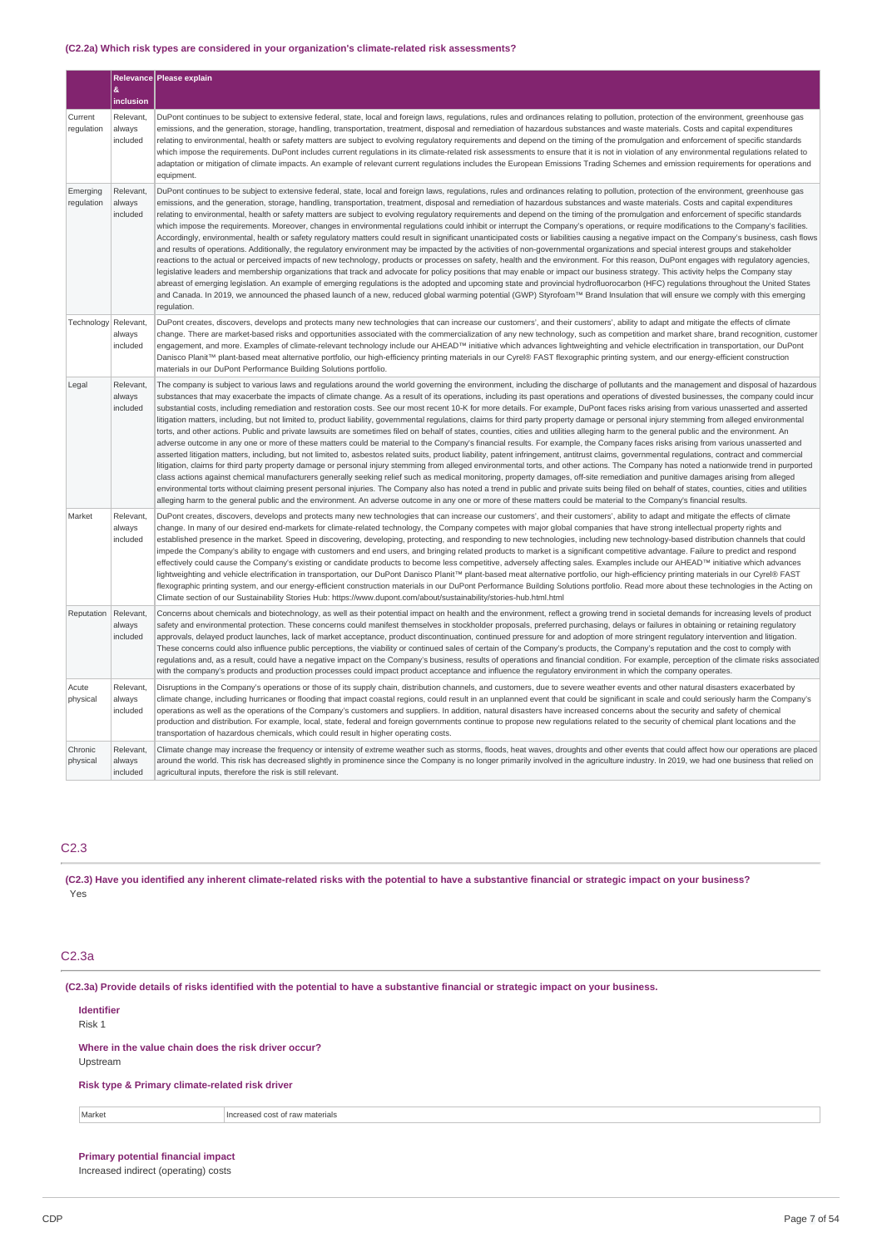## **(C2.2a) Which risk types are considered in your organization's climate-related risk assessments?**

|                        |                                 | Relevance Please explain                                                                                                                                                                                                                                                                                                                                                                                                                                                                                                                                                                                                                                                                                                                                                                                                                                                                                                                                                                                                                                                                                                                                                                                                                                                                                                                                                                                                                                                                                                                                                                                                                                                                                                                                                                                                                                                                                                                                                                                                                                                                                                           |
|------------------------|---------------------------------|------------------------------------------------------------------------------------------------------------------------------------------------------------------------------------------------------------------------------------------------------------------------------------------------------------------------------------------------------------------------------------------------------------------------------------------------------------------------------------------------------------------------------------------------------------------------------------------------------------------------------------------------------------------------------------------------------------------------------------------------------------------------------------------------------------------------------------------------------------------------------------------------------------------------------------------------------------------------------------------------------------------------------------------------------------------------------------------------------------------------------------------------------------------------------------------------------------------------------------------------------------------------------------------------------------------------------------------------------------------------------------------------------------------------------------------------------------------------------------------------------------------------------------------------------------------------------------------------------------------------------------------------------------------------------------------------------------------------------------------------------------------------------------------------------------------------------------------------------------------------------------------------------------------------------------------------------------------------------------------------------------------------------------------------------------------------------------------------------------------------------------|
|                        | &<br>inclusion                  |                                                                                                                                                                                                                                                                                                                                                                                                                                                                                                                                                                                                                                                                                                                                                                                                                                                                                                                                                                                                                                                                                                                                                                                                                                                                                                                                                                                                                                                                                                                                                                                                                                                                                                                                                                                                                                                                                                                                                                                                                                                                                                                                    |
| Current<br>regulation  | Relevant,<br>always<br>included | DuPont continues to be subject to extensive federal, state, local and foreign laws, regulations, rules and ordinances relating to pollution, protection of the environment, greenhouse gas<br>emissions, and the generation, storage, handling, transportation, treatment, disposal and remediation of hazardous substances and waste materials. Costs and capital expenditures<br>relating to environmental, health or safety matters are subject to evolving regulatory requirements and depend on the timing of the promulgation and enforcement of specific standards<br>which impose the requirements. DuPont includes current regulations in its climate-related risk assessments to ensure that it is not in violation of any environmental regulations related to<br>adaptation or mitigation of climate impacts. An example of relevant current regulations includes the European Emissions Trading Schemes and emission requirements for operations and<br>equipment.                                                                                                                                                                                                                                                                                                                                                                                                                                                                                                                                                                                                                                                                                                                                                                                                                                                                                                                                                                                                                                                                                                                                                    |
| Emerging<br>regulation | Relevant,<br>always<br>included | DuPont continues to be subject to extensive federal, state, local and foreign laws, regulations, rules and ordinances relating to pollution, protection of the environment, greenhouse gas<br>emissions, and the generation, storage, handling, transportation, treatment, disposal and remediation of hazardous substances and waste materials. Costs and capital expenditures<br>relating to environmental, health or safety matters are subject to evolving regulatory requirements and depend on the timing of the promulgation and enforcement of specific standards<br>which impose the requirements. Moreover, changes in environmental requlations could inhibit or interrupt the Company's operations, or require modifications to the Company's facilities.<br>Accordingly, environmental, health or safety regulatory matters could result in significant unanticipated costs or liabilities causing a negative impact on the Company's business, cash flows<br>and results of operations. Additionally, the regulatory environment may be impacted by the activities of non-governmental organizations and special interest groups and stakeholder<br>reactions to the actual or perceived impacts of new technology, products or processes on safety, health and the environment. For this reason, DuPont engages with regulatory agencies,<br>legislative leaders and membership organizations that track and advocate for policy positions that may enable or impact our business strategy. This activity helps the Company stay<br>abreast of emerging legislation. An example of emerging regulations is the adopted and upcoming state and provincial hydrofluorocarbon (HFC) regulations throughout the United States<br>and Canada. In 2019, we announced the phased launch of a new, reduced global warming potential (GWP) Styrofoam™ Brand Insulation that will ensure we comply with this emerging<br>regulation.                                                                                                                                                                                          |
| Technology             | Relevant,<br>always<br>included | DuPont creates, discovers, develops and protects many new technologies that can increase our customers', and their customers', ability to adapt and mitigate the effects of climate<br>change. There are market-based risks and opportunities associated with the commercialization of any new technology, such as competition and market share, brand recognition, customer<br>engagement, and more. Examples of climate-relevant technology include our AHEAD™ initiative which advances lightweighting and vehicle electrification in transportation, our DuPont<br>Danisco Planit™ plant-based meat alternative portfolio, our high-efficiency printing materials in our Cyrel® FAST flexographic printing system, and our energy-efficient construction<br>materials in our DuPont Performance Building Solutions portfolio.                                                                                                                                                                                                                                                                                                                                                                                                                                                                                                                                                                                                                                                                                                                                                                                                                                                                                                                                                                                                                                                                                                                                                                                                                                                                                                  |
| Legal                  | Relevant,<br>always<br>included | The company is subject to various laws and regulations around the world governing the environment, including the discharge of pollutants and the management and disposal of hazardous<br>substances that may exacerbate the impacts of climate change. As a result of its operations, including its past operations and operations of divested businesses, the company could incur<br>substantial costs, including remediation and restoration costs. See our most recent 10-K for more details. For example, DuPont faces risks arising from various unasserted and asserted<br>litigation matters, including, but not limited to, product liability, governmental regulations, claims for third party property damage or personal injury stemming from alleged environmental<br>torts, and other actions. Public and private lawsuits are sometimes filed on behalf of states, counties, cities and utilities alleging harm to the general public and the environment. An<br>adverse outcome in any one or more of these matters could be material to the Company's financial results. For example, the Company faces risks arising from various unasserted and<br>asserted litigation matters, including, but not limited to, asbestos related suits, product liability, patent infringement, antitrust claims, governmental regulations, contract and commercial<br>litigation, claims for third party property damage or personal injury stemming from alleged environmental torts, and other actions. The Company has noted a nationwide trend in purported<br>class actions against chemical manufacturers generally seeking relief such as medical monitoring, property damages, off-site remediation and punitive damages arising from alleged<br>environmental torts without claiming present personal injuries. The Company also has noted a trend in public and private suits being filed on behalf of states, counties, cities and utilities<br>alleging harm to the general public and the environment. An adverse outcome in any one or more of these matters could be material to the Company's financial results. |
| Market                 | Relevant,<br>always<br>included | DuPont creates, discovers, develops and protects many new technologies that can increase our customers', and their customers', ability to adapt and mitigate the effects of climate<br>change. In many of our desired end-markets for climate-related technology, the Company competes with major global companies that have strong intellectual property rights and<br>established presence in the market. Speed in discovering, developing, protecting, and responding to new technologies, including new technology-based distribution channels that could<br>impede the Company's ability to engage with customers and end users, and bringing related products to market is a significant competitive advantage. Failure to predict and respond<br>effectively could cause the Company's existing or candidate products to become less competitive, adversely affecting sales. Examples include our AHEAD™ initiative which advances<br>lightweighting and vehicle electrification in transportation, our DuPont Danisco Planit™ plant-based meat alternative portfolio, our high-efficiency printing materials in our Cyrel® FAST<br>flexographic printing system, and our energy-efficient construction materials in our DuPont Performance Building Solutions portfolio. Read more about these technologies in the Acting on<br>Climate section of our Sustainability Stories Hub: https://www.dupont.com/about/sustainability/stories-hub.html.html                                                                                                                                                                                                                                                                                                                                                                                                                                                                                                                                                                                                                                                                       |
| Reputation             | Relevant<br>always<br>included  | Concerns about chemicals and biotechnology, as well as their potential impact on health and the environment, reflect a growing trend in societal demands for increasing levels of product<br>safety and environmental protection. These concerns could manifest themselves in stockholder proposals, preferred purchasing, delays or failures in obtaining or retaining regulatory<br>approvals, delayed product launches, lack of market acceptance, product discontinuation, continued pressure for and adoption of more stringent regulatory intervention and litigation.<br>These concerns could also influence public perceptions, the viability or continued sales of certain of the Company's products, the Company's reputation and the cost to comply with<br>requlations and, as a result, could have a negative impact on the Company's business, results of operations and financial condition. For example, perception of the climate risks associated<br>with the company's products and production processes could impact product acceptance and influence the regulatory environment in which the company operates.                                                                                                                                                                                                                                                                                                                                                                                                                                                                                                                                                                                                                                                                                                                                                                                                                                                                                                                                                                                                |
| Acute<br>physical      | Relevant,<br>always<br>included | Disruptions in the Company's operations or those of its supply chain, distribution channels, and customers, due to severe weather events and other natural disasters exacerbated by<br>climate change, including hurricanes or flooding that impact coastal regions, could result in an unplanned event that could be significant in scale and could seriously harm the Company's<br>operations as well as the operations of the Company's customers and suppliers. In addition, natural disasters have increased concerns about the security and safety of chemical<br>production and distribution. For example, local, state, federal and foreign governments continue to propose new regulations related to the security of chemical plant locations and the<br>transportation of hazardous chemicals, which could result in higher operating costs.                                                                                                                                                                                                                                                                                                                                                                                                                                                                                                                                                                                                                                                                                                                                                                                                                                                                                                                                                                                                                                                                                                                                                                                                                                                                            |
| Chronic<br>physical    | Relevant,<br>always<br>included | Climate change may increase the frequency or intensity of extreme weather such as storms, floods, heat waves, droughts and other events that could affect how our operations are placed<br>around the world. This risk has decreased slightly in prominence since the Company is no longer primarily involved in the agriculture industry. In 2019, we had one business that relied on<br>agricultural inputs, therefore the risk is still relevant.                                                                                                                                                                                                                                                                                                                                                                                                                                                                                                                                                                                                                                                                                                                                                                                                                                                                                                                                                                                                                                                                                                                                                                                                                                                                                                                                                                                                                                                                                                                                                                                                                                                                               |

# C2.3

(C2.3) Have you identified any inherent climate-related risks with the potential to have a substantive financial or strategic impact on your business? Yes

# C2.3a

(C2.3a) Provide details of risks identified with the potential to have a substantive financial or strategic impact on your business.

#### **Identifier** Risk 1

**Where in the value chain does the risk driver occur?** Upstream

**Risk type & Primary climate-related risk driver**

Market **Increased cost of raw materials** 

# **Primary potential financial impact**

Increased indirect (operating) costs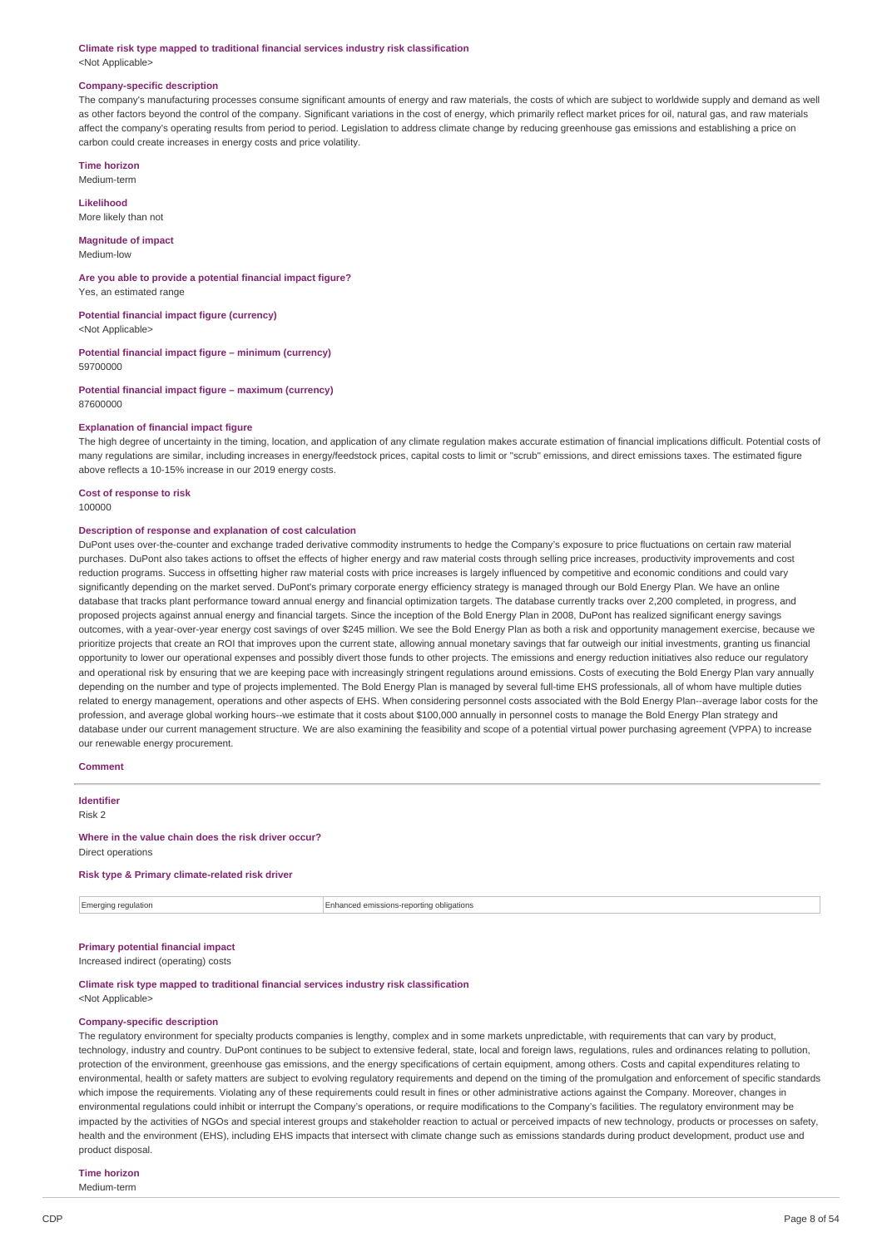#### **Climate risk type mapped to traditional financial services industry risk classification** <Not Applicable>

#### **Company-specific description**

The company's manufacturing processes consume significant amounts of energy and raw materials, the costs of which are subject to worldwide supply and demand as well as other factors beyond the control of the company. Significant variations in the cost of energy, which primarily reflect market prices for oil, natural gas, and raw materials affect the company's operating results from period to period. Legislation to address climate change by reducing greenhouse gas emissions and establishing a price on carbon could create increases in energy costs and price volatility.

**Time horizon** Medium-term

**Likelihood** More likely than not

**Magnitude of impact** Medium-low

**Are you able to provide a potential financial impact figure?**

Yes, an estimated range

**Potential financial impact figure (currency)** <Not Applicable>

**Potential financial impact figure – minimum (currency)** 59700000

**Potential financial impact figure – maximum (currency)** 87600000

#### **Explanation of financial impact figure**

The high degree of uncertainty in the timing, location, and application of any climate regulation makes accurate estimation of financial implications difficult. Potential costs of many regulations are similar, including increases in energy/feedstock prices, capital costs to limit or "scrub" emissions, and direct emissions taxes. The estimated figure above reflects a 10-15% increase in our 2019 energy costs.

**Cost of response to risk** 100000

## **Description of response and explanation of cost calculation**

DuPont uses over-the-counter and exchange traded derivative commodity instruments to hedge the Company's exposure to price fluctuations on certain raw material purchases. DuPont also takes actions to offset the effects of higher energy and raw material costs through selling price increases, productivity improvements and cost reduction programs. Success in offsetting higher raw material costs with price increases is largely influenced by competitive and economic conditions and could vary significantly depending on the market served. DuPont's primary corporate energy efficiency strategy is managed through our Bold Energy Plan. We have an online database that tracks plant performance toward annual energy and financial optimization targets. The database currently tracks over 2,200 completed, in progress, and proposed projects against annual energy and financial targets. Since the inception of the Bold Energy Plan in 2008, DuPont has realized significant energy savings outcomes, with a year-over-year energy cost savings of over \$245 million. We see the Bold Energy Plan as both a risk and opportunity management exercise, because we prioritize projects that create an ROI that improves upon the current state, allowing annual monetary savings that far outweigh our initial investments, granting us financial opportunity to lower our operational expenses and possibly divert those funds to other projects. The emissions and energy reduction initiatives also reduce our regulatory and operational risk by ensuring that we are keeping pace with increasingly stringent regulations around emissions. Costs of executing the Bold Energy Plan vary annually depending on the number and type of projects implemented. The Bold Energy Plan is managed by several full-time EHS professionals, all of whom have multiple duties related to energy management, operations and other aspects of EHS. When considering personnel costs associated with the Bold Energy Plan--average labor costs for the profession, and average global working hours--we estimate that it costs about \$100,000 annually in personnel costs to manage the Bold Energy Plan strategy and database under our current management structure. We are also examining the feasibility and scope of a potential virtual power purchasing agreement (VPPA) to increase our renewable energy procurement.

## **Comment**

**Identifier** Risk 2

**Where in the value chain does the risk driver occur?** Direct operations

## **Risk type & Primary climate-related risk driver**

Emerging regulation Enhanced emissions-reporting obligations

# **Primary potential financial impact**

Increased indirect (operating) costs

**Climate risk type mapped to traditional financial services industry risk classification** <Not Applicable>

#### **Company-specific description**

The regulatory environment for specialty products companies is lengthy, complex and in some markets unpredictable, with requirements that can vary by product, technology, industry and country. DuPont continues to be subject to extensive federal, state, local and foreign laws, regulations, rules and ordinances relating to pollution, protection of the environment, greenhouse gas emissions, and the energy specifications of certain equipment, among others. Costs and capital expenditures relating to environmental, health or safety matters are subject to evolving regulatory requirements and depend on the timing of the promulgation and enforcement of specific standards which impose the requirements. Violating any of these requirements could result in fines or other administrative actions against the Company. Moreover, changes in environmental regulations could inhibit or interrupt the Company's operations, or require modifications to the Company's facilities. The regulatory environment may be impacted by the activities of NGOs and special interest groups and stakeholder reaction to actual or perceived impacts of new technology, products or processes on safety, health and the environment (EHS), including EHS impacts that intersect with climate change such as emissions standards during product development, product use and product disposal.

# **Time horizon**

Medium-term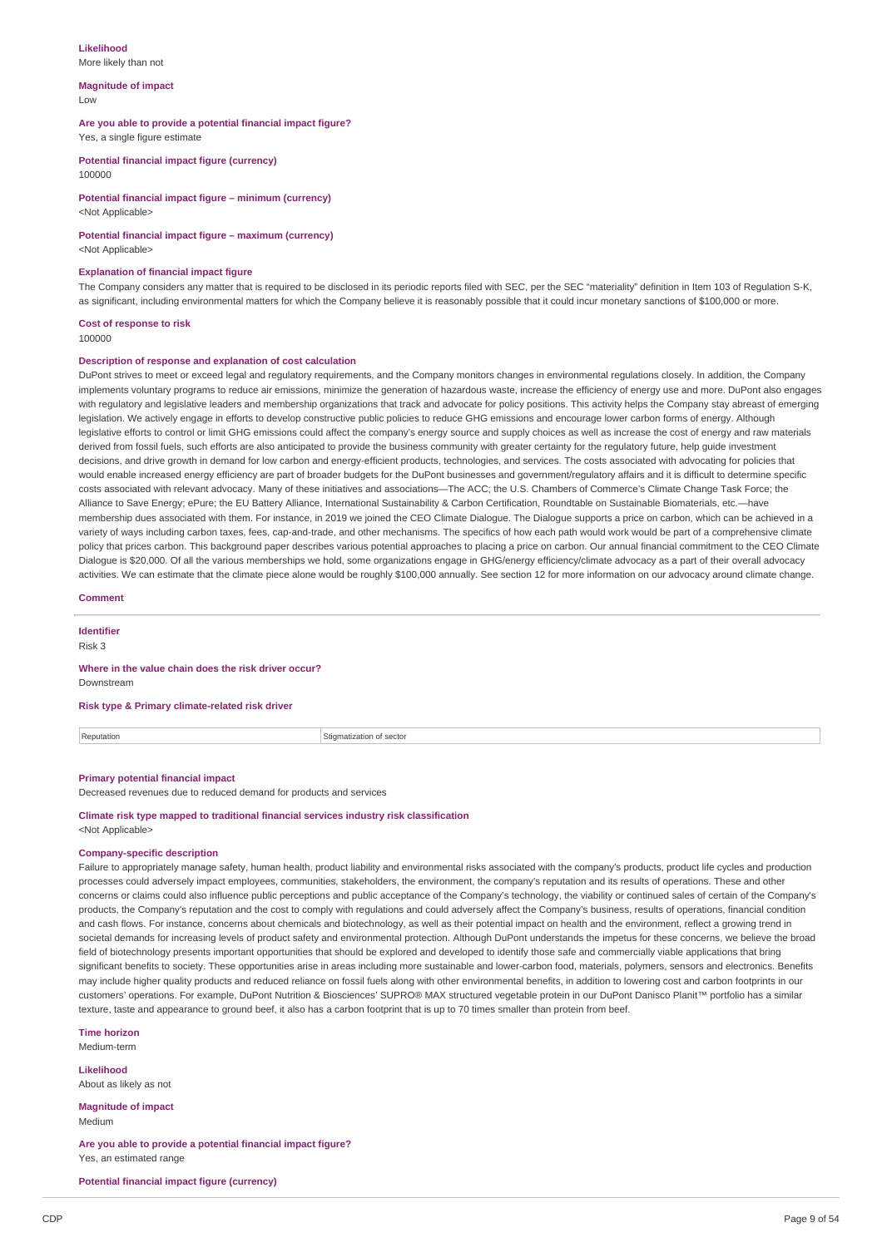#### **Likelihood** More likely than not

#### **Magnitude of impact** Low

#### **Are you able to provide a potential financial impact figure?**

Yes, a single figure estimate

**Potential financial impact figure (currency)** 100000

**Potential financial impact figure – minimum (currency)** <Not Applicable>

## **Potential financial impact figure – maximum (currency)**

<Not Applicable>

#### **Explanation of financial impact figure**

The Company considers any matter that is required to be disclosed in its periodic reports filed with SEC, per the SEC "materiality" definition in Item 103 of Regulation S-K, as significant, including environmental matters for which the Company believe it is reasonably possible that it could incur monetary sanctions of \$100,000 or more.

# **Cost of response to risk**

100000

## **Description of response and explanation of cost calculation**

DuPont strives to meet or exceed legal and regulatory requirements, and the Company monitors changes in environmental regulations closely. In addition, the Company implements voluntary programs to reduce air emissions, minimize the generation of hazardous waste, increase the efficiency of energy use and more. DuPont also engages with regulatory and legislative leaders and membership organizations that track and advocate for policy positions. This activity helps the Company stay abreast of emerging legislation. We actively engage in efforts to develop constructive public policies to reduce GHG emissions and encourage lower carbon forms of energy. Although legislative efforts to control or limit GHG emissions could affect the company's energy source and supply choices as well as increase the cost of energy and raw materials derived from fossil fuels, such efforts are also anticipated to provide the business community with greater certainty for the regulatory future, help guide investment decisions, and drive growth in demand for low carbon and energy-efficient products, technologies, and services. The costs associated with advocating for policies that would enable increased energy efficiency are part of broader budgets for the DuPont businesses and government/regulatory affairs and it is difficult to determine specific costs associated with relevant advocacy. Many of these initiatives and associations—The ACC; the U.S. Chambers of Commerce's Climate Change Task Force; the Alliance to Save Energy; ePure; the EU Battery Alliance, International Sustainability & Carbon Certification, Roundtable on Sustainable Biomaterials, etc.—have membership dues associated with them. For instance, in 2019 we joined the CEO Climate Dialogue. The Dialogue supports a price on carbon, which can be achieved in a variety of ways including carbon taxes, fees, cap-and-trade, and other mechanisms. The specifics of how each path would work would be part of a comprehensive climate policy that prices carbon. This background paper describes various potential approaches to placing a price on carbon. Our annual financial commitment to the CEO Climate Dialogue is \$20,000. Of all the various memberships we hold, some organizations engage in GHG/energy efficiency/climate advocacy as a part of their overall advocacy activities. We can estimate that the climate piece alone would be roughly \$100,000 annually. See section 12 for more information on our advocacy around climate change.

| Comment |  |  |  |  |  |  |
|---------|--|--|--|--|--|--|
|---------|--|--|--|--|--|--|

# **Identifier**

Risk 3

#### **Where in the value chain does the risk driver occur?** Downstream

**Risk type & Primary climate-related risk driver**

Reputation **Stigmatization** Stigmatization of sector

## **Primary potential financial impact**

Decreased revenues due to reduced demand for products and services

#### **Climate risk type mapped to traditional financial services industry risk classification** <Not Applicable>

## **Company-specific description**

Failure to appropriately manage safety, human health, product liability and environmental risks associated with the company's products, product life cycles and production processes could adversely impact employees, communities, stakeholders, the environment, the company's reputation and its results of operations. These and other concerns or claims could also influence public perceptions and public acceptance of the Company's technology, the viability or continued sales of certain of the Company's products, the Company's reputation and the cost to comply with regulations and could adversely affect the Company's business, results of operations, financial condition and cash flows. For instance, concerns about chemicals and biotechnology, as well as their potential impact on health and the environment, reflect a growing trend in societal demands for increasing levels of product safety and environmental protection. Although DuPont understands the impetus for these concerns, we believe the broad field of biotechnology presents important opportunities that should be explored and developed to identify those safe and commercially viable applications that bring significant benefits to society. These opportunities arise in areas including more sustainable and lower-carbon food, materials, polymers, sensors and electronics. Benefits may include higher quality products and reduced reliance on fossil fuels along with other environmental benefits, in addition to lowering cost and carbon footprints in our customers' operations. For example, DuPont Nutrition & Biosciences' SUPRO® MAX structured vegetable protein in our DuPont Danisco Planit™ portfolio has a similar texture, taste and appearance to ground beef, it also has a carbon footprint that is up to 70 times smaller than protein from beef.

#### **Time horizon**

Medium-term

**Likelihood** About as likely as not

**Magnitude of impact** Medium

**Are you able to provide a potential financial impact figure?** Yes, an estimated range

**Potential financial impact figure (currency)**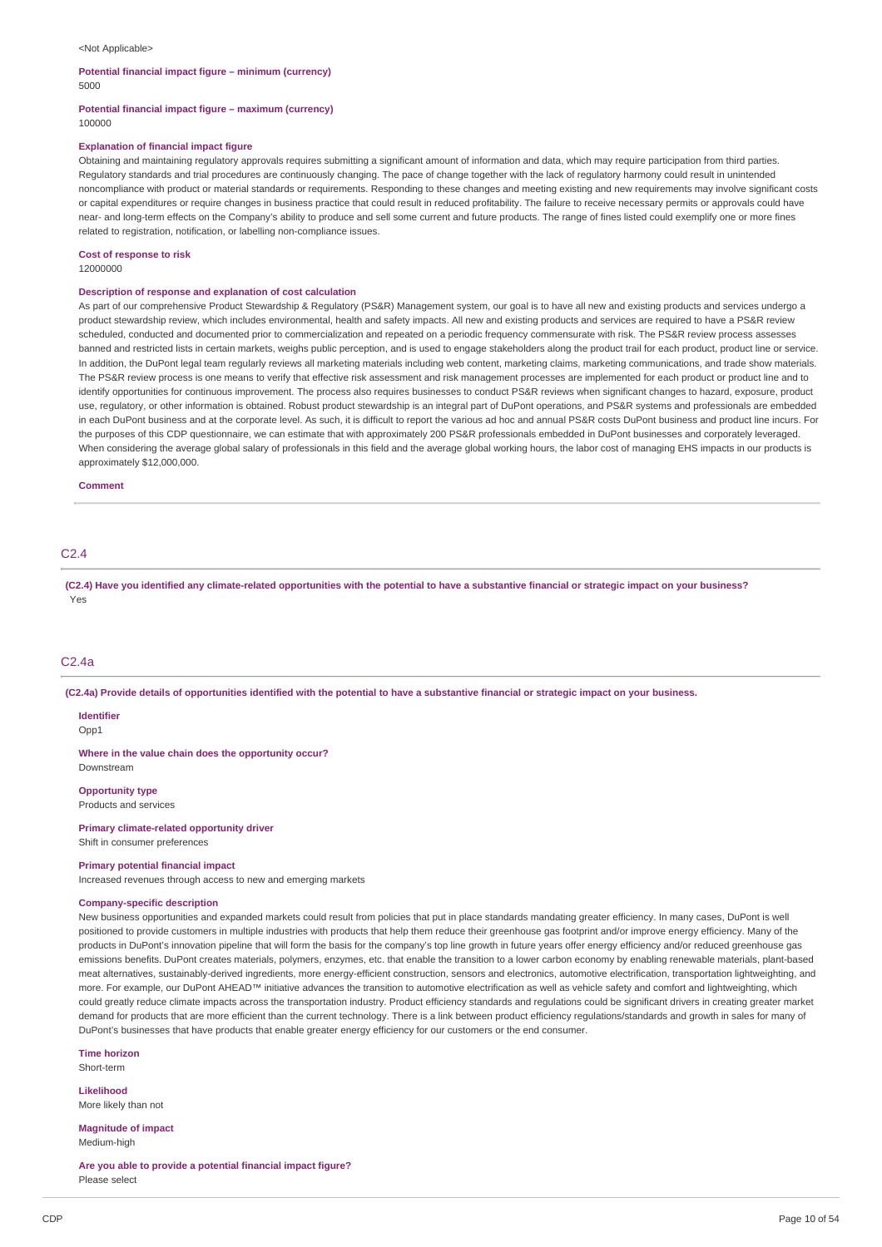#### <Not Applicable>

#### **Potential financial impact figure – minimum (currency)** 5000

#### **Potential financial impact figure – maximum (currency)** 100000

#### **Explanation of financial impact figure**

Obtaining and maintaining regulatory approvals requires submitting a significant amount of information and data, which may require participation from third parties. Regulatory standards and trial procedures are continuously changing. The pace of change together with the lack of regulatory harmony could result in unintended noncompliance with product or material standards or requirements. Responding to these changes and meeting existing and new requirements may involve significant costs or capital expenditures or require changes in business practice that could result in reduced profitability. The failure to receive necessary permits or approvals could have near- and long-term effects on the Company's ability to produce and sell some current and future products. The range of fines listed could exemplify one or more fines related to registration, notification, or labelling non-compliance issues.

#### **Cost of response to risk**

12000000

#### **Description of response and explanation of cost calculation**

As part of our comprehensive Product Stewardship & Regulatory (PS&R) Management system, our goal is to have all new and existing products and services undergo a product stewardship review, which includes environmental, health and safety impacts. All new and existing products and services are required to have a PS&R review scheduled, conducted and documented prior to commercialization and repeated on a periodic frequency commensurate with risk. The PS&R review process assesses banned and restricted lists in certain markets, weighs public perception, and is used to engage stakeholders along the product trail for each product, product line or service. In addition, the DuPont legal team regularly reviews all marketing materials including web content, marketing claims, marketing communications, and trade show materials. The PS&R review process is one means to verify that effective risk assessment and risk management processes are implemented for each product or product line and to identify opportunities for continuous improvement. The process also requires businesses to conduct PS&R reviews when significant changes to hazard, exposure, product use, regulatory, or other information is obtained. Robust product stewardship is an integral part of DuPont operations, and PS&R systems and professionals are embedded in each DuPont business and at the corporate level. As such, it is difficult to report the various ad hoc and annual PS&R costs DuPont business and product line incurs. For the purposes of this CDP questionnaire, we can estimate that with approximately 200 PS&R professionals embedded in DuPont businesses and corporately leveraged. When considering the average global salary of professionals in this field and the average global working hours, the labor cost of managing EHS impacts in our products is approximately \$12,000,000.

#### **Comment**

## C2.4

(C2.4) Have you identified any climate-related opportunities with the potential to have a substantive financial or strategic impact on your business? Yes

## C2.4a

(C2.4a) Provide details of opportunities identified with the potential to have a substantive financial or strategic impact on your business.

#### **Identifier**

Opp1

**Where in the value chain does the opportunity occur?** Downstream

**Opportunity type**

Products and services

# **Primary climate-related opportunity driver**

Shift in consumer preferences

# **Primary potential financial impact**

Increased revenues through access to new and emerging markets

# **Company-specific description**

New business opportunities and expanded markets could result from policies that put in place standards mandating greater efficiency. In many cases, DuPont is well positioned to provide customers in multiple industries with products that help them reduce their greenhouse gas footprint and/or improve energy efficiency. Many of the products in DuPont's innovation pipeline that will form the basis for the company's top line growth in future years offer energy efficiency and/or reduced greenhouse gas emissions benefits. DuPont creates materials, polymers, enzymes, etc. that enable the transition to a lower carbon economy by enabling renewable materials, plant-based meat alternatives, sustainably-derived ingredients, more energy-efficient construction, sensors and electronics, automotive electrification, transportation lightweighting, and more. For example, our DuPont AHEAD™ initiative advances the transition to automotive electrification as well as vehicle safety and comfort and lightweighting, which could greatly reduce climate impacts across the transportation industry. Product efficiency standards and regulations could be significant drivers in creating greater market demand for products that are more efficient than the current technology. There is a link between product efficiency regulations/standards and growth in sales for many of DuPont's businesses that have products that enable greater energy efficiency for our customers or the end consumer.

#### **Time horizon**

Short-term

#### **Likelihood** More likely than not

**Magnitude of impact** Medium-high

**Are you able to provide a potential financial impact figure?** Please select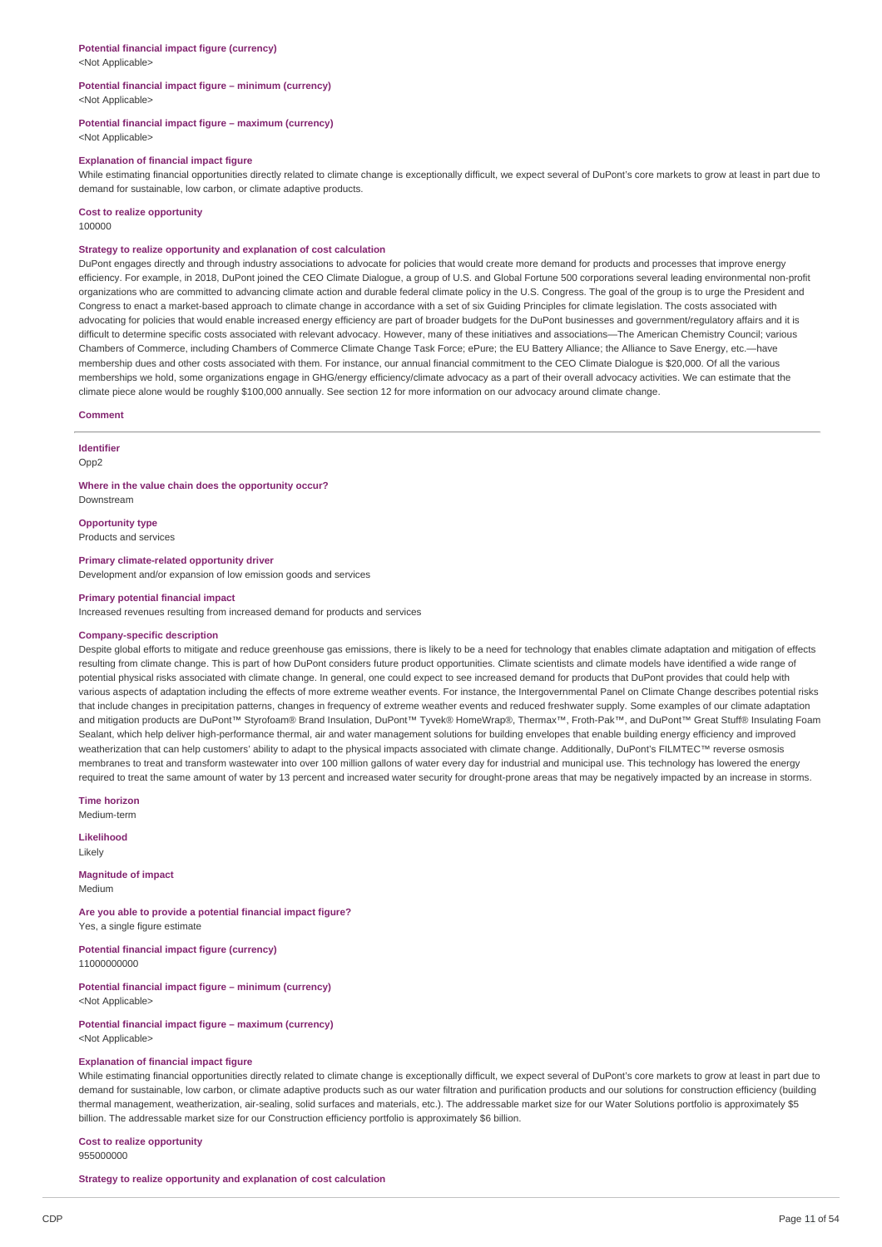## **Potential financial impact figure (currency)**

<Not Applicable>

#### **Potential financial impact figure – minimum (currency)** <Not Applicable>

**Potential financial impact figure – maximum (currency)**

<Not Applicable>

#### **Explanation of financial impact figure**

While estimating financial opportunities directly related to climate change is exceptionally difficult, we expect several of DuPont's core markets to grow at least in part due to demand for sustainable, low carbon, or climate adaptive products.

**Cost to realize opportunity**

100000

## **Strategy to realize opportunity and explanation of cost calculation**

DuPont engages directly and through industry associations to advocate for policies that would create more demand for products and processes that improve energy efficiency. For example, in 2018, DuPont joined the CEO Climate Dialogue, a group of U.S. and Global Fortune 500 corporations several leading environmental non-profit organizations who are committed to advancing climate action and durable federal climate policy in the U.S. Congress. The goal of the group is to urge the President and Congress to enact a market-based approach to climate change in accordance with a set of six Guiding Principles for climate legislation. The costs associated with advocating for policies that would enable increased energy efficiency are part of broader budgets for the DuPont businesses and government/regulatory affairs and it is difficult to determine specific costs associated with relevant advocacy. However, many of these initiatives and associations—The American Chemistry Council; various Chambers of Commerce, including Chambers of Commerce Climate Change Task Force; ePure; the EU Battery Alliance; the Alliance to Save Energy, etc.—have membership dues and other costs associated with them. For instance, our annual financial commitment to the CEO Climate Dialogue is \$20,000. Of all the various memberships we hold, some organizations engage in GHG/energy efficiency/climate advocacy as a part of their overall advocacy activities. We can estimate that the climate piece alone would be roughly \$100,000 annually. See section 12 for more information on our advocacy around climate change.

#### **Comment**

**Identifier**

Opp<sub>2</sub>

**Where in the value chain does the opportunity occur?** Downstream

**Opportunity type**

Products and services

**Primary climate-related opportunity driver**

Development and/or expansion of low emission goods and services

#### **Primary potential financial impact**

Increased revenues resulting from increased demand for products and services

#### **Company-specific description**

Despite global efforts to mitigate and reduce greenhouse gas emissions, there is likely to be a need for technology that enables climate adaptation and mitigation of effects resulting from climate change. This is part of how DuPont considers future product opportunities. Climate scientists and climate models have identified a wide range of potential physical risks associated with climate change. In general, one could expect to see increased demand for products that DuPont provides that could help with various aspects of adaptation including the effects of more extreme weather events. For instance, the Intergovernmental Panel on Climate Change describes potential risks that include changes in precipitation patterns, changes in frequency of extreme weather events and reduced freshwater supply. Some examples of our climate adaptation and mitigation products are DuPont™ Styrofoam® Brand Insulation, DuPont™ Tyvek® HomeWrap®, Thermax™, Froth-Pak™, and DuPont™ Great Stuff® Insulating Foam Sealant, which help deliver high-performance thermal, air and water management solutions for building envelopes that enable building energy efficiency and improved weatherization that can help customers' ability to adapt to the physical impacts associated with climate change. Additionally, DuPont's FILMTEC™ reverse osmosis membranes to treat and transform wastewater into over 100 million gallons of water every day for industrial and municipal use. This technology has lowered the energy required to treat the same amount of water by 13 percent and increased water security for drought-prone areas that may be negatively impacted by an increase in storms.

**Time horizon**

Medium-term

**Likelihood** Likely

**Magnitude of impact** Medium

**Are you able to provide a potential financial impact figure?** Yes, a single figure estimate

**Potential financial impact figure (currency)** 11000000000

**Potential financial impact figure – minimum (currency)** <Not Applicable>

**Potential financial impact figure – maximum (currency)** <Not Applicable>

#### **Explanation of financial impact figure**

While estimating financial opportunities directly related to climate change is exceptionally difficult, we expect several of DuPont's core markets to grow at least in part due to demand for sustainable, low carbon, or climate adaptive products such as our water filtration and purification products and our solutions for construction efficiency (building thermal management, weatherization, air-sealing, solid surfaces and materials, etc.). The addressable market size for our Water Solutions portfolio is approximately \$5 billion. The addressable market size for our Construction efficiency portfolio is approximately \$6 billion.

**Cost to realize opportunity**

955000000

**Strategy to realize opportunity and explanation of cost calculation**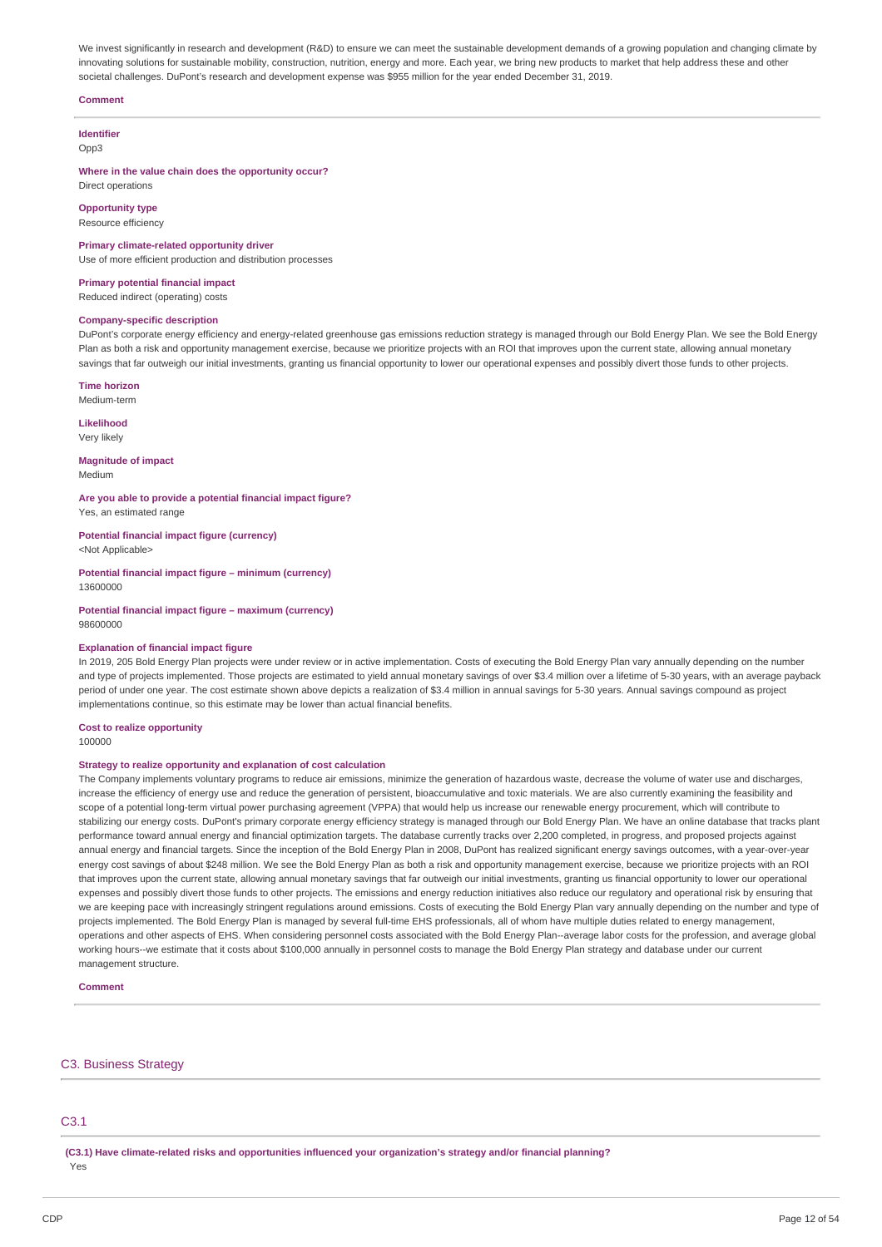We invest significantly in research and development (R&D) to ensure we can meet the sustainable development demands of a growing population and changing climate by innovating solutions for sustainable mobility, construction, nutrition, energy and more. Each year, we bring new products to market that help address these and other societal challenges. DuPont's research and development expense was \$955 million for the year ended December 31, 2019.

#### **Comment**

**Identifier**  $Onn3$ 

**Where in the value chain does the opportunity occur?** Direct operations

**Opportunity type** Resource efficiency

**Primary climate-related opportunity driver** Use of more efficient production and distribution processes

**Primary potential financial impact**

Reduced indirect (operating) costs

## **Company-specific description**

DuPont's corporate energy efficiency and energy-related greenhouse gas emissions reduction strategy is managed through our Bold Energy Plan. We see the Bold Energy Plan as both a risk and opportunity management exercise, because we prioritize projects with an ROI that improves upon the current state, allowing annual monetary savings that far outweigh our initial investments, granting us financial opportunity to lower our operational expenses and possibly divert those funds to other projects.

**Time horizon**

Medium-term

**Likelihood** Very likely

**Magnitude of impact** Medium

**Are you able to provide a potential financial impact figure?**

Yes, an estimated range **Potential financial impact figure (currency)**

<Not Applicable>

**Potential financial impact figure – minimum (currency)**

13600000

**Potential financial impact figure – maximum (currency)** 98600000

#### **Explanation of financial impact figure**

In 2019, 205 Bold Energy Plan projects were under review or in active implementation. Costs of executing the Bold Energy Plan vary annually depending on the number and type of projects implemented. Those projects are estimated to yield annual monetary savings of over \$3.4 million over a lifetime of 5-30 years, with an average payback period of under one year. The cost estimate shown above depicts a realization of \$3.4 million in annual savings for 5-30 years. Annual savings compound as project implementations continue, so this estimate may be lower than actual financial benefits.

# **Cost to realize opportunity**

100000

#### **Strategy to realize opportunity and explanation of cost calculation**

The Company implements voluntary programs to reduce air emissions, minimize the generation of hazardous waste, decrease the volume of water use and discharges, increase the efficiency of energy use and reduce the generation of persistent, bioaccumulative and toxic materials. We are also currently examining the feasibility and scope of a potential long-term virtual power purchasing agreement (VPPA) that would help us increase our renewable energy procurement, which will contribute to stabilizing our energy costs. DuPont's primary corporate energy efficiency strategy is managed through our Bold Energy Plan. We have an online database that tracks plant performance toward annual energy and financial optimization targets. The database currently tracks over 2,200 completed, in progress, and proposed projects against annual energy and financial targets. Since the inception of the Bold Energy Plan in 2008, DuPont has realized significant energy savings outcomes, with a year-over-year energy cost savings of about \$248 million. We see the Bold Energy Plan as both a risk and opportunity management exercise, because we prioritize projects with an ROI that improves upon the current state, allowing annual monetary savings that far outweigh our initial investments, granting us financial opportunity to lower our operational expenses and possibly divert those funds to other projects. The emissions and energy reduction initiatives also reduce our regulatory and operational risk by ensuring that we are keeping pace with increasingly stringent regulations around emissions. Costs of executing the Bold Energy Plan vary annually depending on the number and type of projects implemented. The Bold Energy Plan is managed by several full-time EHS professionals, all of whom have multiple duties related to energy management, operations and other aspects of EHS. When considering personnel costs associated with the Bold Energy Plan--average labor costs for the profession, and average global working hours--we estimate that it costs about \$100,000 annually in personnel costs to manage the Bold Energy Plan strategy and database under our current management structure.

#### **Comment**

## C3. Business Strategy

# C3.1

**(C3.1) Have climate-related risks and opportunities influenced your organization's strategy and/or financial planning?** Yes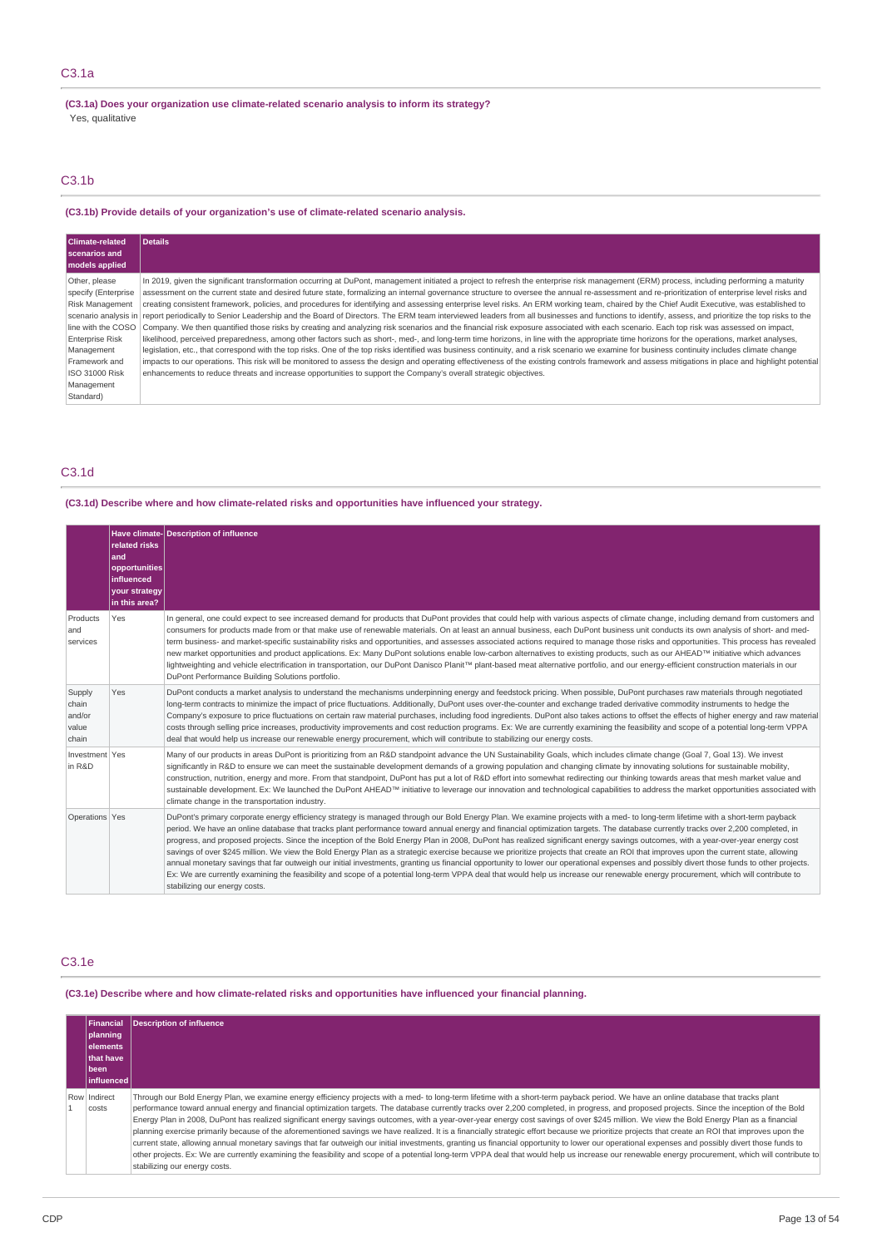**(C3.1a) Does your organization use climate-related scenario analysis to inform its strategy?** Yes, qualitative

# C3.1b

**(C3.1b) Provide details of your organization's use of climate-related scenario analysis.**

| Climate-related<br>scenarios and<br>models applied                                                                                                                                                | <b>Details</b>                                                                                                                                                                                                                                                                                                                                                                                                                                                                                                                                                                                                                                                                                                                                                                                                                                                                                                                                                                                                                                                                                                                                                                                                                                                                                                                                                                                                                                                                                                                                                                                                                                                                                                                          |
|---------------------------------------------------------------------------------------------------------------------------------------------------------------------------------------------------|-----------------------------------------------------------------------------------------------------------------------------------------------------------------------------------------------------------------------------------------------------------------------------------------------------------------------------------------------------------------------------------------------------------------------------------------------------------------------------------------------------------------------------------------------------------------------------------------------------------------------------------------------------------------------------------------------------------------------------------------------------------------------------------------------------------------------------------------------------------------------------------------------------------------------------------------------------------------------------------------------------------------------------------------------------------------------------------------------------------------------------------------------------------------------------------------------------------------------------------------------------------------------------------------------------------------------------------------------------------------------------------------------------------------------------------------------------------------------------------------------------------------------------------------------------------------------------------------------------------------------------------------------------------------------------------------------------------------------------------------|
| Other, please<br>specify (Enterprise<br><b>Risk Management</b><br>line with the COSO<br><b>Enterprise Risk</b><br>Management<br>Framework and<br><b>ISO 31000 Risk</b><br>Management<br>Standard) | In 2019, given the significant transformation occurring at DuPont, management initiated a project to refresh the enterprise risk management (ERM) process, including performing a maturity<br>assessment on the current state and desired future state, formalizing an internal governance structure to oversee the annual re-assessment and re-prioritization of enterprise level risks and<br>creating consistent framework, policies, and procedures for identifying and assessing enterprise level risks. An ERM working team, chaired by the Chief Audit Executive, was established to<br>scenario analysis in report periodically to Senior Leadership and the Board of Directors. The ERM team interviewed leaders from all businesses and functions to identify, assess, and prioritize the top risks to the<br>Company. We then quantified those risks by creating and analyzing risk scenarios and the financial risk exposure associated with each scenario. Each top risk was assessed on impact,<br>likelihood, perceived preparedness, among other factors such as short-, med-, and long-term time horizons, in line with the appropriate time horizons for the operations, market analyses,<br>legislation, etc., that correspond with the top risks. One of the top risks identified was business continuity, and a risk scenario we examine for business continuity includes climate change<br>impacts to our operations. This risk will be monitored to assess the design and operating effectiveness of the existing controls framework and assess mitigations in place and highlight potential<br>enhancements to reduce threats and increase opportunities to support the Company's overall strategic objectives. |

# C3.1d

# **(C3.1d) Describe where and how climate-related risks and opportunities have influenced your strategy.**

|                                             | related risks<br>and<br>opportunities<br>influenced<br>your strategy<br>in this area? | Have climate-Description of influence                                                                                                                                                                                                                                                                                                                                                                                                                                                                                                                                                                                                                                                                                                                                                                                                                                                                                                                                                                                                                                                                                                                              |
|---------------------------------------------|---------------------------------------------------------------------------------------|--------------------------------------------------------------------------------------------------------------------------------------------------------------------------------------------------------------------------------------------------------------------------------------------------------------------------------------------------------------------------------------------------------------------------------------------------------------------------------------------------------------------------------------------------------------------------------------------------------------------------------------------------------------------------------------------------------------------------------------------------------------------------------------------------------------------------------------------------------------------------------------------------------------------------------------------------------------------------------------------------------------------------------------------------------------------------------------------------------------------------------------------------------------------|
| Products<br>and<br>services                 | Yes                                                                                   | In general, one could expect to see increased demand for products that DuPont provides that could help with various aspects of climate change, including demand from customers and<br>consumers for products made from or that make use of renewable materials. On at least an annual business, each DuPont business unit conducts its own analysis of short- and med-<br>term business- and market-specific sustainability risks and opportunities, and assesses associated actions required to manage those risks and opportunities. This process has revealed<br>new market opportunities and product applications. Ex: Many DuPont solutions enable low-carbon alternatives to existing products, such as our AHEAD™ initiative which advances<br>lightweighting and vehicle electrification in transportation, our DuPont Danisco Planit™ plant-based meat alternative portfolio, and our energy-efficient construction materials in our<br>DuPont Performance Building Solutions portfolio.                                                                                                                                                                  |
| Supply<br>chain<br>and/or<br>value<br>chain | Yes                                                                                   | DuPont conducts a market analysis to understand the mechanisms underpinning energy and feedstock pricing. When possible, DuPont purchases raw materials through negotiated<br>long-term contracts to minimize the impact of price fluctuations. Additionally, DuPont uses over-the-counter and exchange traded derivative commodity instruments to hedge the<br>Company's exposure to price fluctuations on certain raw material purchases, including food ingredients. DuPont also takes actions to offset the effects of higher energy and raw material<br>costs through selling price increases, productivity improvements and cost reduction programs. Ex: We are currently examining the feasibility and scope of a potential long-term VPPA<br>deal that would help us increase our renewable energy procurement, which will contribute to stabilizing our energy costs.                                                                                                                                                                                                                                                                                     |
| Investment Yes<br>in R&D                    |                                                                                       | Many of our products in areas DuPont is prioritizing from an R&D standpoint advance the UN Sustainability Goals, which includes climate change (Goal 7, Goal 13). We invest<br>significantly in R&D to ensure we can meet the sustainable development demands of a growing population and changing climate by innovating solutions for sustainable mobility,<br>construction, nutrition, energy and more. From that standpoint, DuPont has put a lot of R&D effort into somewhat redirecting our thinking towards areas that mesh market value and<br>sustainable development. Ex: We launched the DuPont AHEAD™ initiative to leverage our innovation and technological capabilities to address the market opportunities associated with<br>climate change in the transportation industry.                                                                                                                                                                                                                                                                                                                                                                        |
| Operations Yes                              |                                                                                       | DuPont's primary corporate energy efficiency strategy is managed through our Bold Energy Plan. We examine projects with a med- to long-term lifetime with a short-term payback<br>period. We have an online database that tracks plant performance toward annual energy and financial optimization targets. The database currently tracks over 2,200 completed, in<br>progress, and proposed projects. Since the inception of the Bold Energy Plan in 2008, DuPont has realized significant energy savings outcomes, with a year-over-year energy cost<br>savings of over \$245 million. We view the Bold Energy Plan as a strategic exercise because we prioritize projects that create an ROI that improves upon the current state, allowing<br>annual monetary savings that far outweigh our initial investments, granting us financial opportunity to lower our operational expenses and possibly divert those funds to other projects.<br>Ex: We are currently examining the feasibility and scope of a potential long-term VPPA deal that would help us increase our renewable energy procurement, which will contribute to<br>stabilizing our energy costs. |

# C3.1e

**(C3.1e) Describe where and how climate-related risks and opportunities have influenced your financial planning.**

| Financial<br>planning<br>lelements<br>that have<br>l been l<br>linfluenced | Description of influence                                                                                                                                                                                                                                                                                                                                                                                                                                                                                                                                                                                                                                                                                                                                                                                                                                                                                                                                                                                                                                                                                                                                                                                                            |
|----------------------------------------------------------------------------|-------------------------------------------------------------------------------------------------------------------------------------------------------------------------------------------------------------------------------------------------------------------------------------------------------------------------------------------------------------------------------------------------------------------------------------------------------------------------------------------------------------------------------------------------------------------------------------------------------------------------------------------------------------------------------------------------------------------------------------------------------------------------------------------------------------------------------------------------------------------------------------------------------------------------------------------------------------------------------------------------------------------------------------------------------------------------------------------------------------------------------------------------------------------------------------------------------------------------------------|
| Row Indirect<br>costs                                                      | Through our Bold Energy Plan, we examine energy efficiency projects with a med- to long-term lifetime with a short-term payback period. We have an online database that tracks plant<br>performance toward annual energy and financial optimization targets. The database currently tracks over 2,200 completed, in progress, and proposed projects. Since the inception of the Bold<br>Energy Plan in 2008, DuPont has realized significant energy savings outcomes, with a year-over-year energy cost savings of over \$245 million. We view the Bold Energy Plan as a financial<br>planning exercise primarily because of the aforementioned savings we have realized. It is a financially strategic effort because we prioritize projects that create an ROI that improves upon the<br>current state, allowing annual monetary savings that far outweigh our initial investments, granting us financial opportunity to lower our operational expenses and possibly divert those funds to<br>other projects. Ex: We are currently examining the feasibility and scope of a potential long-term VPPA deal that would help us increase our renewable energy procurement, which will contribute to<br>stabilizing our energy costs. |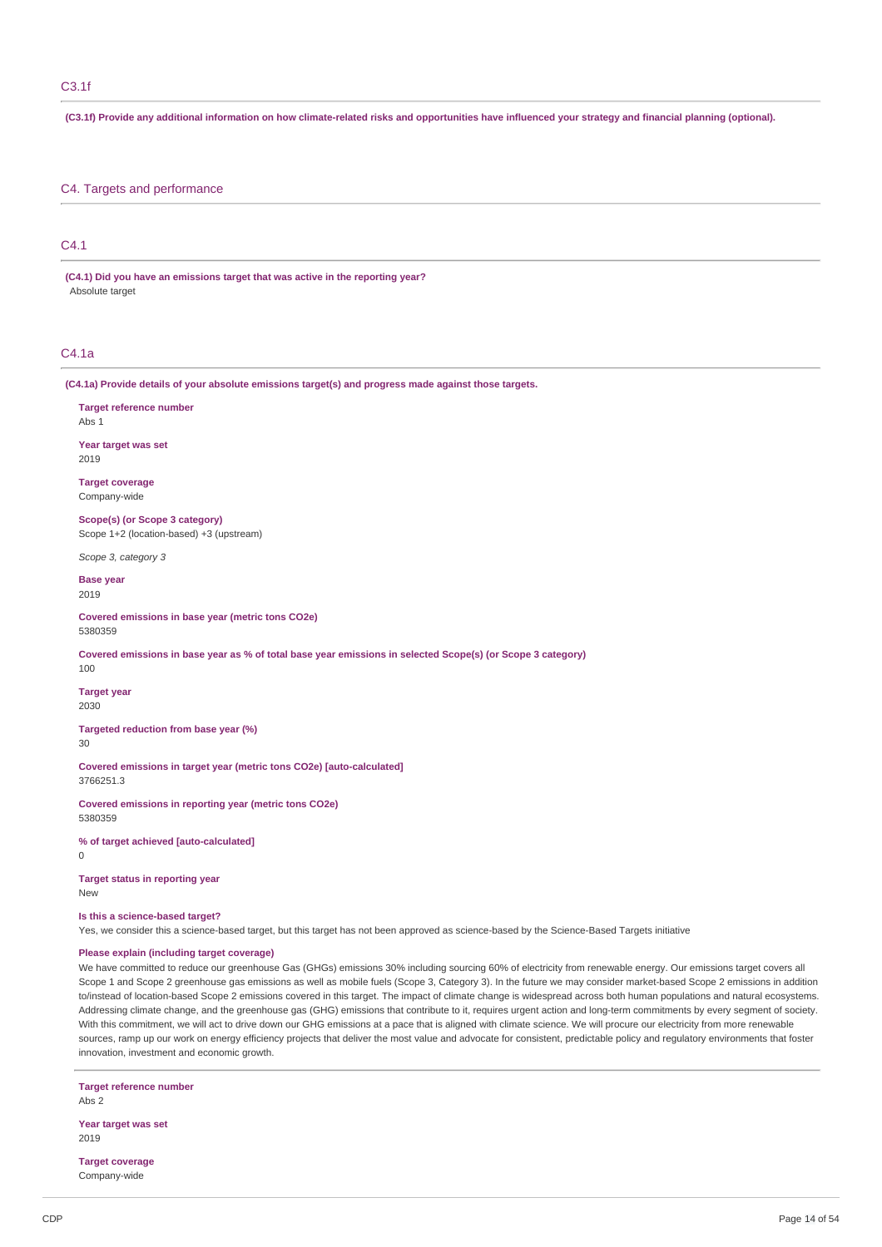(C3.1f) Provide any additional information on how climate-related risks and opportunities have influenced your strategy and financial planning (optional).

# C4. Targets and performance

# C4.1

**(C4.1) Did you have an emissions target that was active in the reporting year?** Absolute target

## C4.1a

**(C4.1a) Provide details of your absolute emissions target(s) and progress made against those targets.**

**Target reference number** Abs 1

**Year target was set** 2019

**Target coverage** Company-wide

**Scope(s) (or Scope 3 category)** Scope 1+2 (location-based) +3 (upstream)

*Scope 3, category 3*

**Base year** 2019

**Covered emissions in base year (metric tons CO2e)** 5380359

Covered emissions in base year as % of total base year emissions in selected Scope(s) (or Scope 3 category)

100

**Target year** 2030

**Targeted reduction from base year (%)** 30

**Covered emissions in target year (metric tons CO2e) [auto-calculated]** 3766251.3

**Covered emissions in reporting year (metric tons CO2e)** 5380359

**% of target achieved [auto-calculated]** 0

**Target status in reporting year** New

#### **Is this a science-based target?**

Yes, we consider this a science-based target, but this target has not been approved as science-based by the Science-Based Targets initiative

# **Please explain (including target coverage)**

We have committed to reduce our greenhouse Gas (GHGs) emissions 30% including sourcing 60% of electricity from renewable energy. Our emissions target covers all Scope 1 and Scope 2 greenhouse gas emissions as well as mobile fuels (Scope 3, Category 3). In the future we may consider market-based Scope 2 emissions in addition to/instead of location-based Scope 2 emissions covered in this target. The impact of climate change is widespread across both human populations and natural ecosystems. Addressing climate change, and the greenhouse gas (GHG) emissions that contribute to it, requires urgent action and long-term commitments by every segment of society. With this commitment, we will act to drive down our GHG emissions at a pace that is aligned with climate science. We will procure our electricity from more renewable sources, ramp up our work on energy efficiency projects that deliver the most value and advocate for consistent, predictable policy and regulatory environments that foster innovation, investment and economic growth.

**Target reference number** Abs 2

**Year target was set** 2019

**Target coverage** Company-wide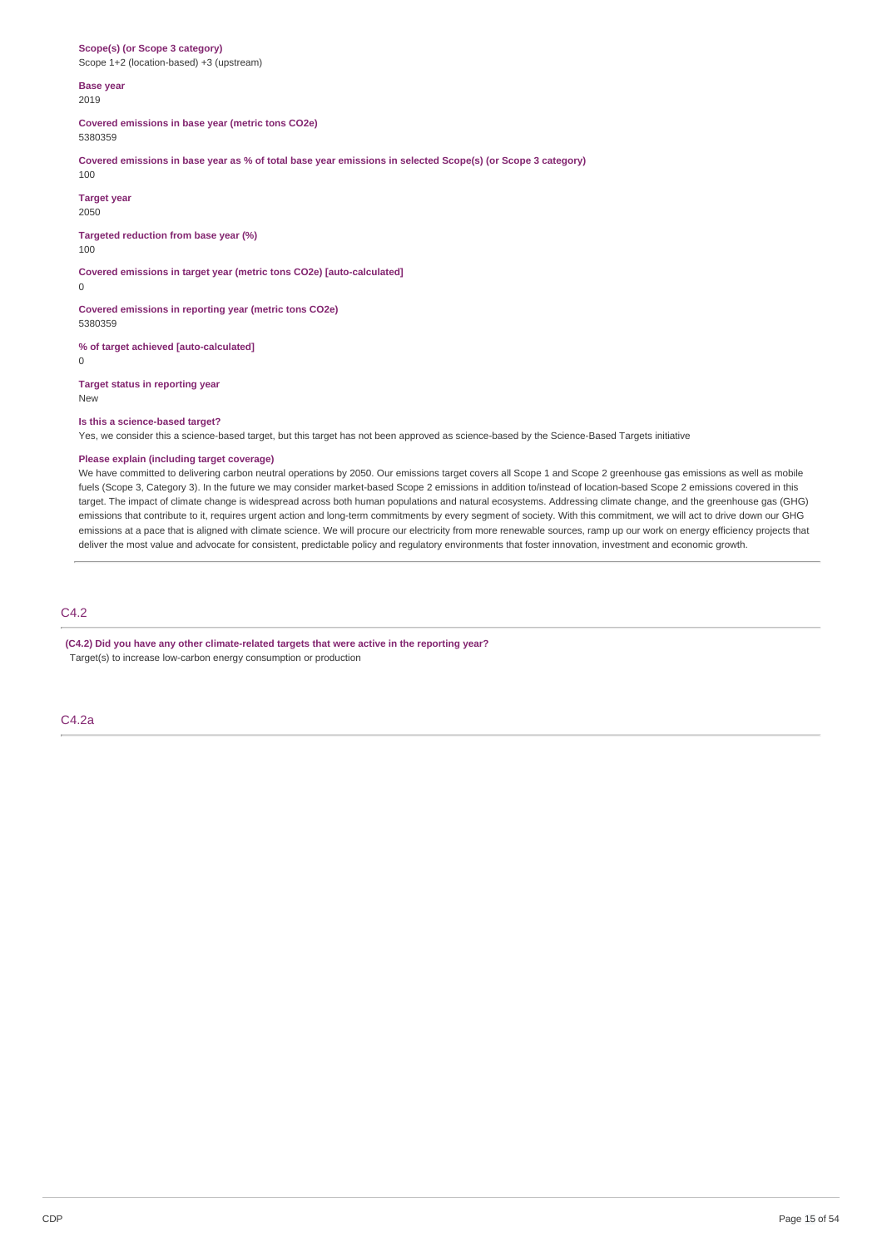#### **Scope(s) (or Scope 3 category)** Scope 1+2 (location-based) +3 (upstream)

**Base year** 2019

**Covered emissions in base year (metric tons CO2e)** 5380359

Covered emissions in base year as % of total base year emissions in selected Scope(s) (or Scope 3 category)

100

**Target year** 2050

**Targeted reduction from base year (%)** 100

**Covered emissions in target year (metric tons CO2e) [auto-calculated]** 0

**Covered emissions in reporting year (metric tons CO2e)** 5380359

**% of target achieved [auto-calculated]**

0

**Target status in reporting year** New

#### **Is this a science-based target?**

Yes, we consider this a science-based target, but this target has not been approved as science-based by the Science-Based Targets initiative

## **Please explain (including target coverage)**

We have committed to delivering carbon neutral operations by 2050. Our emissions target covers all Scope 1 and Scope 2 greenhouse gas emissions as well as mobile fuels (Scope 3, Category 3). In the future we may consider market-based Scope 2 emissions in addition to/instead of location-based Scope 2 emissions covered in this target. The impact of climate change is widespread across both human populations and natural ecosystems. Addressing climate change, and the greenhouse gas (GHG) emissions that contribute to it, requires urgent action and long-term commitments by every segment of society. With this commitment, we will act to drive down our GHG emissions at a pace that is aligned with climate science. We will procure our electricity from more renewable sources, ramp up our work on energy efficiency projects that deliver the most value and advocate for consistent, predictable policy and regulatory environments that foster innovation, investment and economic growth.

# C4.2

**(C4.2) Did you have any other climate-related targets that were active in the reporting year?** Target(s) to increase low-carbon energy consumption or production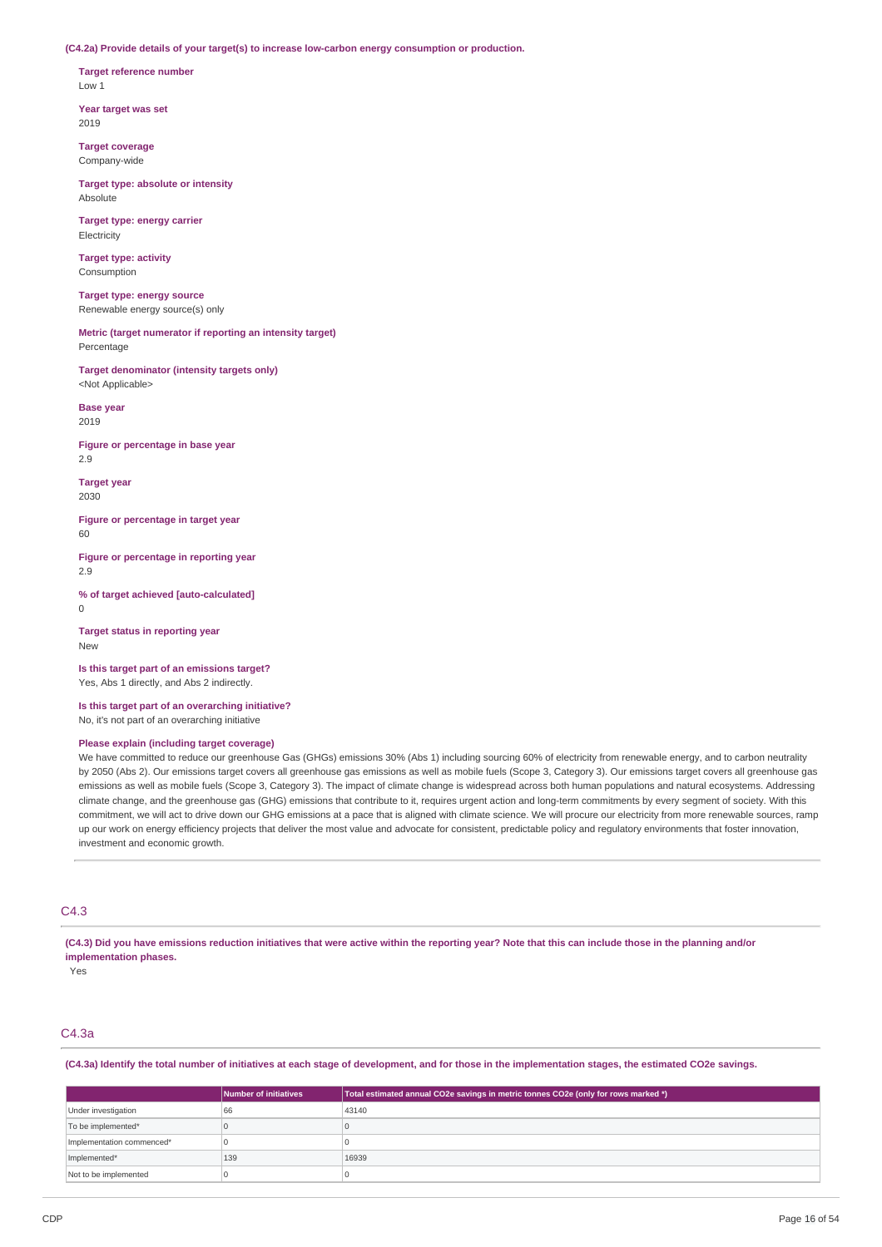**(C4.2a) Provide details of your target(s) to increase low-carbon energy consumption or production.**

**Target reference number** Low 1

**Year target was set** 2019

**Target coverage** Company-wide

**Target type: absolute or intensity** Absolute

**Target type: energy carrier** Electricity

**Target type: activity** Consumption

**Target type: energy source** Renewable energy source(s) only

**Metric (target numerator if reporting an intensity target)** Percentage

**Target denominator (intensity targets only)** <Not Applicable>

**Base year** 2019

**Figure or percentage in base year** 2.9

**Target year** 2030

**Figure or percentage in target year**  $60$ 

**Figure or percentage in reporting year** 2.9

**% of target achieved [auto-calculated]** 0

**Target status in reporting year** New

**Is this target part of an emissions target?** Yes, Abs 1 directly, and Abs 2 indirectly.

**Is this target part of an overarching initiative?** No, it's not part of an overarching initiative

## **Please explain (including target coverage)**

We have committed to reduce our greenhouse Gas (GHGs) emissions 30% (Abs 1) including sourcing 60% of electricity from renewable energy, and to carbon neutrality by 2050 (Abs 2). Our emissions target covers all greenhouse gas emissions as well as mobile fuels (Scope 3, Category 3). Our emissions target covers all greenhouse gas emissions as well as mobile fuels (Scope 3, Category 3). The impact of climate change is widespread across both human populations and natural ecosystems. Addressing climate change, and the greenhouse gas (GHG) emissions that contribute to it, requires urgent action and long-term commitments by every segment of society. With this commitment, we will act to drive down our GHG emissions at a pace that is aligned with climate science. We will procure our electricity from more renewable sources, ramp up our work on energy efficiency projects that deliver the most value and advocate for consistent, predictable policy and regulatory environments that foster innovation, investment and economic growth.

# C4.3

(C4.3) Did you have emissions reduction initiatives that were active within the reporting year? Note that this can include those in the planning and/or **implementation phases.**

Yes

# C4.3a

(C4.3a) Identify the total number of initiatives at each stage of development, and for those in the implementation stages, the estimated CO2e savings.

|                           | <b>Number of initiatives</b> | Total estimated annual CO2e savings in metric tonnes CO2e (only for rows marked *) |
|---------------------------|------------------------------|------------------------------------------------------------------------------------|
| Under investigation       | 66                           | 43140                                                                              |
| To be implemented*        |                              |                                                                                    |
| Implementation commenced* |                              |                                                                                    |
| Implemented*              | 139                          | 16939                                                                              |
| Not to be implemented     |                              |                                                                                    |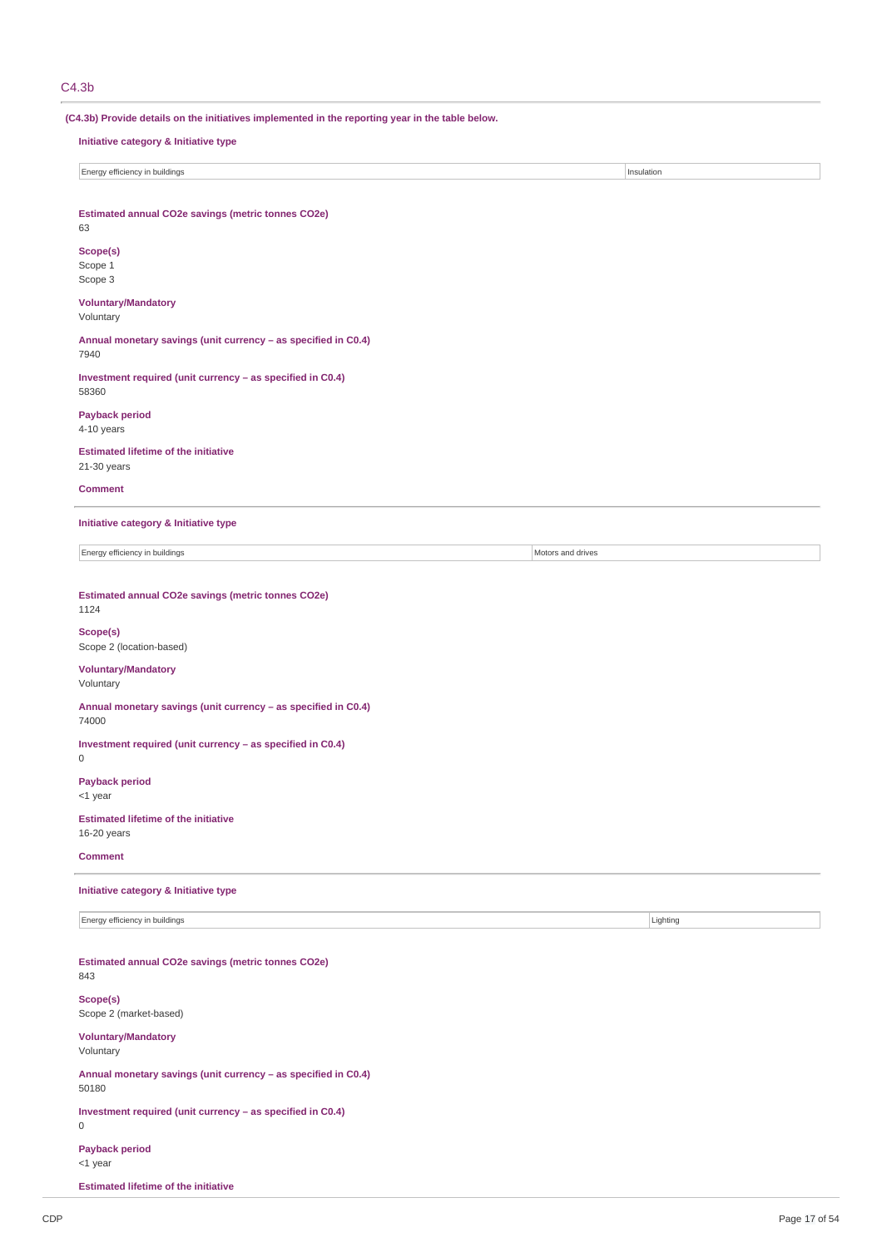# C4.3b

**(C4.3b) Provide details on the initiatives implemented in the reporting year in the table below. Initiative category & Initiative type Energy efficiency in buildings** Insulation **Estimated annual CO2e savings (metric tonnes CO2e)** 63 **Scope(s)** Scope 1 Scope 3 **Voluntary/Mandatory** Voluntary **Annual monetary savings (unit currency – as specified in C0.4)** 7940 **Investment required (unit currency – as specified in C0.4)** 58360 **Payback period**  $4-10$  years **Estimated lifetime of the initiative** 21-30 years **Comment Initiative category & Initiative type** Energy efficiency in buildings Motors and drives **Estimated annual CO2e savings (metric tonnes CO2e)** 1124 **Scope(s)** Scope 2 (location-based) **Voluntary/Mandatory** Voluntary **Annual monetary savings (unit currency – as specified in C0.4)** 74000 **Investment required (unit currency – as specified in C0.4)**  $\Omega$ **Payback period** <1 year **Estimated lifetime of the initiative** 16-20 years **Comment Initiative category & Initiative type Energy efficiency in buildings** Lighting Lighting Lighting Lighting Lighting Lighting Lighting Lighting Lighting Lighting Lighting Lighting Lighting Lighting Lighting Lighting Lighting Lighting Lighting Lighting Lighting **Estimated annual CO2e savings (metric tonnes CO2e)** 843 **Scope(s)** Scope 2 (market-based) **Voluntary/Mandatory** Voluntary **Annual monetary savings (unit currency – as specified in C0.4)** 50180 **Investment required (unit currency – as specified in C0.4)** 0 **Payback period** <1 year

**Estimated lifetime of the initiative**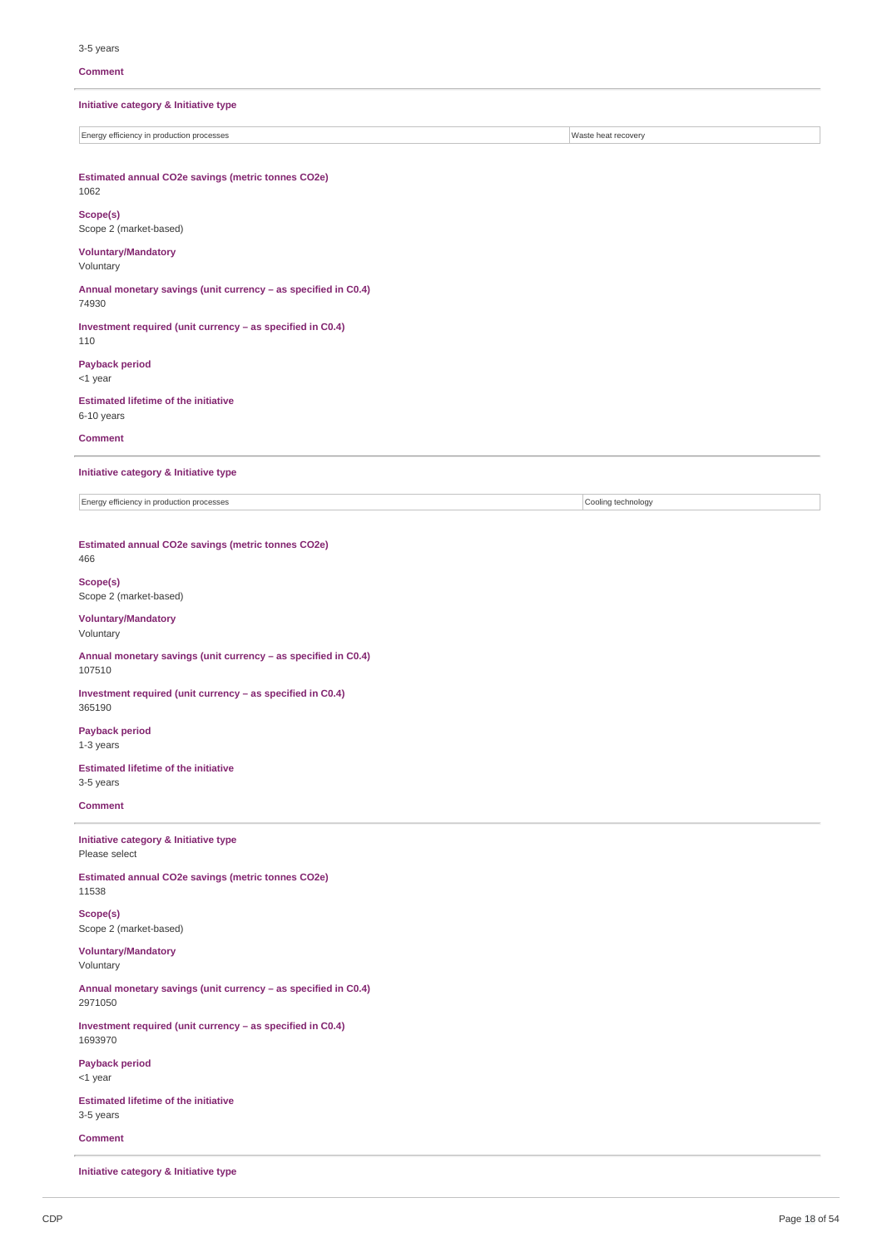#### **Comment**

**Initiative category & Initiative type**

Energy efficiency in production processes Waste heat recovery

**Estimated annual CO2e savings (metric tonnes CO2e)** 1062

**Scope(s)** Scope 2 (market-based)

## **Voluntary/Mandatory** Voluntary

**Annual monetary savings (unit currency – as specified in C0.4)** 74930

**Investment required (unit currency – as specified in C0.4)** 110

**Payback period** <1 year

**Estimated lifetime of the initiative** 6-10 years

**Comment**

#### **Initiative category & Initiative type**

Energy efficiency in production processes Cooling technology

**Estimated annual CO2e savings (metric tonnes CO2e)** 466

**Scope(s)** Scope 2 (market-based)

**Voluntary/Mandatory** Voluntary

**Annual monetary savings (unit currency – as specified in C0.4)** 107510

**Investment required (unit currency – as specified in C0.4)** 365190

**Payback period** 1-3 years

**Estimated lifetime of the initiative** 3-5 years

## **Comment**

**Initiative category & Initiative type** Please select

**Estimated annual CO2e savings (metric tonnes CO2e)** 11538

**Scope(s)** Scope 2 (market-based)

**Voluntary/Mandatory** Voluntary

**Annual monetary savings (unit currency – as specified in C0.4)** 2971050

**Investment required (unit currency – as specified in C0.4)** 1693970

**Payback period** <1 year

**Estimated lifetime of the initiative** 3-5 years

**Comment**

**Initiative category & Initiative type**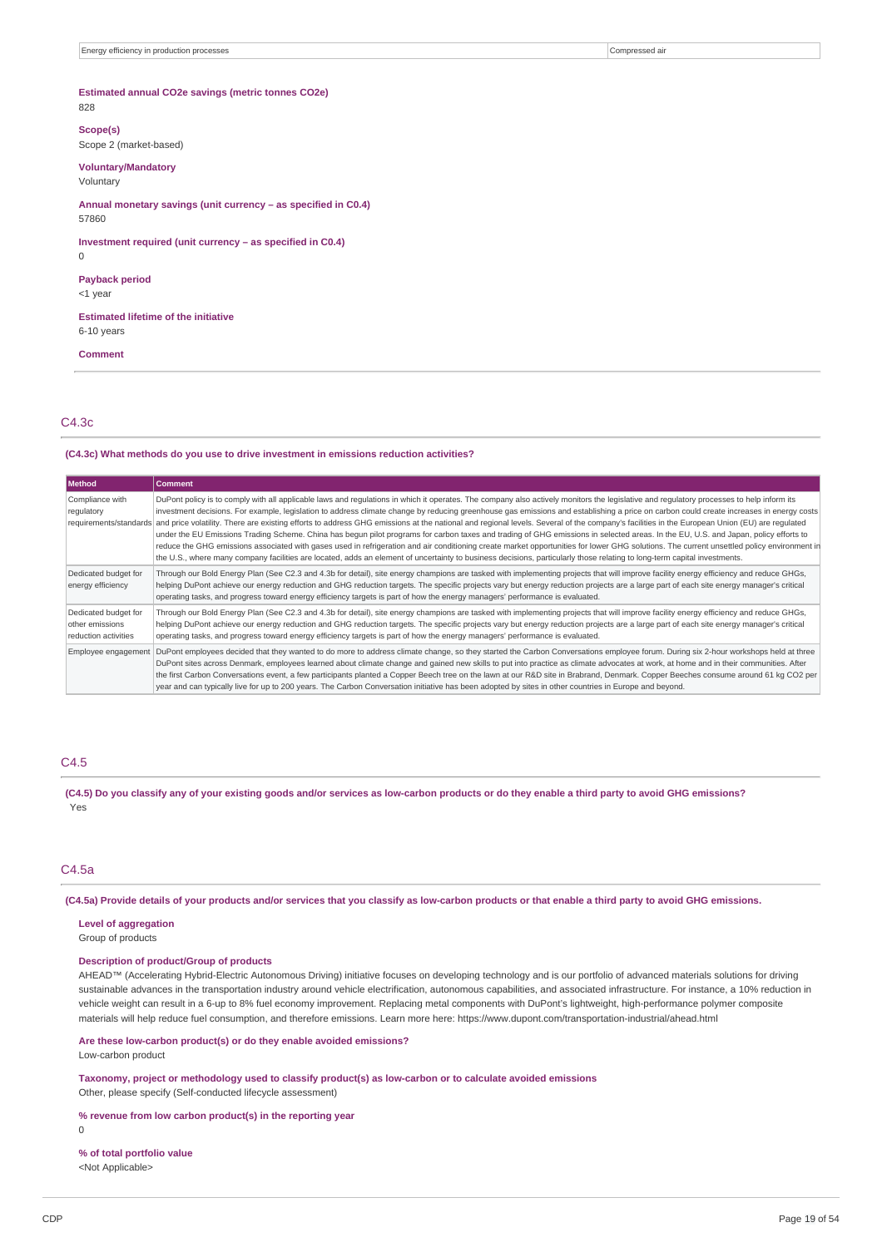## **Estimated annual CO2e savings (metric tonnes CO2e)** 828

# **Scope(s)**

Scope 2 (market-based)

## **Voluntary/Mandatory**

Voluntary

**Annual monetary savings (unit currency – as specified in C0.4)** 57860

**Investment required (unit currency – as specified in C0.4)**

# **Payback period**

<1 year

 $\Omega$ 

**Estimated lifetime of the initiative**

6-10 years

**Comment**

### C4.3c

#### **(C4.3c) What methods do you use to drive investment in emissions reduction activities?**

| Method                                                          | <b>Comment</b>                                                                                                                                                                                                                                                                                                                                                                                                                                                                                                                                                                                                                                                                                                                                                                                                                                                                                                                                                                                                                                                                                                                                                             |
|-----------------------------------------------------------------|----------------------------------------------------------------------------------------------------------------------------------------------------------------------------------------------------------------------------------------------------------------------------------------------------------------------------------------------------------------------------------------------------------------------------------------------------------------------------------------------------------------------------------------------------------------------------------------------------------------------------------------------------------------------------------------------------------------------------------------------------------------------------------------------------------------------------------------------------------------------------------------------------------------------------------------------------------------------------------------------------------------------------------------------------------------------------------------------------------------------------------------------------------------------------|
| Compliance with<br>regulatory                                   | DuPont policy is to comply with all applicable laws and regulations in which it operates. The company also actively monitors the legislative and regulatory processes to help inform its<br>investment decisions. For example, legislation to address climate change by reducing greenhouse gas emissions and establishing a price on carbon could create increases in energy costs<br>requirements/standards and price volatility. There are existing efforts to address GHG emissions at the national and regional levels. Several of the company's facilities in the European Union (EU) are requlated<br>under the EU Emissions Trading Scheme. China has begun pilot programs for carbon taxes and trading of GHG emissions in selected areas. In the EU, U.S. and Japan, policy efforts to<br>reduce the GHG emissions associated with gases used in refrigeration and air conditioning create market opportunities for lower GHG solutions. The current unsettled policy environment in<br>the U.S., where many company facilities are located, adds an element of uncertainty to business decisions, particularly those relating to long-term capital investments. |
| Dedicated budget for<br>energy efficiency                       | Through our Bold Energy Plan (See C2.3 and 4.3b for detail), site energy champions are tasked with implementing projects that will improve facility energy efficiency and reduce GHGs,<br>helping DuPont achieve our energy reduction and GHG reduction targets. The specific projects vary but energy reduction projects are a large part of each site energy manager's critical<br>operating tasks, and progress toward energy efficiency targets is part of how the energy managers' performance is evaluated.                                                                                                                                                                                                                                                                                                                                                                                                                                                                                                                                                                                                                                                          |
| Dedicated budget for<br>other emissions<br>reduction activities | Through our Bold Energy Plan (See C2.3 and 4.3b for detail), site energy champions are tasked with implementing projects that will improve facility energy efficiency and reduce GHGs,<br>helping DuPont achieve our energy reduction and GHG reduction targets. The specific projects vary but energy reduction projects are a large part of each site energy manager's critical<br>operating tasks, and progress toward energy efficiency targets is part of how the energy managers' performance is evaluated.                                                                                                                                                                                                                                                                                                                                                                                                                                                                                                                                                                                                                                                          |
| Employee engagement                                             | DuPont employees decided that they wanted to do more to address climate change, so they started the Carbon Conversations employee forum. During six 2-hour workshops held at three<br>DuPont sites across Denmark, employees learned about climate change and gained new skills to put into practice as climate advocates at work, at home and in their communities. After<br>the first Carbon Conversations event, a few participants planted a Copper Beech tree on the lawn at our R&D site in Brabrand, Denmark. Copper Beeches consume around 61 kg CO2 per<br>year and can typically live for up to 200 years. The Carbon Conversation initiative has been adopted by sites in other countries in Europe and beyond.                                                                                                                                                                                                                                                                                                                                                                                                                                                 |

## C4.5

(C4.5) Do you classify any of your existing goods and/or services as low-carbon products or do they enable a third party to avoid GHG emissions? Yes

# C4.5a

(C4.5a) Provide details of your products and/or services that you classify as low-carbon products or that enable a third party to avoid GHG emissions.

#### **Level of aggregation**

Group of products

#### **Description of product/Group of products**

AHEAD™ (Accelerating Hybrid-Electric Autonomous Driving) initiative focuses on developing technology and is our portfolio of advanced materials solutions for driving sustainable advances in the transportation industry around vehicle electrification, autonomous capabilities, and associated infrastructure. For instance, a 10% reduction in vehicle weight can result in a 6-up to 8% fuel economy improvement. Replacing metal components with DuPont's lightweight, high-performance polymer composite materials will help reduce fuel consumption, and therefore emissions. Learn more here: https://www.dupont.com/transportation-industrial/ahead.html

# **Are these low-carbon product(s) or do they enable avoided emissions?**

Low-carbon product

**Taxonomy, project or methodology used to classify product(s) as low-carbon or to calculate avoided emissions** Other, please specify (Self-conducted lifecycle assessment)

## **% revenue from low carbon product(s) in the reporting year**

0

**% of total portfolio value** <Not Applicable>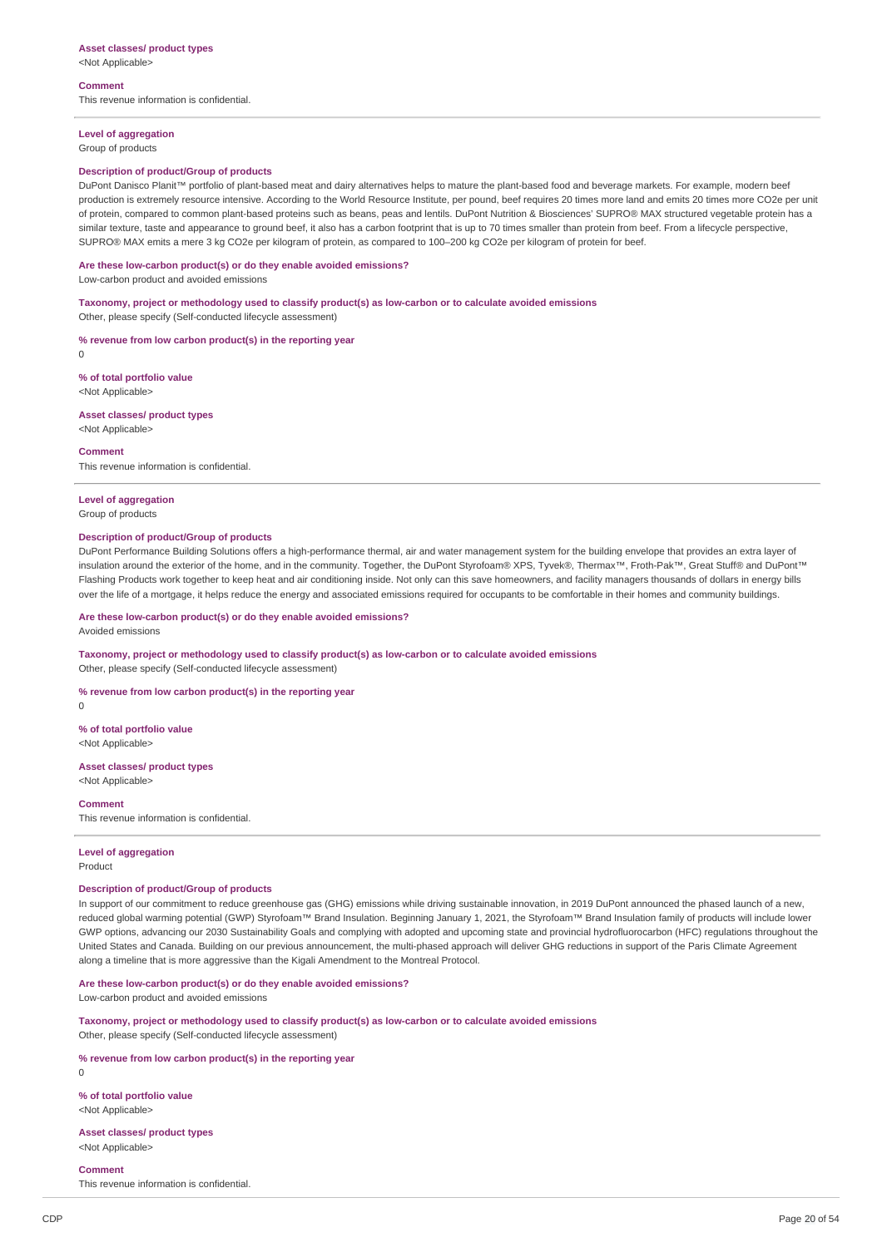<Not Applicable>

**Comment**

This revenue information is confidential.

## **Level of aggregation**

Group of products

## **Description of product/Group of products**

DuPont Danisco Planit™ portfolio of plant-based meat and dairy alternatives helps to mature the plant-based food and beverage markets. For example, modern beef production is extremely resource intensive. According to the World Resource Institute, per pound, beef requires 20 times more land and emits 20 times more CO2e per unit of protein, compared to common plant-based proteins such as beans, peas and lentils. DuPont Nutrition & Biosciences' SUPRO® MAX structured vegetable protein has a similar texture, taste and appearance to ground beef, it also has a carbon footprint that is up to 70 times smaller than protein from beef. From a lifecycle perspective, SUPRO® MAX emits a mere 3 kg CO2e per kilogram of protein, as compared to 100–200 kg CO2e per kilogram of protein for beef.

#### **Are these low-carbon product(s) or do they enable avoided emissions?**

Low-carbon product and avoided emissions

#### **Taxonomy, project or methodology used to classify product(s) as low-carbon or to calculate avoided emissions**

Other, please specify (Self-conducted lifecycle assessment)

**% revenue from low carbon product(s) in the reporting year**

 $\Omega$ 

# **% of total portfolio value**

<Not Applicable>

# **Asset classes/ product types**

<Not Applicable>

#### **Comment**

This revenue information is confidential.

## **Level of aggregation**

Group of products

#### **Description of product/Group of products**

DuPont Performance Building Solutions offers a high-performance thermal, air and water management system for the building envelope that provides an extra layer of insulation around the exterior of the home, and in the community. Together, the DuPont Styrofoam® XPS, Tyvek®, Thermax™, Froth-Pak™, Great Stuff® and DuPont™ Flashing Products work together to keep heat and air conditioning inside. Not only can this save homeowners, and facility managers thousands of dollars in energy bills over the life of a mortgage, it helps reduce the energy and associated emissions required for occupants to be comfortable in their homes and community buildings.

#### **Are these low-carbon product(s) or do they enable avoided emissions?**

Avoided emissions

## **Taxonomy, project or methodology used to classify product(s) as low-carbon or to calculate avoided emissions** Other, please specify (Self-conducted lifecycle assessment)

**% revenue from low carbon product(s) in the reporting year**

 $\theta$ 

**% of total portfolio value** <Not Applicable>

#### **Asset classes/ product types** <Not Applicable>

**Comment**

This revenue information is confidential.

# **Level of aggregation**

Product

## **Description of product/Group of products**

In support of our commitment to reduce greenhouse gas (GHG) emissions while driving sustainable innovation, in 2019 DuPont announced the phased launch of a new, reduced global warming potential (GWP) Styrofoam™ Brand Insulation. Beginning January 1, 2021, the Styrofoam™ Brand Insulation family of products will include lower GWP options, advancing our 2030 Sustainability Goals and complying with adopted and upcoming state and provincial hydrofluorocarbon (HFC) regulations throughout the United States and Canada. Building on our previous announcement, the multi-phased approach will deliver GHG reductions in support of the Paris Climate Agreement along a timeline that is more aggressive than the Kigali Amendment to the Montreal Protocol.

## **Are these low-carbon product(s) or do they enable avoided emissions?**

Low-carbon product and avoided emissions

**Taxonomy, project or methodology used to classify product(s) as low-carbon or to calculate avoided emissions** Other, please specify (Self-conducted lifecycle assessment)

# **% revenue from low carbon product(s) in the reporting year**

 $\theta$ 

**% of total portfolio value** <Not Applicable>

#### **Asset classes/ product types** <Not Applicable>

**Comment**

This revenue information is confidential.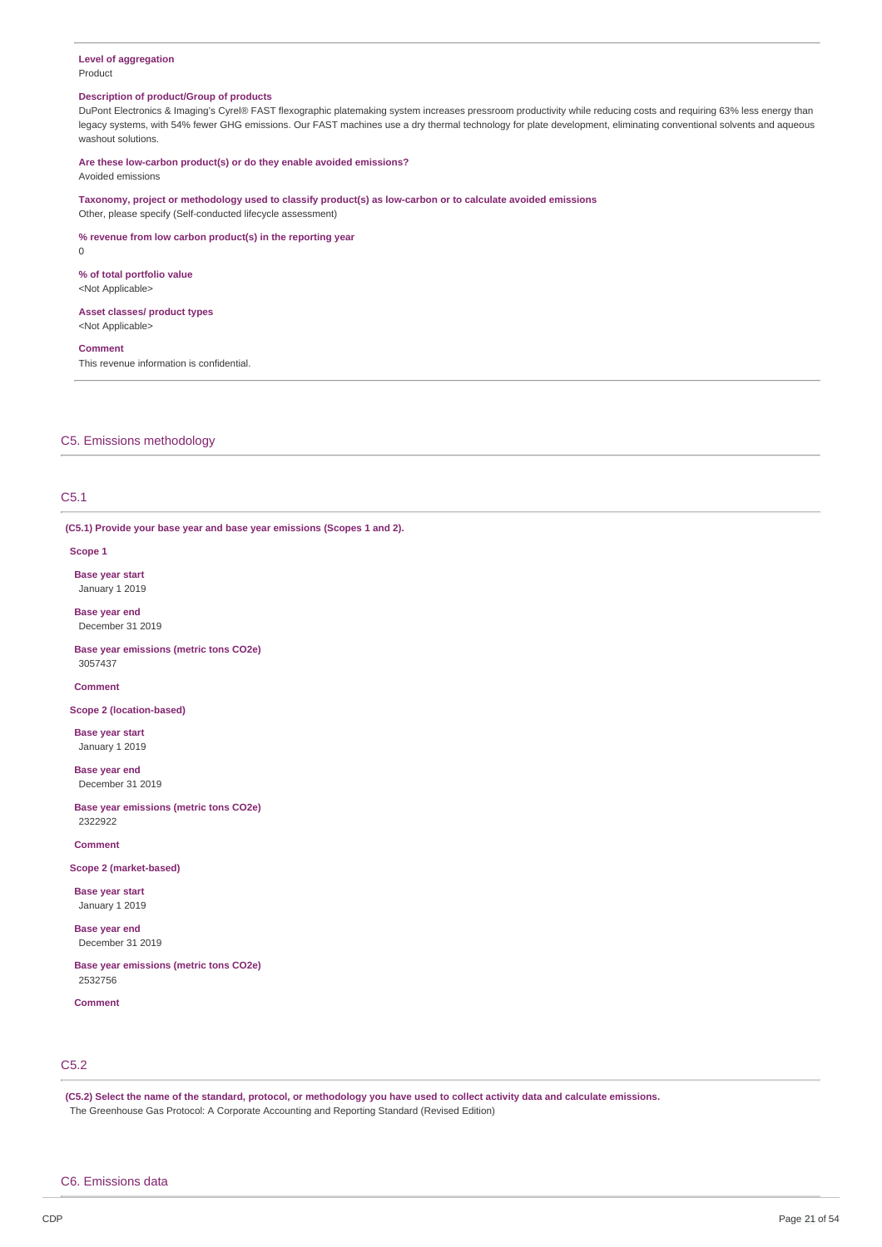#### **Level of aggregation** Product

#### **Description of product/Group of products**

DuPont Electronics & Imaging's Cyrel® FAST flexographic platemaking system increases pressroom productivity while reducing costs and requiring 63% less energy than legacy systems, with 54% fewer GHG emissions. Our FAST machines use a dry thermal technology for plate development, eliminating conventional solvents and aqueous washout solutions.

#### **Are these low-carbon product(s) or do they enable avoided emissions?** Avoided emissions

**Taxonomy, project or methodology used to classify product(s) as low-carbon or to calculate avoided emissions**

Other, please specify (Self-conducted lifecycle assessment)

# **% revenue from low carbon product(s) in the reporting year**

 $\Omega$ 

## **% of total portfolio value**

<Not Applicable>

#### **Asset classes/ product types** <Not Applicable>

#### **Comment**

This revenue information is confidential.

## C5. Emissions methodology

# C5.1

**(C5.1) Provide your base year and base year emissions (Scopes 1 and 2).**

#### **Scope 1**

**Base year start** January 1 2019

**Base year end** December 31 2019

**Base year emissions (metric tons CO2e)** 3057437

**Comment**

#### **Scope 2 (location-based)**

**Base year start** January 1 2019

**Base year end** December 31 2019

**Base year emissions (metric tons CO2e)** 2322922

## **Comment**

**Scope 2 (market-based)**

**Base year start** January 1 2019

**Base year end** December 31 2019

**Base year emissions (metric tons CO2e)** 2532756

#### **Comment**

# C5.2

(C5.2) Select the name of the standard, protocol, or methodology you have used to collect activity data and calculate emissions. The Greenhouse Gas Protocol: A Corporate Accounting and Reporting Standard (Revised Edition)

#### C6. Emissions data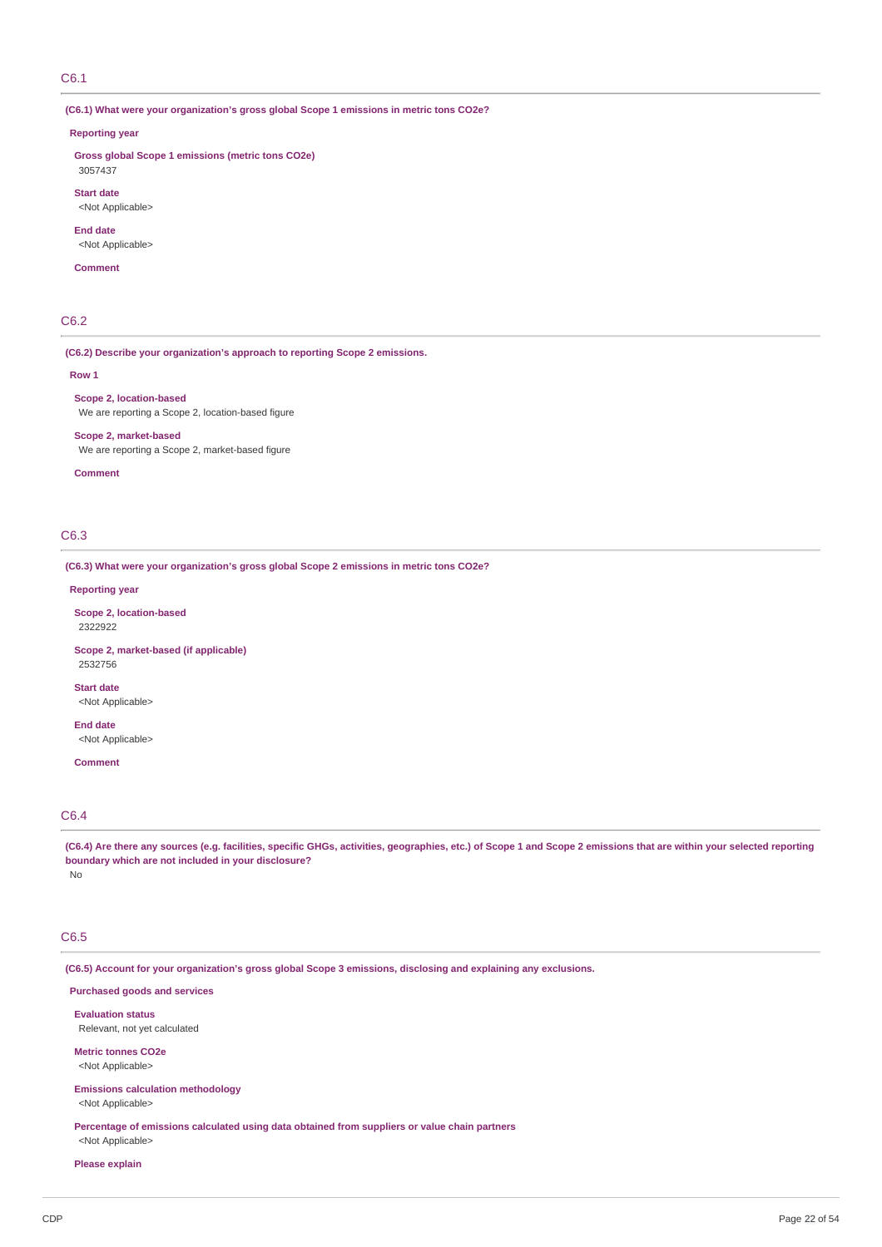## C6.1

**(C6.1) What were your organization's gross global Scope 1 emissions in metric tons CO2e?**

#### **Reporting year**

**Gross global Scope 1 emissions (metric tons CO2e)** 3057437

**Start date** <Not Applicable>

**End date** <Not Applicable>

#### **Comment**

# C6.2

**(C6.2) Describe your organization's approach to reporting Scope 2 emissions.**

#### **Row 1**

**Scope 2, location-based** We are reporting a Scope 2, location-based figure

**Scope 2, market-based** We are reporting a Scope 2, market-based figure

#### **Comment**

# C6.3

**(C6.3) What were your organization's gross global Scope 2 emissions in metric tons CO2e?**

## **Reporting year**

**Scope 2, location-based** 2322922

**Scope 2, market-based (if applicable)** 2532756

<Not Applicable>

**End date** <Not Applicable>

**Comment**

**Start date**

# C6.4

(C6.4) Are there any sources (e.g. facilities, specific GHGs, activities, geographies, etc.) of Scope 1 and Scope 2 emissions that are within your selected reporting **boundary which are not included in your disclosure?** No

# C6.5

**(C6.5) Account for your organization's gross global Scope 3 emissions, disclosing and explaining any exclusions.**

**Purchased goods and services**

**Evaluation status** Relevant, not yet calculated

**Metric tonnes CO2e** <Not Applicable>

**Emissions calculation methodology** <Not Applicable>

**Percentage of emissions calculated using data obtained from suppliers or value chain partners**

# <Not Applicable> **Please explain**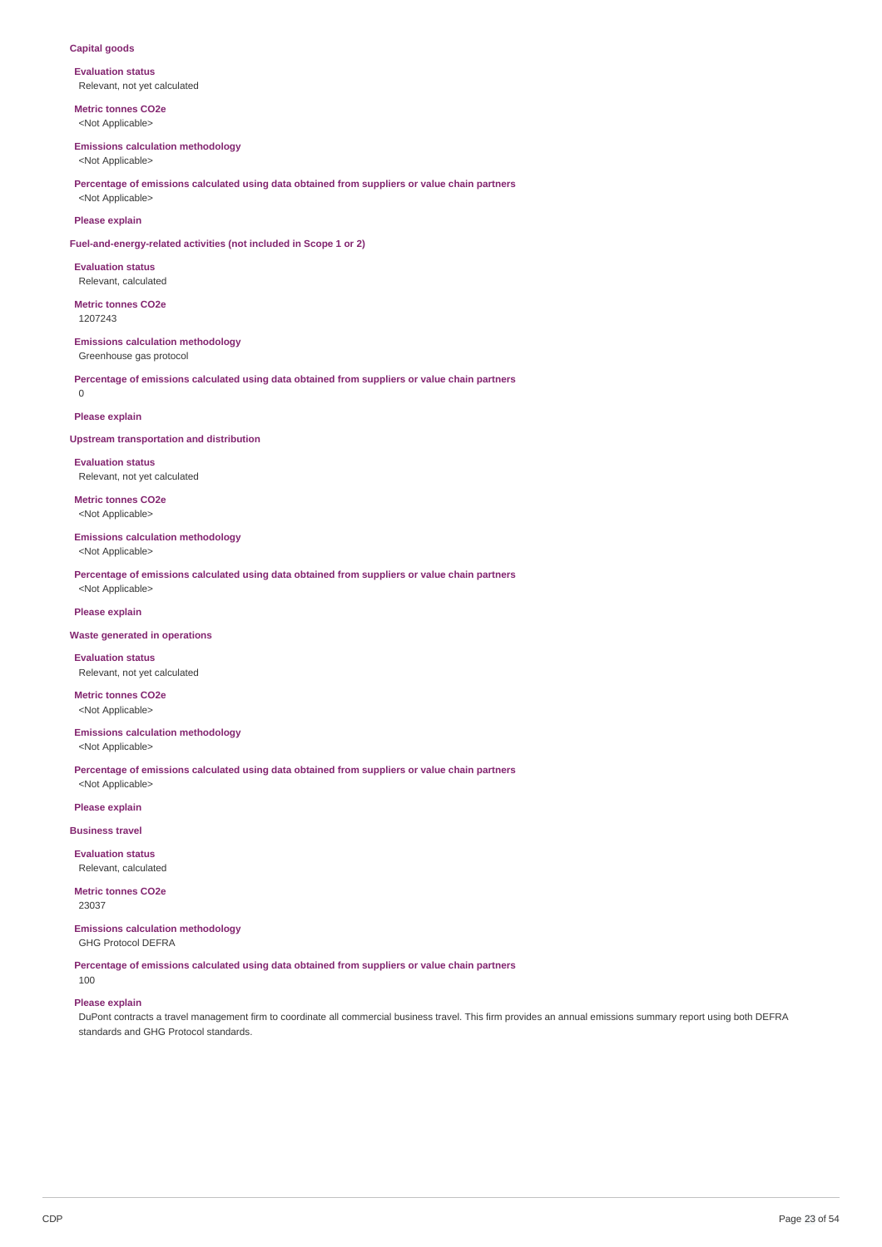## **Capital goods**

**Evaluation status** Relevant, not yet calculated

**Metric tonnes CO2e** <Not Applicable>

#### **Emissions calculation methodology**

<Not Applicable>

**Percentage of emissions calculated using data obtained from suppliers or value chain partners** <Not Applicable>

#### **Please explain**

**Fuel-and-energy-related activities (not included in Scope 1 or 2)**

**Evaluation status** Relevant, calculated

**Metric tonnes CO2e** 1207243

# **Emissions calculation methodology**

Greenhouse gas protocol

**Percentage of emissions calculated using data obtained from suppliers or value chain partners**  $\Omega$ 

## **Please explain**

## **Upstream transportation and distribution**

**Evaluation status** Relevant, not yet calculated

**Metric tonnes CO2e** <Not Applicable>

# **Emissions calculation methodology**

<Not Applicable>

**Percentage of emissions calculated using data obtained from suppliers or value chain partners** <Not Applicable>

# **Please explain**

#### **Waste generated in operations**

**Evaluation status** Relevant, not yet calculated

**Metric tonnes CO2e** <Not Applicable>

**Emissions calculation methodology** <Not Applicable>

**Percentage of emissions calculated using data obtained from suppliers or value chain partners** <Not Applicable>

**Please explain**

**Business travel**

**Evaluation status** Relevant, calculated

**Metric tonnes CO2e** 23037

# **Emissions calculation methodology**

GHG Protocol DEFRA

**Percentage of emissions calculated using data obtained from suppliers or value chain partners** 100

# **Please explain**

DuPont contracts a travel management firm to coordinate all commercial business travel. This firm provides an annual emissions summary report using both DEFRA standards and GHG Protocol standards.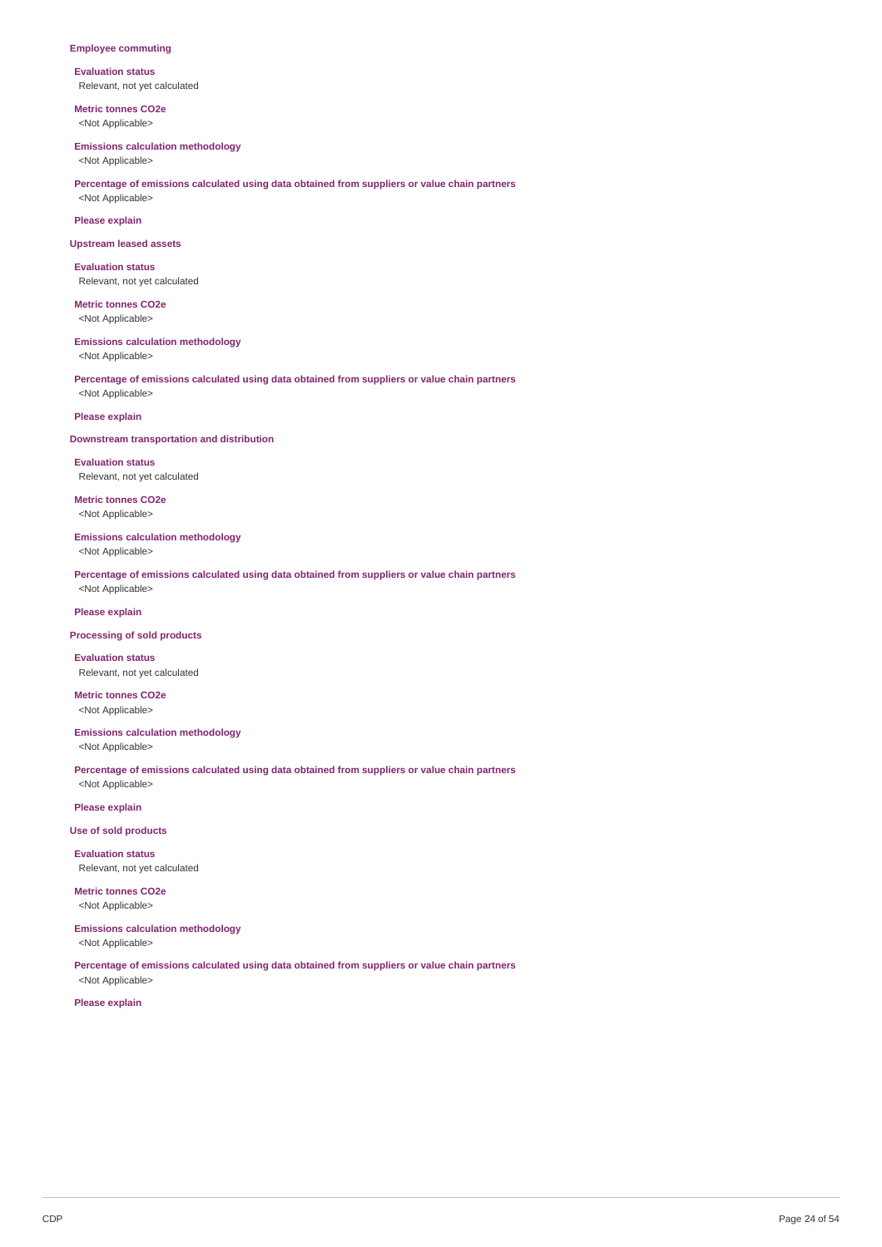## **Employee commuting**

**Evaluation status** Relevant, not yet calculated

**Metric tonnes CO2e** <Not Applicable>

#### **Emissions calculation methodology**

<Not Applicable>

# **Percentage of emissions calculated using data obtained from suppliers or value chain partners** <Not Applicable>

**Please explain**

#### **Upstream leased assets**

**Evaluation status** Relevant, not yet calculated

**Metric tonnes CO2e** <Not Applicable>

# **Emissions calculation methodology**

<Not Applicable>

**Percentage of emissions calculated using data obtained from suppliers or value chain partners** <Not Applicable>

# **Please explain**

## **Downstream transportation and distribution**

**Evaluation status** Relevant, not yet calculated

**Metric tonnes CO2e** <Not Applicable>

# **Emissions calculation methodology**

<Not Applicable>

**Percentage of emissions calculated using data obtained from suppliers or value chain partners** <Not Applicable>

# **Please explain**

#### **Processing of sold products**

**Evaluation status** Relevant, not yet calculated

**Metric tonnes CO2e** <Not Applicable>

**Emissions calculation methodology** <Not Applicable>

**Percentage of emissions calculated using data obtained from suppliers or value chain partners** <Not Applicable>

**Please explain**

**Use of sold products**

**Evaluation status** Relevant, not yet calculated

**Metric tonnes CO2e** <Not Applicable>

# **Emissions calculation methodology**

<Not Applicable>

**Percentage of emissions calculated using data obtained from suppliers or value chain partners** <Not Applicable>

**Please explain**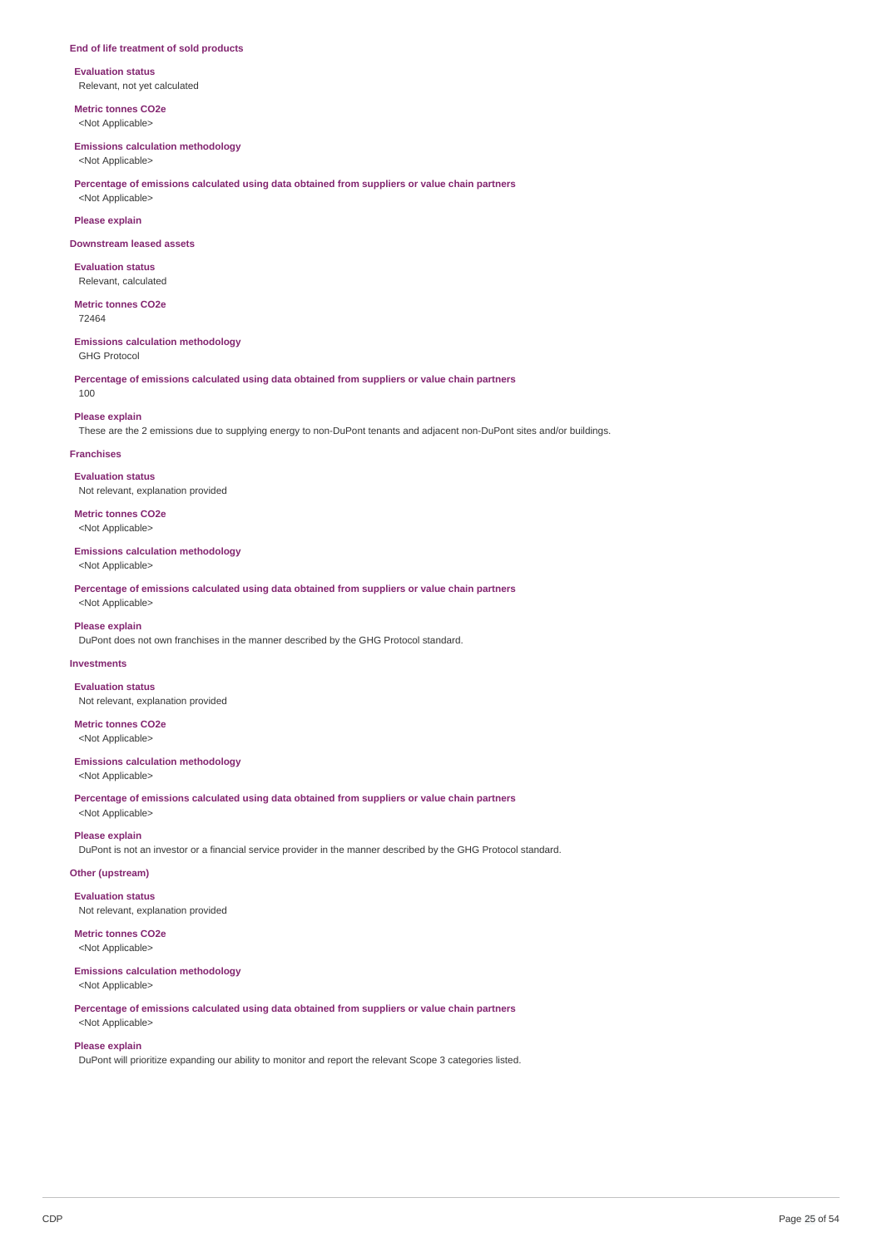#### **End of life treatment of sold products**

**Evaluation status** Relevant, not yet calculated

**Metric tonnes CO2e** <Not Applicable>

#### **Emissions calculation methodology**

<Not Applicable>

## **Percentage of emissions calculated using data obtained from suppliers or value chain partners** <Not Applicable>

**Please explain**

**Downstream leased assets**

**Evaluation status** Relevant, calculated

**Metric tonnes CO2e** 72464

**Emissions calculation methodology** GHG Protocol

**Percentage of emissions calculated using data obtained from suppliers or value chain partners** 100

#### **Please explain**

These are the 2 emissions due to supplying energy to non-DuPont tenants and adjacent non-DuPont sites and/or buildings.

## **Franchises**

**Evaluation status** Not relevant, explanation provided

**Metric tonnes CO2e** <Not Applicable>

## **Emissions calculation methodology**

<Not Applicable>

**Percentage of emissions calculated using data obtained from suppliers or value chain partners** <Not Applicable>

#### **Please explain**

DuPont does not own franchises in the manner described by the GHG Protocol standard.

#### **Investments**

**Evaluation status** Not relevant, explanation provided

#### **Metric tonnes CO2e** <Not Applicable>

**Emissions calculation methodology**

<Not Applicable>

**Percentage of emissions calculated using data obtained from suppliers or value chain partners** <Not Applicable>

# **Please explain**

DuPont is not an investor or a financial service provider in the manner described by the GHG Protocol standard.

## **Other (upstream)**

**Evaluation status**

Not relevant, explanation provided

# **Metric tonnes CO2e**

<Not Applicable>

# **Emissions calculation methodology**

<Not Applicable>

**Percentage of emissions calculated using data obtained from suppliers or value chain partners** <Not Applicable>

## **Please explain**

DuPont will prioritize expanding our ability to monitor and report the relevant Scope 3 categories listed.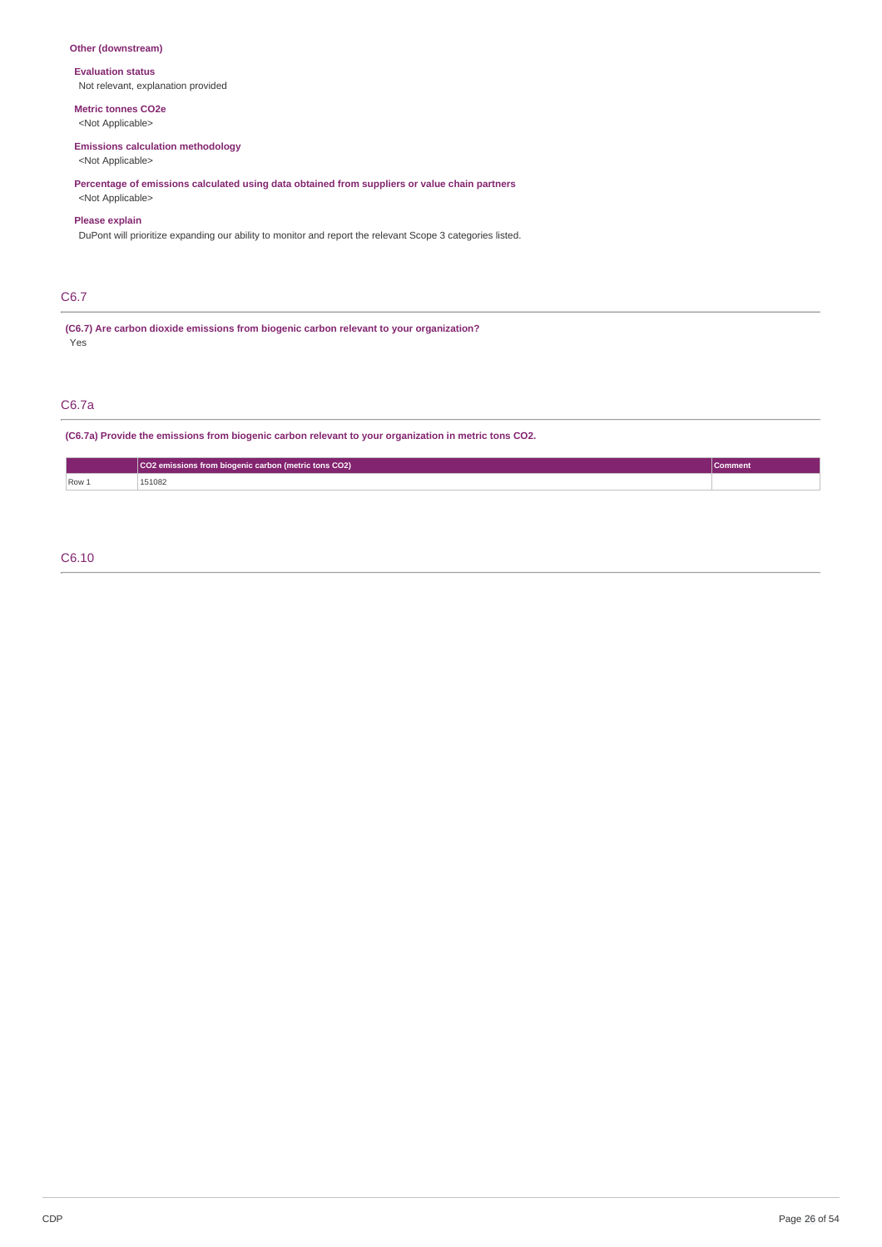# **Other (downstream)**

## **Evaluation status**

Not relevant, explanation provided

# **Metric tonnes CO2e**

<Not Applicable>

# **Emissions calculation methodology**

<Not Applicable>

**Percentage of emissions calculated using data obtained from suppliers or value chain partners** <Not Applicable>

## **Please explain**

DuPont will prioritize expanding our ability to monitor and report the relevant Scope 3 categories listed.

# C6.7

**(C6.7) Are carbon dioxide emissions from biogenic carbon relevant to your organization?** Yes

# C6.7a

**(C6.7a) Provide the emissions from biogenic carbon relevant to your organization in metric tons CO2.**

|       | CO2 emissions from biogenic carbon (metric tons CO2) | <b>Comment</b> |
|-------|------------------------------------------------------|----------------|
| Row 1 | 151082                                               |                |

# C6.10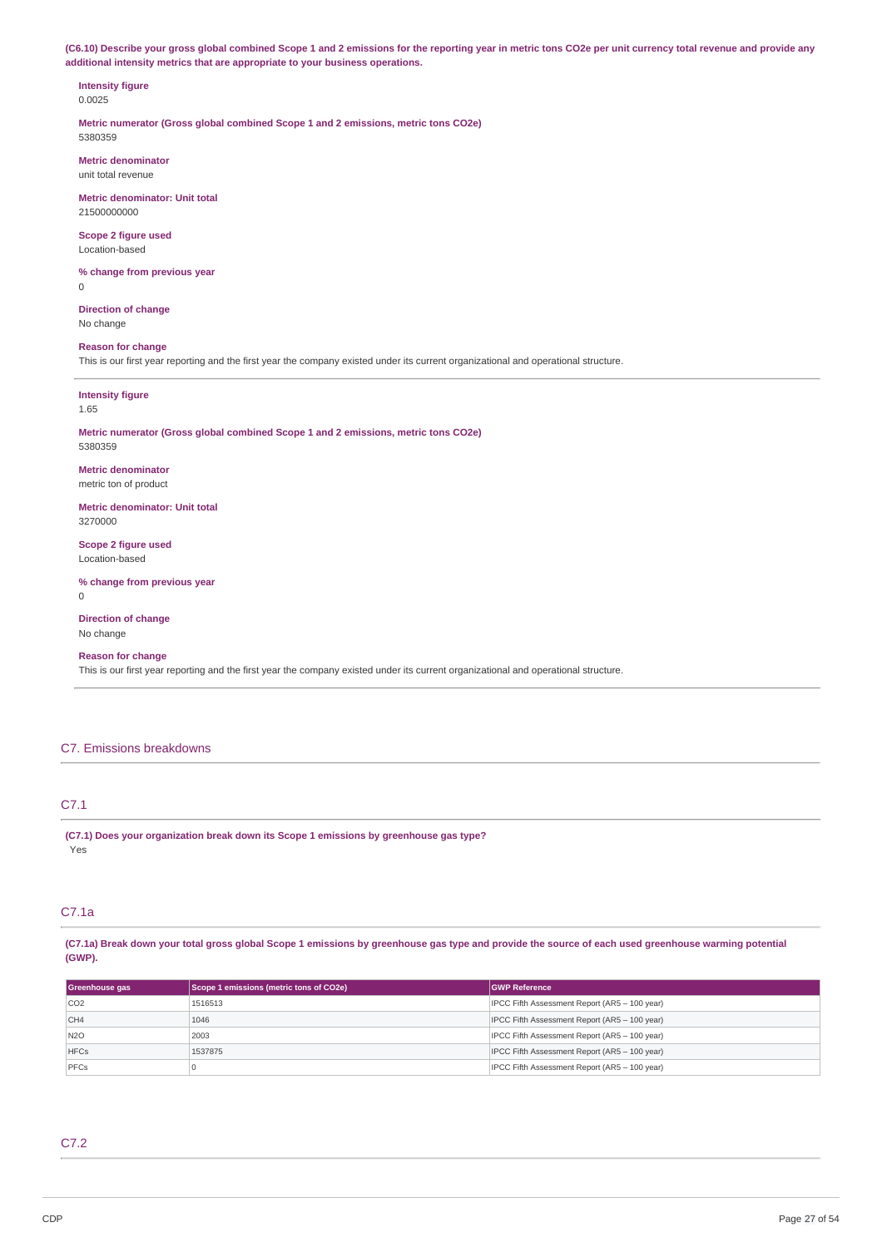(C6.10) Describe your gross global combined Scope 1 and 2 emissions for the reporting year in metric tons CO2e per unit currency total revenue and provide any **additional intensity metrics that are appropriate to your business operations.**

#### **Intensity figure** 0.0025

**Metric numerator (Gross global combined Scope 1 and 2 emissions, metric tons CO2e)** 5380359

**Metric denominator** unit total revenue

**Metric denominator: Unit total** 21500000000

**Scope 2 figure used** Location-based

**% change from previous year**  $\overline{0}$ 

**Direction of change** No change

# **Reason for change**

This is our first year reporting and the first year the company existed under its current organizational and operational structure.

**Intensity figure** 1.65

#### **Metric numerator (Gross global combined Scope 1 and 2 emissions, metric tons CO2e)** 5380359

**Metric denominator** metric ton of product

**Metric denominator: Unit total** 3270000

**Scope 2 figure used** Location-based

**% change from previous year**  $\Omega$ 

**Direction of change** No change

# **Reason for change**

This is our first year reporting and the first year the company existed under its current organizational and operational structure.

# C7. Emissions breakdowns

# C7.1

**(C7.1) Does your organization break down its Scope 1 emissions by greenhouse gas type?** Yes

# C7.1a

(C7.1a) Break down your total gross global Scope 1 emissions by greenhouse gas type and provide the source of each used greenhouse warming potential **(GWP).**

| Greenhouse gas  | Scope 1 emissions (metric tons of CO2e) | <b>GWP Reference</b>                          |
|-----------------|-----------------------------------------|-----------------------------------------------|
| CO2             | 1516513                                 | IPCC Fifth Assessment Report (AR5 - 100 year) |
| CH <sub>4</sub> | 1046                                    | IPCC Fifth Assessment Report (AR5 - 100 year) |
| N <sub>20</sub> | 2003                                    | IPCC Fifth Assessment Report (AR5 - 100 year) |
| <b>HFCs</b>     | 1537875                                 | IPCC Fifth Assessment Report (AR5 - 100 year) |
| PFCs            |                                         | IPCC Fifth Assessment Report (AR5 - 100 year) |

# C7.2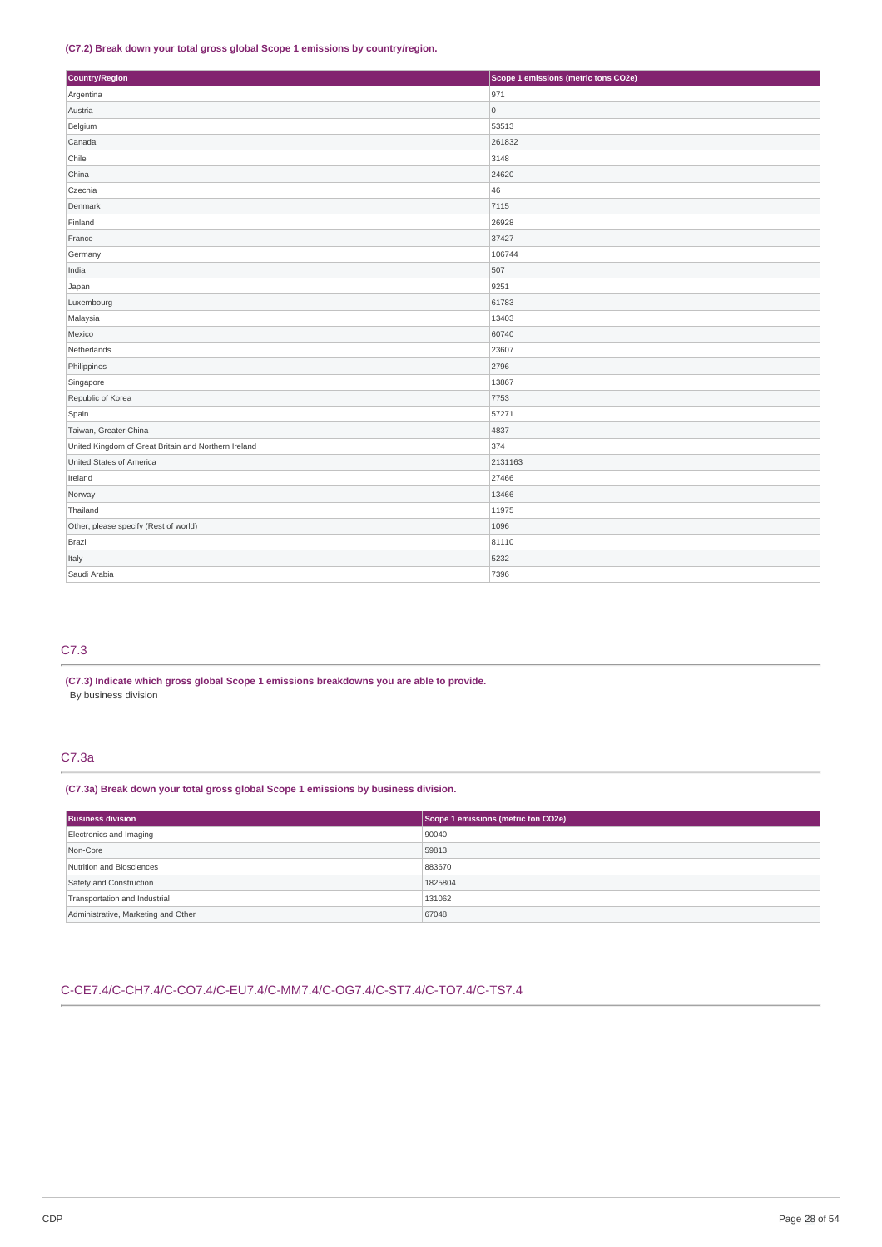## **(C7.2) Break down your total gross global Scope 1 emissions by country/region.**

| Country/Region                                       | Scope 1 emissions (metric tons CO2e) |
|------------------------------------------------------|--------------------------------------|
| Argentina                                            | 971                                  |
| Austria                                              | $\overline{0}$                       |
| Belgium                                              | 53513                                |
| Canada                                               | 261832                               |
| Chile                                                | 3148                                 |
| China                                                | 24620                                |
| Czechia                                              | 46                                   |
| Denmark                                              | 7115                                 |
| Finland                                              | 26928                                |
| France                                               | 37427                                |
| Germany                                              | 106744                               |
| India                                                | 507                                  |
| Japan                                                | 9251                                 |
| Luxembourg                                           | 61783                                |
| Malaysia                                             | 13403                                |
| Mexico                                               | 60740                                |
| Netherlands                                          | 23607                                |
| Philippines                                          | 2796                                 |
| Singapore                                            | 13867                                |
| Republic of Korea                                    | 7753                                 |
| Spain                                                | 57271                                |
| Taiwan, Greater China                                | 4837                                 |
| United Kingdom of Great Britain and Northern Ireland | 374                                  |
| United States of America                             | 2131163                              |
| Ireland                                              | 27466                                |
| Norway                                               | 13466                                |
| Thailand                                             | 11975                                |
| Other, please specify (Rest of world)                | 1096                                 |
| Brazil                                               | 81110                                |
| Italy                                                | 5232                                 |
| Saudi Arabia                                         | 7396                                 |

# C7.3

**(C7.3) Indicate which gross global Scope 1 emissions breakdowns you are able to provide.** By business division

# C7.3a

**(C7.3a) Break down your total gross global Scope 1 emissions by business division.**

| <b>Business division</b>            | Scope 1 emissions (metric ton CO2e) |  |  |
|-------------------------------------|-------------------------------------|--|--|
| Electronics and Imaging             | 90040                               |  |  |
| Non-Core                            | 59813                               |  |  |
| Nutrition and Biosciences           | 883670                              |  |  |
| Safety and Construction             | 1825804                             |  |  |
| Transportation and Industrial       | 131062                              |  |  |
| Administrative, Marketing and Other | 67048                               |  |  |

# C-CE7.4/C-CH7.4/C-CO7.4/C-EU7.4/C-MM7.4/C-OG7.4/C-ST7.4/C-TO7.4/C-TS7.4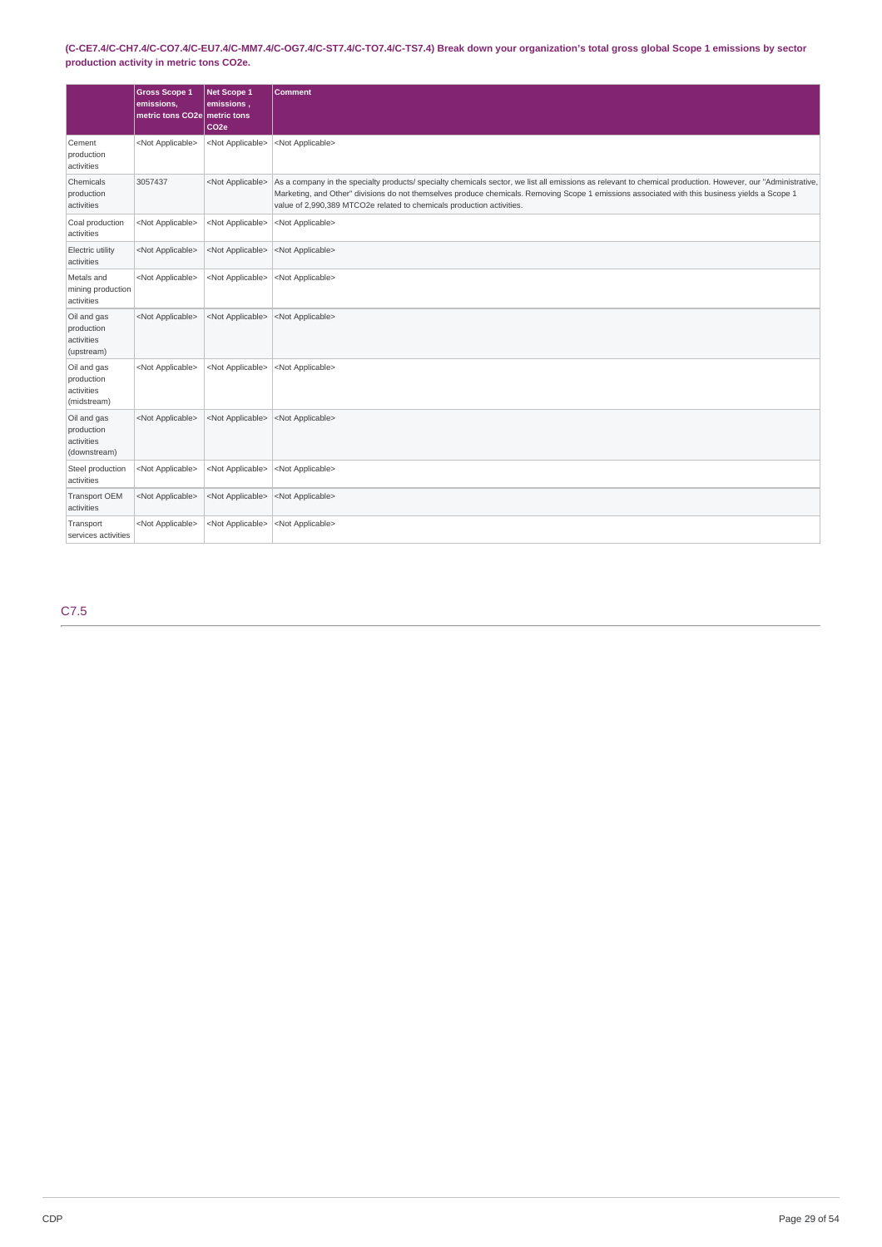# (C-CE7.4/C-CH7.4/C-CO7.4/C-EU7.4/C-MM7.4/C-OG7.4/C-ST7.4/C-TO7.4/C-TS7.4) Break down your organization's total gross global Scope 1 emissions by sector **production activity in metric tons CO2e.**

|                                                         | <b>Gross Scope 1</b><br>emissions,<br>metric tons CO2e metric tons | Net Scope 1<br>emissions,<br>CO <sub>2e</sub> | Comment                                                                                                                                                                                                                                                                                                                                                                                |
|---------------------------------------------------------|--------------------------------------------------------------------|-----------------------------------------------|----------------------------------------------------------------------------------------------------------------------------------------------------------------------------------------------------------------------------------------------------------------------------------------------------------------------------------------------------------------------------------------|
| Cement<br>production<br>activities                      | <not applicable=""></not>                                          | <not applicable=""></not>                     | <not applicable=""></not>                                                                                                                                                                                                                                                                                                                                                              |
| Chemicals<br>production<br>activities                   | 3057437                                                            | <not applicable=""></not>                     | As a company in the specialty products/ specialty chemicals sector, we list all emissions as relevant to chemical production. However, our "Administrative,<br>Marketing, and Other" divisions do not themselves produce chemicals. Removing Scope 1 emissions associated with this business yields a Scope 1<br>value of 2,990,389 MTCO2e related to chemicals production activities. |
| Coal production<br>activities                           | <not applicable=""></not>                                          | <not applicable=""></not>                     | <not applicable=""></not>                                                                                                                                                                                                                                                                                                                                                              |
| Electric utility<br>activities                          | <not applicable=""></not>                                          | <not applicable=""></not>                     | <not applicable=""></not>                                                                                                                                                                                                                                                                                                                                                              |
| Metals and<br>mining production<br>activities           | <not applicable=""></not>                                          | <not applicable=""></not>                     | <not applicable=""></not>                                                                                                                                                                                                                                                                                                                                                              |
| Oil and gas<br>production<br>activities<br>(upstream)   | <not applicable=""></not>                                          | <not applicable=""></not>                     | <not applicable=""></not>                                                                                                                                                                                                                                                                                                                                                              |
| Oil and gas<br>production<br>activities<br>(midstream)  | <not applicable=""></not>                                          | <not applicable=""></not>                     | <not applicable=""></not>                                                                                                                                                                                                                                                                                                                                                              |
| Oil and gas<br>production<br>activities<br>(downstream) | <not applicable=""></not>                                          | <not applicable=""></not>                     | <not applicable=""></not>                                                                                                                                                                                                                                                                                                                                                              |
| Steel production<br>activities                          | <not applicable=""></not>                                          | <not applicable=""></not>                     | <not applicable=""></not>                                                                                                                                                                                                                                                                                                                                                              |
| <b>Transport OEM</b><br>activities                      | <not applicable=""></not>                                          | <not applicable=""></not>                     | <not applicable=""></not>                                                                                                                                                                                                                                                                                                                                                              |
| Transport<br>services activities                        | <not applicable=""></not>                                          | <not applicable=""></not>                     | <not applicable=""></not>                                                                                                                                                                                                                                                                                                                                                              |

C7.5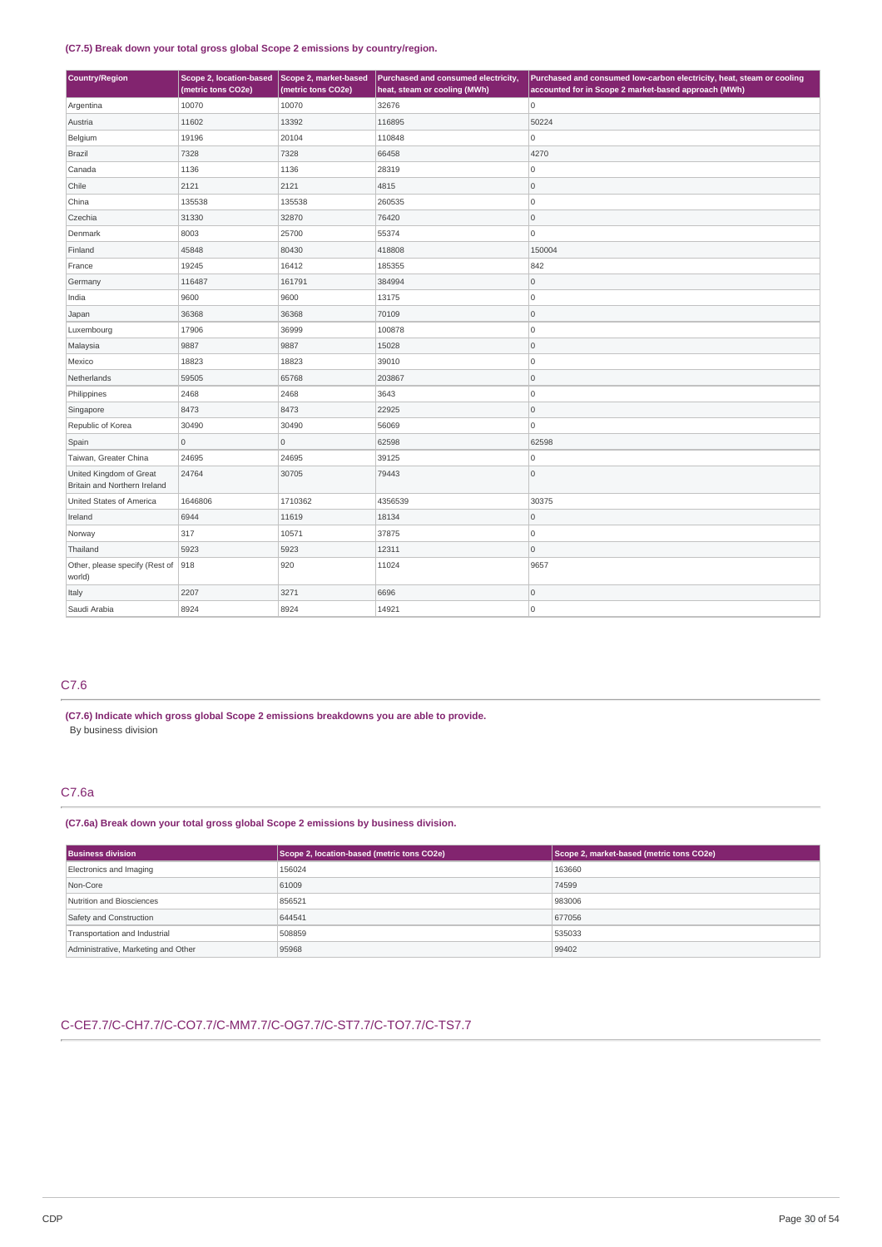## **(C7.5) Break down your total gross global Scope 2 emissions by country/region.**

| <b>Country/Region</b>                                   | Scope 2, location-based<br>(metric tons CO2e) | Scope 2, market-based<br>(metric tons CO2e) | Purchased and consumed electricity,<br>heat, steam or cooling (MWh) | Purchased and consumed low-carbon electricity, heat, steam or cooling<br>accounted for in Scope 2 market-based approach (MWh) |
|---------------------------------------------------------|-----------------------------------------------|---------------------------------------------|---------------------------------------------------------------------|-------------------------------------------------------------------------------------------------------------------------------|
| Argentina                                               | 10070                                         | 10070                                       | 32676                                                               | lo.                                                                                                                           |
| Austria                                                 | 11602                                         | 13392                                       | 116895                                                              | 50224                                                                                                                         |
| Belgium                                                 | 19196                                         | 20104                                       | 110848                                                              | $\circ$                                                                                                                       |
| <b>Brazil</b>                                           | 7328                                          | 7328                                        | 66458                                                               | 4270                                                                                                                          |
| Canada                                                  | 1136                                          | 1136                                        | 28319                                                               | 0                                                                                                                             |
| Chile                                                   | 2121                                          | 2121                                        | 4815                                                                | 0                                                                                                                             |
| China                                                   | 135538                                        | 135538                                      | 260535                                                              | lo.                                                                                                                           |
| Czechia                                                 | 31330                                         | 32870                                       | 76420                                                               | 0                                                                                                                             |
| Denmark                                                 | 8003                                          | 25700                                       | 55374                                                               | $\overline{0}$                                                                                                                |
| Finland                                                 | 45848                                         | 80430                                       | 418808                                                              | 150004                                                                                                                        |
| France                                                  | 19245                                         | 16412                                       | 185355                                                              | 842                                                                                                                           |
| Germany                                                 | 116487                                        | 161791                                      | 384994                                                              | O                                                                                                                             |
| India                                                   | 9600                                          | 9600                                        | 13175                                                               | 0                                                                                                                             |
| Japan                                                   | 36368                                         | 36368                                       | 70109                                                               | O                                                                                                                             |
| Luxembourg                                              | 17906                                         | 36999                                       | 100878                                                              | O                                                                                                                             |
| Malaysia                                                | 9887                                          | 9887                                        | 15028                                                               | $\overline{0}$                                                                                                                |
| Mexico                                                  | 18823                                         | 18823                                       | 39010                                                               | lo.                                                                                                                           |
| Netherlands                                             | 59505                                         | 65768                                       | 203867                                                              | O                                                                                                                             |
| Philippines                                             | 2468                                          | 2468                                        | 3643                                                                | O                                                                                                                             |
| Singapore                                               | 8473                                          | 8473                                        | 22925                                                               | O                                                                                                                             |
| Republic of Korea                                       | 30490                                         | 30490                                       | 56069                                                               | $\overline{0}$                                                                                                                |
| Spain                                                   | $\overline{0}$                                | $\mathbf 0$                                 | 62598                                                               | 62598                                                                                                                         |
| Taiwan, Greater China                                   | 24695                                         | 24695                                       | 39125                                                               | $\overline{0}$                                                                                                                |
| United Kingdom of Great<br>Britain and Northern Ireland | 24764                                         | 30705                                       | 79443                                                               | $\circ$                                                                                                                       |
| United States of America                                | 1646806                                       | 1710362                                     | 4356539                                                             | 30375                                                                                                                         |
| Ireland                                                 | 6944                                          | 11619                                       | 18134                                                               | 0                                                                                                                             |
| Norway                                                  | 317                                           | 10571                                       | 37875                                                               | $\overline{0}$                                                                                                                |
| Thailand                                                | 5923                                          | 5923                                        | 12311                                                               | lo.                                                                                                                           |
| Other, please specify (Rest of<br>world)                | 918                                           | 920                                         | 11024                                                               | 9657                                                                                                                          |
| Italy                                                   | 2207                                          | 3271                                        | 6696                                                                | $\circ$                                                                                                                       |
| Saudi Arabia                                            | 8924                                          | 8924                                        | 14921                                                               | $\overline{0}$                                                                                                                |

# C7.6

**(C7.6) Indicate which gross global Scope 2 emissions breakdowns you are able to provide.** By business division

# C7.6a

## **(C7.6a) Break down your total gross global Scope 2 emissions by business division.**

| <b>Business division</b>            | Scope 2, location-based (metric tons CO2e) | Scope 2, market-based (metric tons CO2e) |  |
|-------------------------------------|--------------------------------------------|------------------------------------------|--|
| Electronics and Imaging             | 156024                                     | 163660                                   |  |
| Non-Core                            | 61009                                      | 74599                                    |  |
| Nutrition and Biosciences           | 856521                                     | 983006                                   |  |
| Safety and Construction             | 644541                                     | 677056                                   |  |
| Transportation and Industrial       | 508859                                     | 535033                                   |  |
| Administrative, Marketing and Other | 95968                                      | 99402                                    |  |

# C-CE7.7/C-CH7.7/C-CO7.7/C-MM7.7/C-OG7.7/C-ST7.7/C-TO7.7/C-TS7.7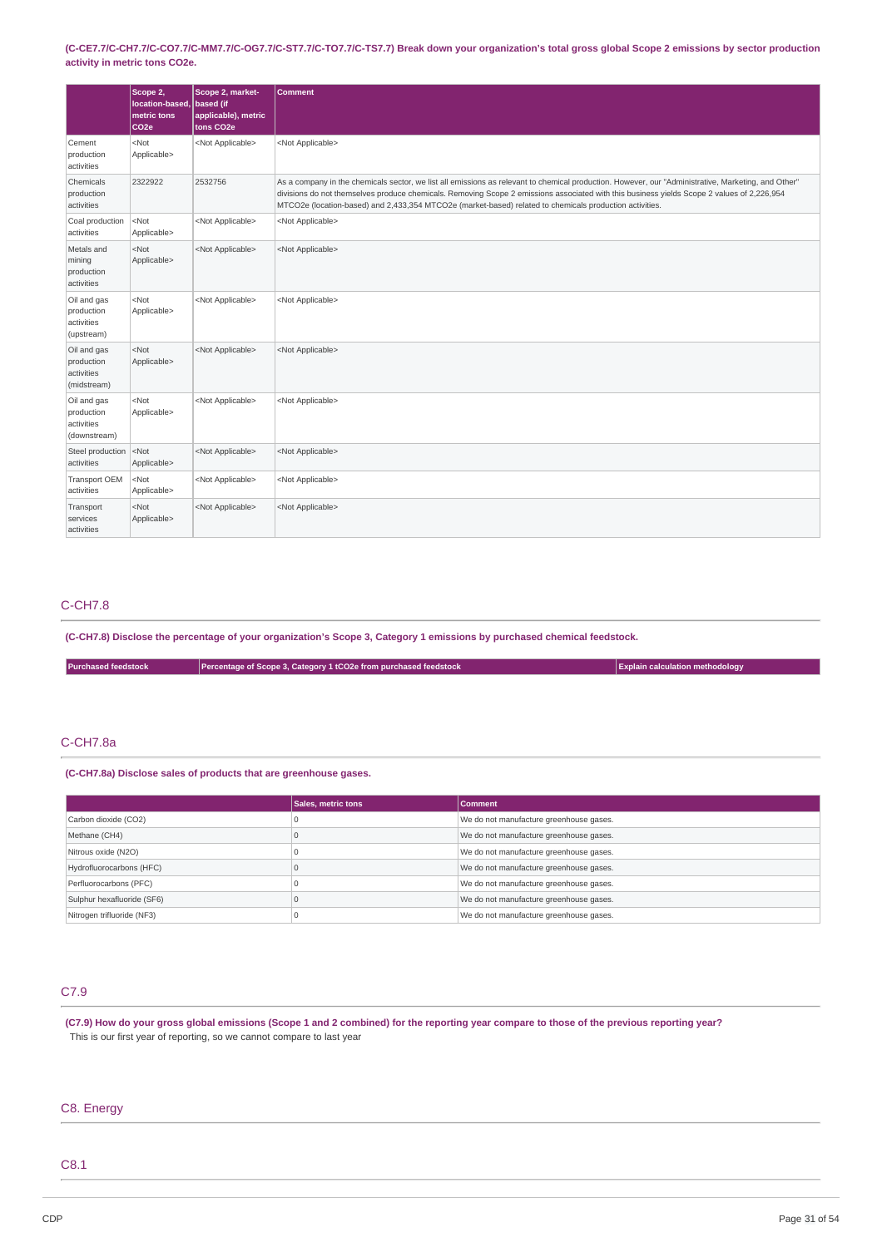(C-CE7.7/C-CH7.7/C-CO7.7/C-MM7.7/C-OG7.7/C-ST7.7/C-TO7.7/C-TS7.7) Break down your organization's total gross global Scope 2 emissions by sector production **activity in metric tons CO2e.**

|                                                         | Scope 2,<br>location-based.<br>metric tons<br>CO <sub>2e</sub> | Scope 2, market-<br>based (if<br>applicable), metric<br>tons CO <sub>2</sub> e | <b>Comment</b>                                                                                                                                                                                                                                                                                                                                                                                               |
|---------------------------------------------------------|----------------------------------------------------------------|--------------------------------------------------------------------------------|--------------------------------------------------------------------------------------------------------------------------------------------------------------------------------------------------------------------------------------------------------------------------------------------------------------------------------------------------------------------------------------------------------------|
| Cement<br>production<br>activities                      | $<$ Not<br>Applicable>                                         | <not applicable=""></not>                                                      | <not applicable=""></not>                                                                                                                                                                                                                                                                                                                                                                                    |
| Chemicals<br>production<br>activities                   | 2322922                                                        | 2532756                                                                        | As a company in the chemicals sector, we list all emissions as relevant to chemical production. However, our "Administrative, Marketing, and Other"<br>divisions do not themselves produce chemicals. Removing Scope 2 emissions associated with this business yields Scope 2 values of 2,226,954<br>MTCO2e (location-based) and 2,433,354 MTCO2e (market-based) related to chemicals production activities. |
| Coal production<br>activities                           | $<$ Not<br>Applicable>                                         | <not applicable=""></not>                                                      | <not applicable=""></not>                                                                                                                                                                                                                                                                                                                                                                                    |
| Metals and<br>mining<br>production<br>activities        | $<$ Not<br>Applicable>                                         | <not applicable=""></not>                                                      | <not applicable=""></not>                                                                                                                                                                                                                                                                                                                                                                                    |
| Oil and gas<br>production<br>activities<br>(upstream)   | $<$ Not<br>Applicable>                                         | <not applicable=""></not>                                                      | <not applicable=""></not>                                                                                                                                                                                                                                                                                                                                                                                    |
| Oil and gas<br>production<br>activities<br>(midstream)  | $<$ Not<br>Applicable>                                         | <not applicable=""></not>                                                      | <not applicable=""></not>                                                                                                                                                                                                                                                                                                                                                                                    |
| Oil and gas<br>production<br>activities<br>(downstream) | $<$ Not<br>Applicable>                                         | <not applicable=""></not>                                                      | <not applicable=""></not>                                                                                                                                                                                                                                                                                                                                                                                    |
| Steel production<br>activities                          | $<$ Not<br>Applicable>                                         | <not applicable=""></not>                                                      | <not applicable=""></not>                                                                                                                                                                                                                                                                                                                                                                                    |
| Transport OEM<br>activities                             | $<$ Not<br>Applicable>                                         | <not applicable=""></not>                                                      | <not applicable=""></not>                                                                                                                                                                                                                                                                                                                                                                                    |
| Transport<br>services<br>activities                     | $<$ Not<br>Applicable>                                         | <not applicable=""></not>                                                      | <not applicable=""></not>                                                                                                                                                                                                                                                                                                                                                                                    |

# C-CH7.8

(C-CH7.8) Disclose the percentage of your organization's Scope 3, Category 1 emissions by purchased chemical feedstock.

**Purchased feedstock Percentage of Scope 3, Category 1 tCO2e from purchased feedstock Explain calculation methodology**

# C-CH7.8a

**(C-CH7.8a) Disclose sales of products that are greenhouse gases.**

|                            | <b>Sales, metric tons</b> | <b>Comment</b>                          |  |
|----------------------------|---------------------------|-----------------------------------------|--|
| Carbon dioxide (CO2)       |                           | We do not manufacture greenhouse gases. |  |
| Methane (CH4)              |                           | We do not manufacture greenhouse gases. |  |
| Nitrous oxide (N2O)        |                           | We do not manufacture greenhouse gases. |  |
| Hydrofluorocarbons (HFC)   |                           | We do not manufacture greenhouse gases. |  |
| Perfluorocarbons (PFC)     |                           | We do not manufacture greenhouse gases. |  |
| Sulphur hexafluoride (SF6) |                           | We do not manufacture greenhouse gases. |  |
| Nitrogen trifluoride (NF3) |                           | We do not manufacture greenhouse gases. |  |

## C7.9

(C7.9) How do your gross global emissions (Scope 1 and 2 combined) for the reporting year compare to those of the previous reporting year? This is our first year of reporting, so we cannot compare to last year

# C8. Energy

# C8.1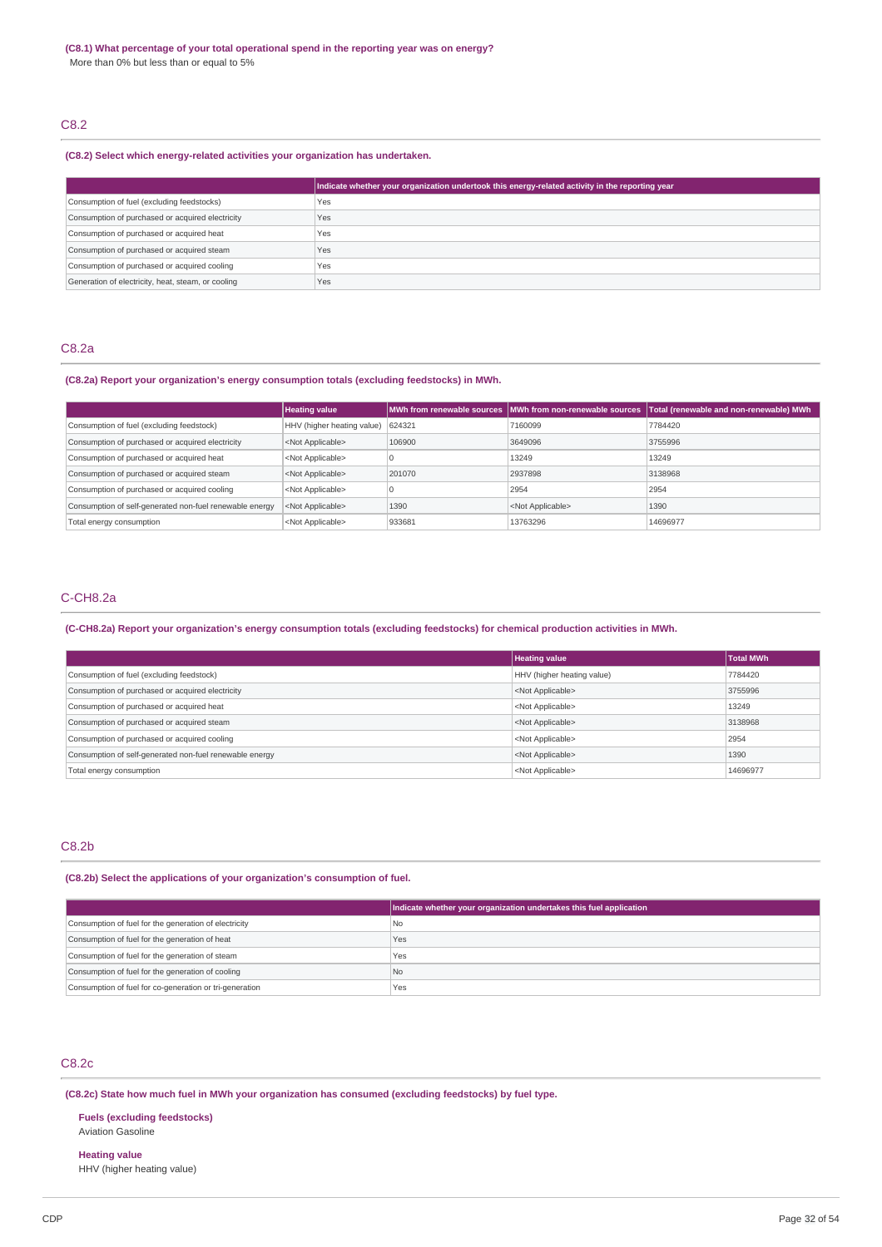# C8.2

## **(C8.2) Select which energy-related activities your organization has undertaken.**

|                                                    | Indicate whether your organization undertook this energy-related activity in the reporting year |
|----------------------------------------------------|-------------------------------------------------------------------------------------------------|
| Consumption of fuel (excluding feedstocks)         | Yes                                                                                             |
| Consumption of purchased or acquired electricity   | Yes                                                                                             |
| Consumption of purchased or acquired heat          | Yes                                                                                             |
| Consumption of purchased or acquired steam         | Yes                                                                                             |
| Consumption of purchased or acquired cooling       | Yes                                                                                             |
| Generation of electricity, heat, steam, or cooling | Yes                                                                                             |

# C8.2a

# **(C8.2a) Report your organization's energy consumption totals (excluding feedstocks) in MWh.**

|                                                         | <b>Heating value</b>       |        | MWh from renewable sources MWh from non-renewable sources | Total (renewable and non-renewable) MWh |
|---------------------------------------------------------|----------------------------|--------|-----------------------------------------------------------|-----------------------------------------|
| Consumption of fuel (excluding feedstock)               | HHV (higher heating value) | 624321 | 7160099                                                   | 7784420                                 |
| Consumption of purchased or acquired electricity        | <not applicable=""></not>  | 106900 | 3649096                                                   | 3755996                                 |
| Consumption of purchased or acquired heat               | <not applicable=""></not>  |        | 13249                                                     | 13249                                   |
| Consumption of purchased or acquired steam              | <not applicable=""></not>  | 201070 | 2937898                                                   | 3138968                                 |
| Consumption of purchased or acquired cooling            | <not applicable=""></not>  |        | 2954                                                      | 2954                                    |
| Consumption of self-generated non-fuel renewable energy | <not applicable=""></not>  | 1390   | <not applicable=""></not>                                 | 1390                                    |
| Total energy consumption                                | <not applicable=""></not>  | 933681 | 13763296                                                  | 14696977                                |

# C-CH8.2a

# (C-CH8.2a) Report your organization's energy consumption totals (excluding feedstocks) for chemical production activities in MWh.

|                                                         | <b>Heating value</b>       | Total MWh |
|---------------------------------------------------------|----------------------------|-----------|
| Consumption of fuel (excluding feedstock)               | HHV (higher heating value) | 7784420   |
| Consumption of purchased or acquired electricity        | <not applicable=""></not>  | 3755996   |
| Consumption of purchased or acquired heat               | <not applicable=""></not>  | 13249     |
| Consumption of purchased or acquired steam              | <not applicable=""></not>  | 3138968   |
| Consumption of purchased or acquired cooling            | <not applicable=""></not>  | 2954      |
| Consumption of self-generated non-fuel renewable energy | <not applicable=""></not>  | 1390      |
| Total energy consumption                                | <not applicable=""></not>  | 14696977  |

# C8.2b

# **(C8.2b) Select the applications of your organization's consumption of fuel.**

|                                                         | Indicate whether your organization undertakes this fuel application |
|---------------------------------------------------------|---------------------------------------------------------------------|
| Consumption of fuel for the generation of electricity   | l No                                                                |
| Consumption of fuel for the generation of heat          | Yes                                                                 |
| Consumption of fuel for the generation of steam         | <b>Yes</b>                                                          |
| Consumption of fuel for the generation of cooling       | l No                                                                |
| Consumption of fuel for co-generation or tri-generation | Yes                                                                 |

# C8.2c

**(C8.2c) State how much fuel in MWh your organization has consumed (excluding feedstocks) by fuel type.**

# **Fuels (excluding feedstocks)**

Aviation Gasoline

# **Heating value**

HHV (higher heating value)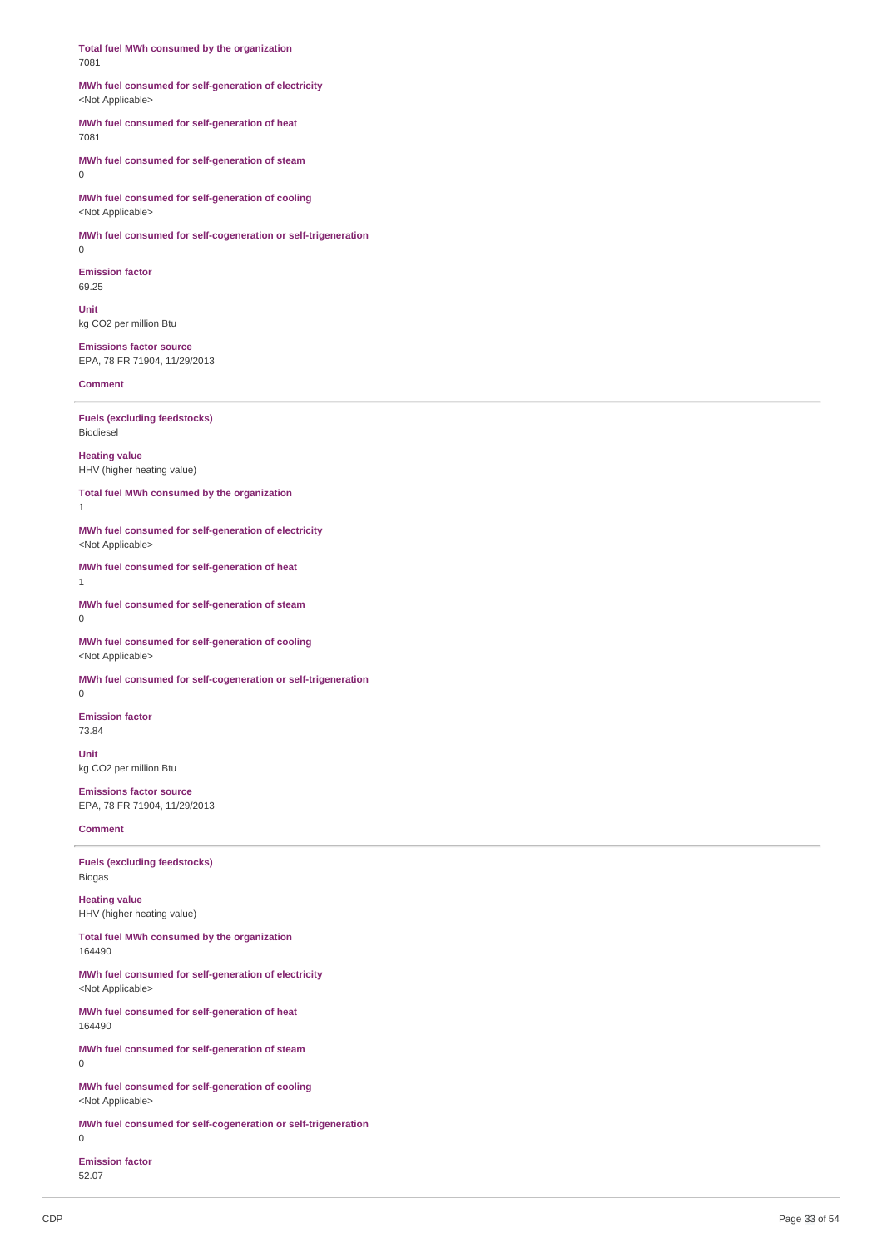**Total fuel MWh consumed by the organization** 7081

## **MWh fuel consumed for self-generation of electricity** <Not Applicable>

## **MWh fuel consumed for self-generation of heat** 7081

**MWh fuel consumed for self-generation of steam** 0

**MWh fuel consumed for self-generation of cooling** <Not Applicable>

**MWh fuel consumed for self-cogeneration or self-trigeneration**

0

**Emission factor** 69.25

**Unit** kg CO2 per million Btu

**Emissions factor source** EPA, 78 FR 71904, 11/29/2013

**Comment**

**Fuels (excluding feedstocks)** Biodiesel

**Heating value** HHV (higher heating value)

**Total fuel MWh consumed by the organization**

1 **MWh fuel consumed for self-generation of electricity**

<Not Applicable> **MWh fuel consumed for self-generation of heat**

1

**MWh fuel consumed for self-generation of steam** 0

**MWh fuel consumed for self-generation of cooling** <Not Applicable>

**MWh fuel consumed for self-cogeneration or self-trigeneration**

0

**Emission factor** 73.84

**Unit**

kg CO2 per million Btu **Emissions factor source**

EPA, 78 FR 71904, 11/29/2013

**Comment**

**Fuels (excluding feedstocks)** Biogas

**Heating value** HHV (higher heating value)

**Total fuel MWh consumed by the organization** 164490

**MWh fuel consumed for self-generation of electricity** <Not Applicable>

**MWh fuel consumed for self-generation of heat** 164490

**MWh fuel consumed for self-generation of steam** 0

**MWh fuel consumed for self-generation of cooling** <Not Applicable>

**MWh fuel consumed for self-cogeneration or self-trigeneration**  $\Omega$ 

**Emission factor** 52.07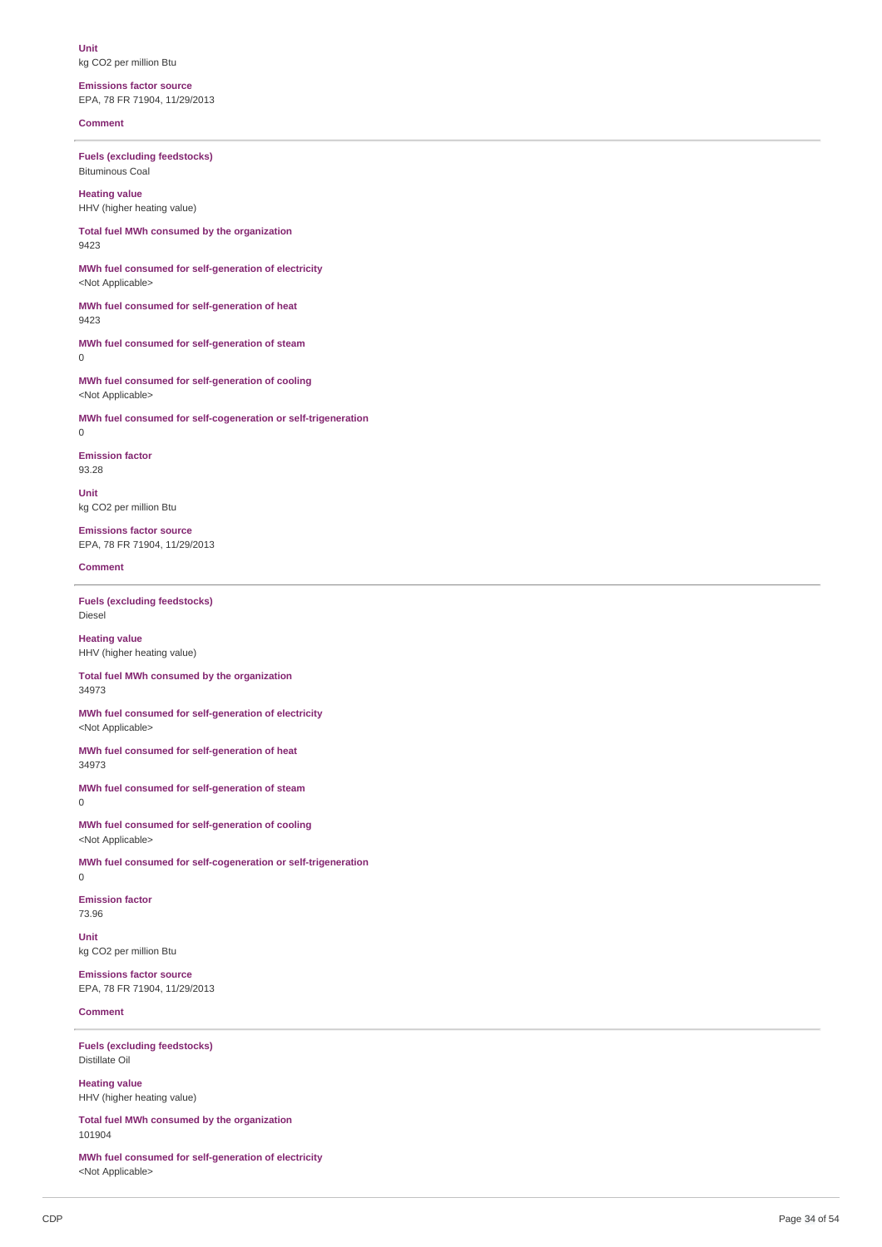**Unit** kg CO2 per million Btu

**Emissions factor source** EPA, 78 FR 71904, 11/29/2013

**Comment**

**Fuels (excluding feedstocks)** Bituminous Coal

**Heating value** HHV (higher heating value)

**Total fuel MWh consumed by the organization** 9423

**MWh fuel consumed for self-generation of electricity** <Not Applicable>

**MWh fuel consumed for self-generation of heat** 9423

**MWh fuel consumed for self-generation of steam**  $\Omega$ 

**MWh fuel consumed for self-generation of cooling** <Not Applicable>

**MWh fuel consumed for self-cogeneration or self-trigeneration** 0

**Emission factor** 93.28

**Unit** kg CO2 per million Btu

**Emissions factor source** EPA, 78 FR 71904, 11/29/2013

**Comment**

**Fuels (excluding feedstocks)** Diesel

**Heating value** HHV (higher heating value)

**Total fuel MWh consumed by the organization** 34973

**MWh fuel consumed for self-generation of electricity** <Not Applicable>

**MWh fuel consumed for self-generation of heat** 34973

**MWh fuel consumed for self-generation of steam** 0

**MWh fuel consumed for self-generation of cooling** <Not Applicable>

**MWh fuel consumed for self-cogeneration or self-trigeneration** 0

**Emission factor** 73.96

**Unit** kg CO2 per million Btu

**Emissions factor source** EPA, 78 FR 71904, 11/29/2013

# **Comment**

**Fuels (excluding feedstocks)** Distillate Oil

**Heating value** HHV (higher heating value)

**Total fuel MWh consumed by the organization** 101904

**MWh fuel consumed for self-generation of electricity** <Not Applicable>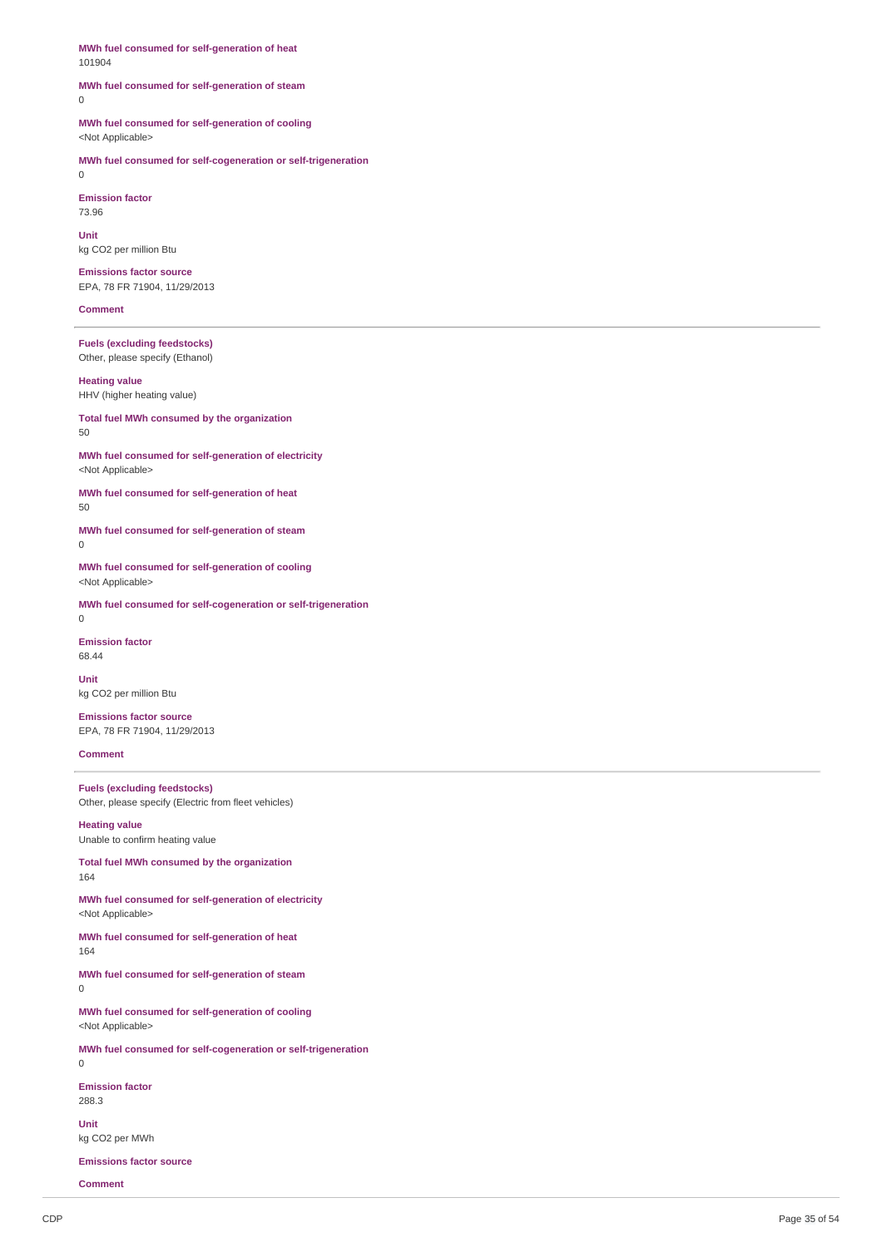**MWh fuel consumed for self-generation of heat** 101904

#### **MWh fuel consumed for self-generation of steam** 0

**MWh fuel consumed for self-generation of cooling** <Not Applicable>

**MWh fuel consumed for self-cogeneration or self-trigeneration** 0

**Emission factor** 73.96

**Unit** kg CO2 per million Btu

**Emissions factor source** EPA, 78 FR 71904, 11/29/2013

#### **Comment**

**Fuels (excluding feedstocks)** Other, please specify (Ethanol)

**Heating value** HHV (higher heating value)

**Total fuel MWh consumed by the organization** 50

**MWh fuel consumed for self-generation of electricity** <Not Applicable>

**MWh fuel consumed for self-generation of heat** 50

**MWh fuel consumed for self-generation of steam** 0

**MWh fuel consumed for self-generation of cooling** <Not Applicable>

**MWh fuel consumed for self-cogeneration or self-trigeneration** 0

**Emission factor**

68.44

**Unit** kg CO2 per million Btu

**Emissions factor source** EPA, 78 FR 71904, 11/29/2013

**Comment**

**Fuels (excluding feedstocks)** Other, please specify (Electric from fleet vehicles)

**Heating value** Unable to confirm heating value

**Total fuel MWh consumed by the organization** 164

**MWh fuel consumed for self-generation of electricity** <Not Applicable>

**MWh fuel consumed for self-generation of heat** 164

**MWh fuel consumed for self-generation of steam** 0

**MWh fuel consumed for self-generation of cooling** <Not Applicable>

**MWh fuel consumed for self-cogeneration or self-trigeneration**  $\overline{0}$ 

**Emission factor** 288.3

**Unit** kg CO2 per MWh

**Emissions factor source**

**Comment**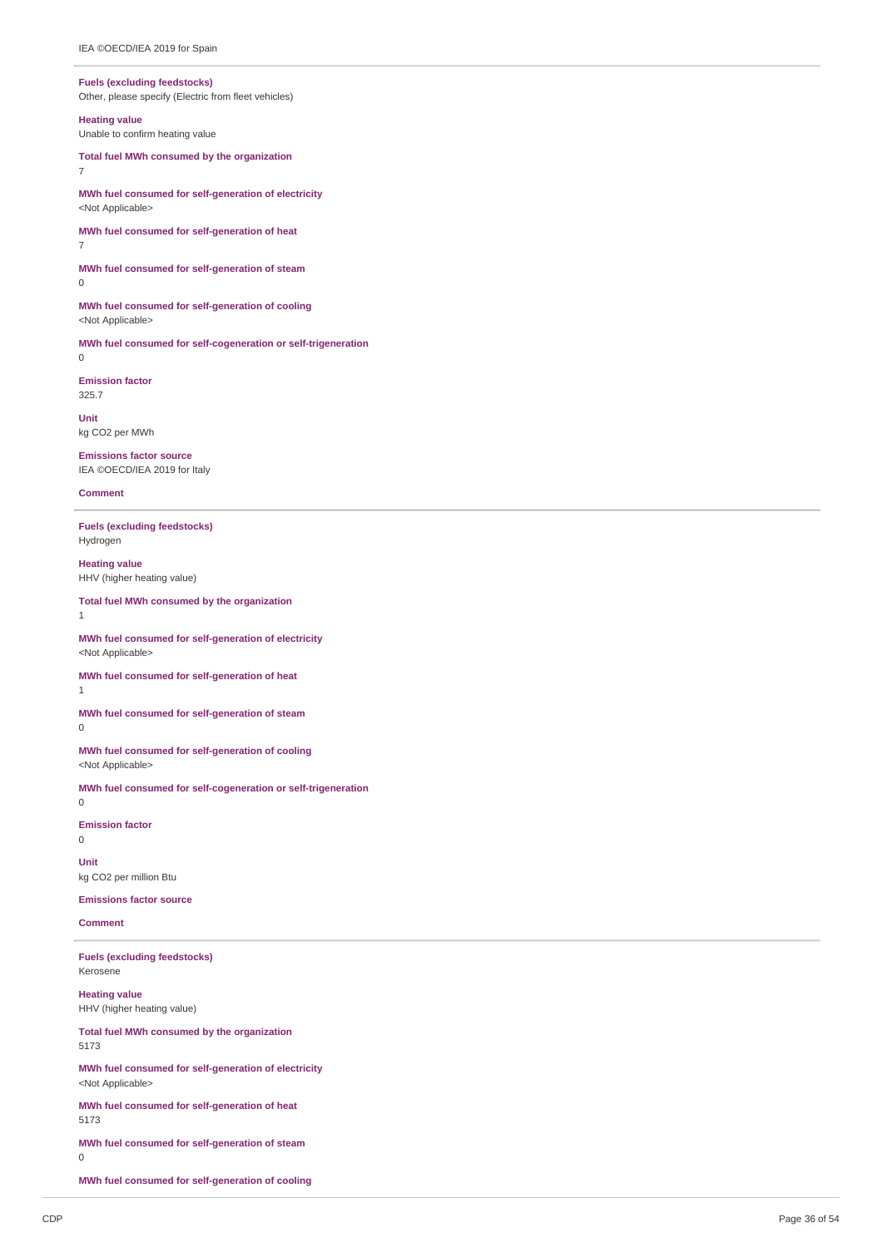#### **Fuels** (excluding feedstocks)

Other, please specify (Electric from fleet vehicles)

#### **Heating value**

Unable to confirm heating value

Total fuel MWh consumed by the organization 7

MWh fuel consumed for self-generation of electricity <Not Applicable>

MWh fuel consumed for self-generation of heat 7

MWh fuel consumed for self-generation of steam  $\overline{0}$ 

MWh fuel consumed for self-generation of cooling <Not Applicable>

MWh fuel consumed for self-cogeneration or self-trigeneration  $\Omega$ 

**E mis sio n f a c t o r** 3 2 5.7

**U nit** kg CO2 per MWh

**Emissions factor source** IEA ©OECD/IEA 2019 for Italy

**Comment** 

1

**Fuels** (excluding feedstocks) Hydrogen

**Heating value** HHV (higher heating value)

#### Total fuel MWh consumed by the organization

MWh fuel consumed for self-generation of electricity <Not Applicable>

MWh fuel consumed for self-generation of heat 1

MWh fuel consumed for self-generation of steam 0

MWh fuel consumed for self-generation of cooling <Not Applicable>

MWh fuel consumed for self-cogeneration or self-trigeneration 0

**Emission factor** 

0

**U nit** kg CO2 per million Btu

**Emissions factor source** 

**Comment** 

**Fuels** (excluding feedstocks) Kerosene

**Heating value** HHV (higher heating value)

Total fuel MWh consumed by the organization 5 1 7 3

MWh fuel consumed for self-generation of electricity <Not Applicable>

MWh fuel consumed for self-generation of heat 5 1 7 3

MWh fuel consumed for self-generation of steam

0

MWh fuel consumed for self-generation of cooling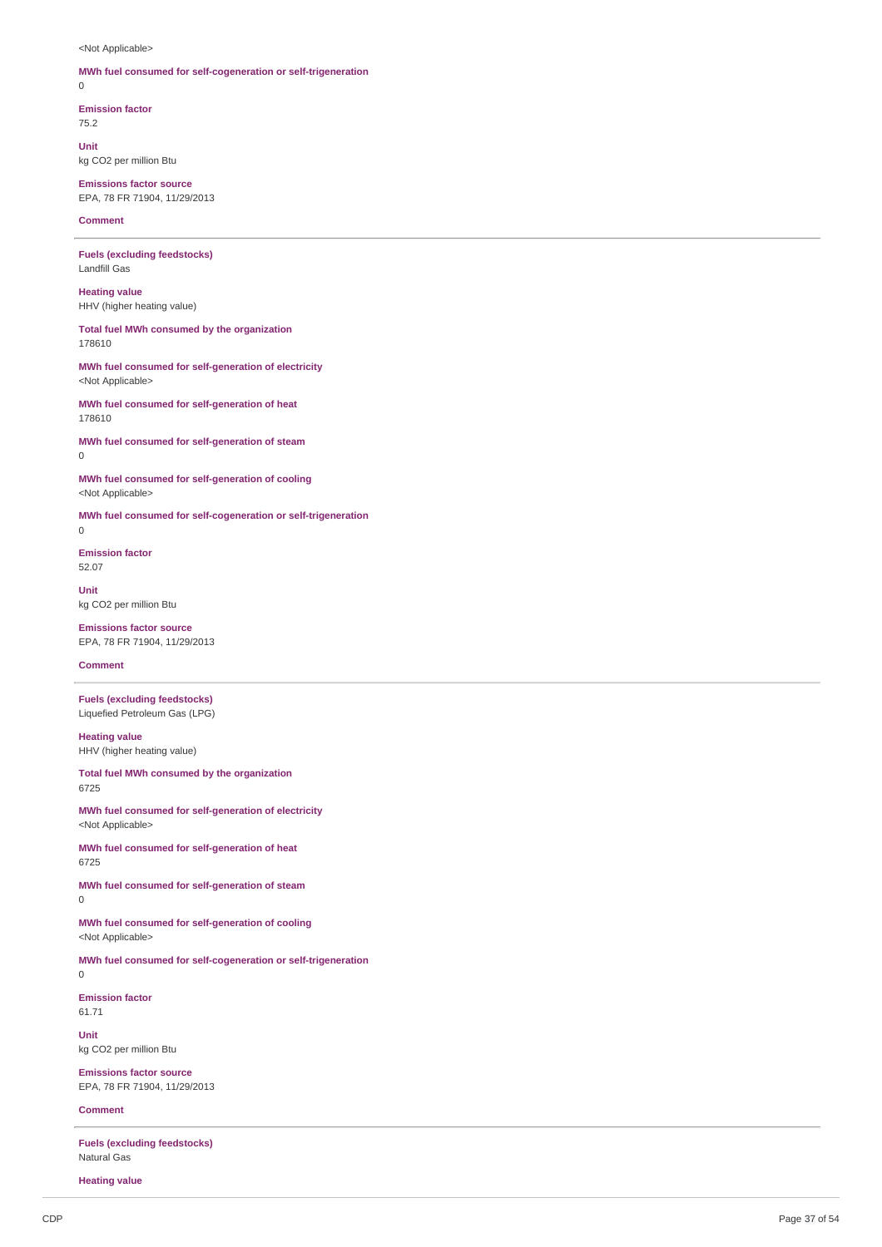<Not Applicable>

# **MWh fuel consumed for self-cogeneration or self-trigeneration**

 $\Omega$ 

**Emission factor** 75.2

**Unit** kg CO2 per million Btu

**Emissions factor source** EPA, 78 FR 71904, 11/29/2013

**Comment**

**Fuels (excluding feedstocks)** Landfill Gas

**Heating value** HHV (higher heating value)

**Total fuel MWh consumed by the organization** 178610

**MWh fuel consumed for self-generation of electricity** <Not Applicable>

**MWh fuel consumed for self-generation of heat** 178610

**MWh fuel consumed for self-generation of steam**  $\Omega$ 

**MWh fuel consumed for self-generation of cooling** <Not Applicable>

**MWh fuel consumed for self-cogeneration or self-trigeneration** 0

**Emission factor** 52.07

**Unit** kg CO2 per million Btu

**Emissions factor source** EPA, 78 FR 71904, 11/29/2013

**Comment**

**Fuels (excluding feedstocks)** Liquefied Petroleum Gas (LPG)

**Heating value** HHV (higher heating value)

**Total fuel MWh consumed by the organization** 6725

**MWh fuel consumed for self-generation of electricity** <Not Applicable>

**MWh fuel consumed for self-generation of heat** 6725

**MWh fuel consumed for self-generation of steam** 0

**MWh fuel consumed for self-generation of cooling** <Not Applicable>

**MWh fuel consumed for self-cogeneration or self-trigeneration**

 $\Omega$ 

**Emission factor** 61.71

**Unit** kg CO2 per million Btu

**Emissions factor source** EPA, 78 FR 71904, 11/29/2013

**Comment**

**Fuels (excluding feedstocks)** Natural Gas

**Heating value**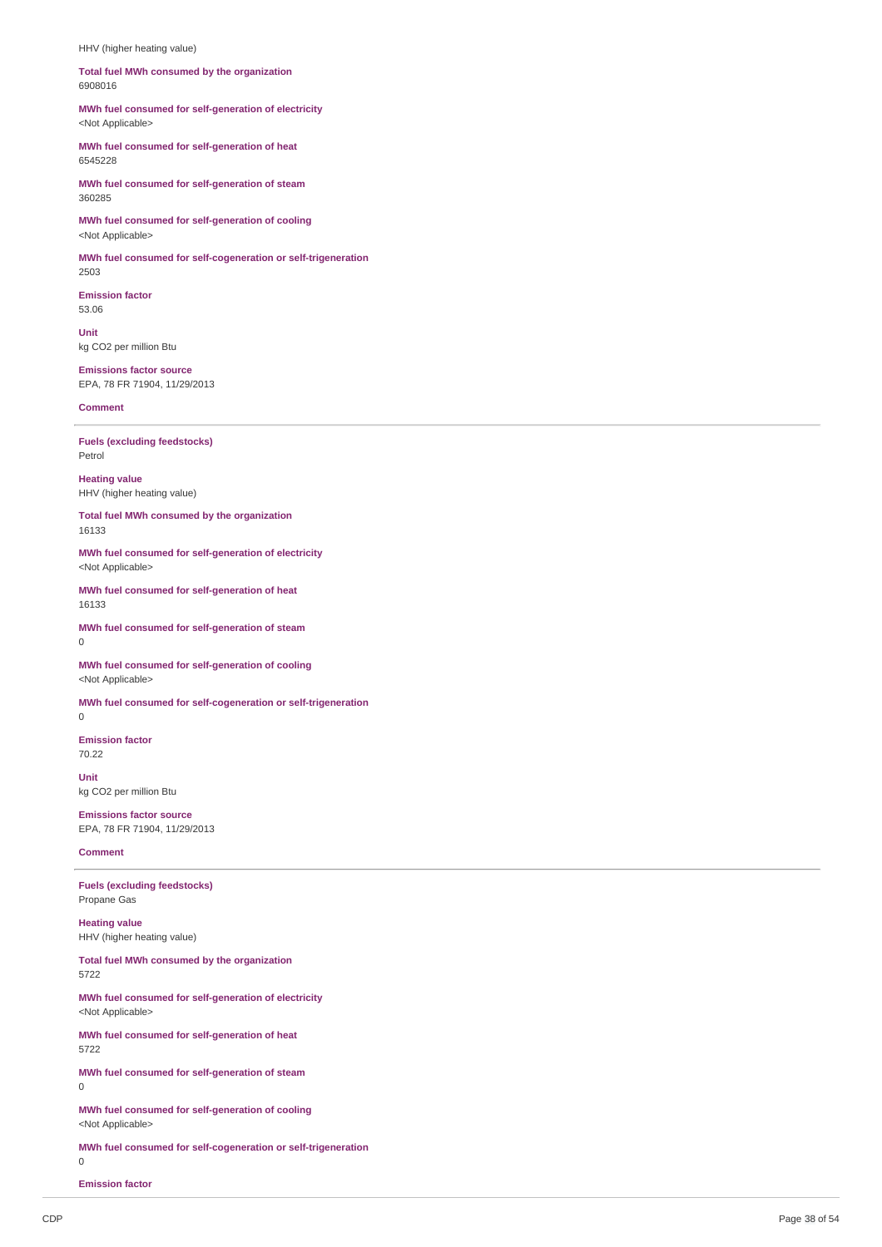HHV (higher heating value)

#### Total fuel MWh consumed by the organization 6 9 0 8 0 1 6

MWh fuel consumed for self-generation of electricity <Not Applicable>

MWh fuel consumed for self-generation of heat 6 5 4 5 2 2 8

MWh fuel consumed for self-generation of steam 3 6 0 2 8 5

MWh fuel consumed for self-generation of cooling <Not Applicable>

MWh fuel consumed for self-cogeneration or self-trigeneration 2 5 0 3

**Emission factor** 5 3.0 6

**U nit** kg CO2 per million Btu

**Emissions factor source** EPA, 78 FR 71904, 11/29/2013

**Comment** 

**Fuels** (excluding feedstocks) Petrol

**Heatin g v alu e** HHV (higher heating value)

Total fuel MWh consumed by the organization 1 6 1 3 3

MWh fuel consumed for self-generation of electricity <Not Applicable>

MWh fuel consumed for self-generation of heat 1 6 1 3 3

MWh fuel consumed for self-generation of steam 0

MWh fuel consumed for self-generation of cooling <Not Applicable>

MWh fuel consumed for self-cogeneration or self-trigeneration

 $\Omega$ 

**Emission factor** 7 0.2 2

**U nit** kg CO2 per million Btu

**Emissions factor source** EPA, 78 FR 71904, 11/29/2013

**Comment** 

5 7 2 2

**Fuels** (excluding feedstocks) Propane Gas

**Heating value** HHV (higher heating value)

Total fuel MWh consumed by the organization

MWh fuel consumed for self-generation of electricity <Not Applicable>

MWh fuel consumed for self-generation of heat 5 7 2 2

MWh fuel consumed for self-generation of steam  $\Omega$ 

MWh fuel consumed for self-generation of cooling <Not Applicable>

MWh fuel consumed for self-cogeneration or self-trigeneration

 $\theta$ 

**Emission factor**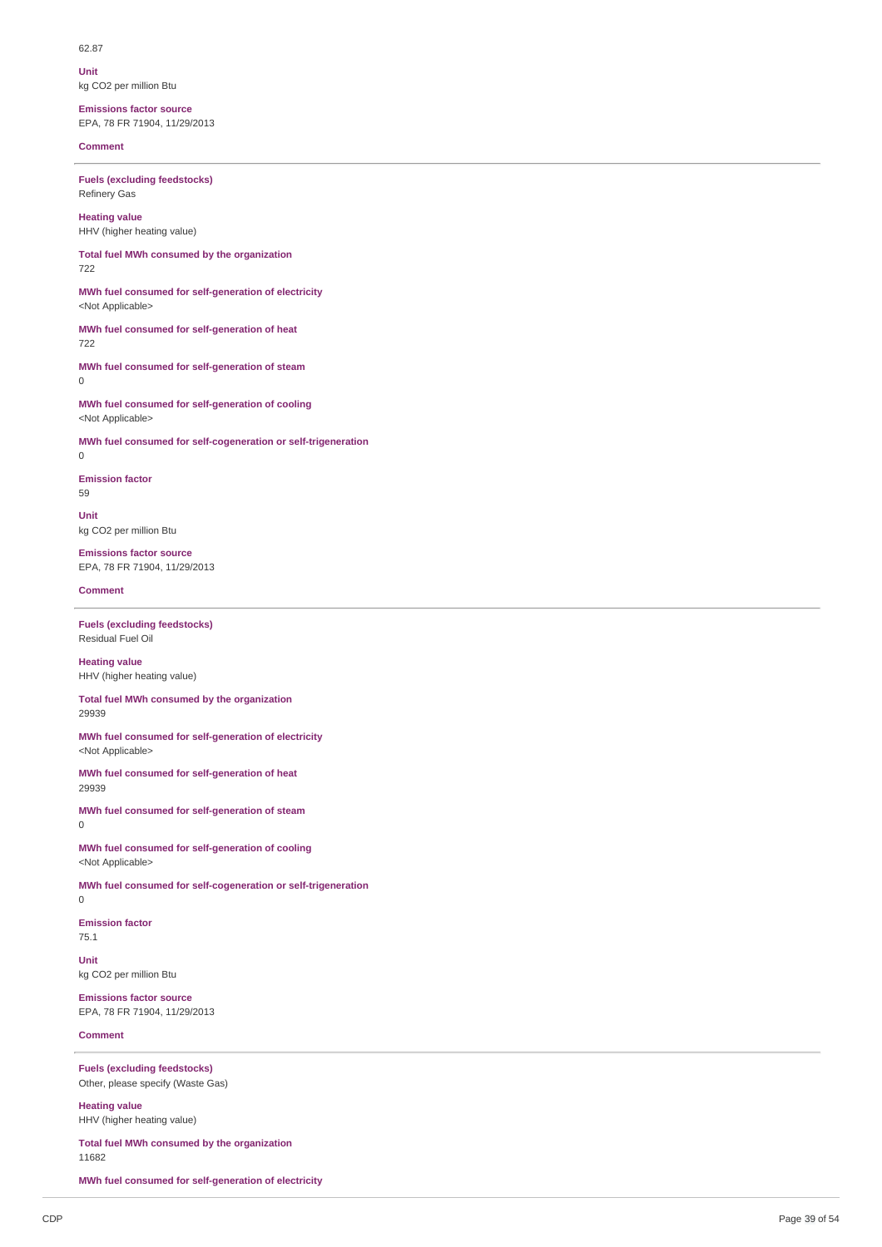62.87

**Unit** kg CO2 per million Btu

**Emissions factor source** EPA, 78 FR 71904, 11/29/2013

**Comment**

**Fuels (excluding feedstocks)** Refinery Gas

**Heating value** HHV (higher heating value)

**Total fuel MWh consumed by the organization** 722

**MWh fuel consumed for self-generation of electricity** <Not Applicable>

**MWh fuel consumed for self-generation of heat** 722

**MWh fuel consumed for self-generation of steam** 0

**MWh fuel consumed for self-generation of cooling** <Not Applicable>

**MWh fuel consumed for self-cogeneration or self-trigeneration**

**Emission factor**

 $\Omega$ 

59

**Unit** kg CO2 per million Btu

**Emissions factor source** EPA, 78 FR 71904, 11/29/2013

## **Comment**

**Fuels (excluding feedstocks)** Residual Fuel Oil

**Heating value** HHV (higher heating value)

**Total fuel MWh consumed by the organization** 29939

**MWh fuel consumed for self-generation of electricity** <Not Applicable>

**MWh fuel consumed for self-generation of heat** 29939

**MWh fuel consumed for self-generation of steam**  $\Omega$ 

**MWh fuel consumed for self-generation of cooling** <Not Applicable>

**MWh fuel consumed for self-cogeneration or self-trigeneration**

0

**Emission factor**

75.1

**Unit** kg CO2 per million Btu

**Emissions factor source** EPA, 78 FR 71904, 11/29/2013

**Comment**

**Fuels (excluding feedstocks)** Other, please specify (Waste Gas)

**Heating value** HHV (higher heating value)

**Total fuel MWh consumed by the organization** 11682

**MWh fuel consumed for self-generation of electricity**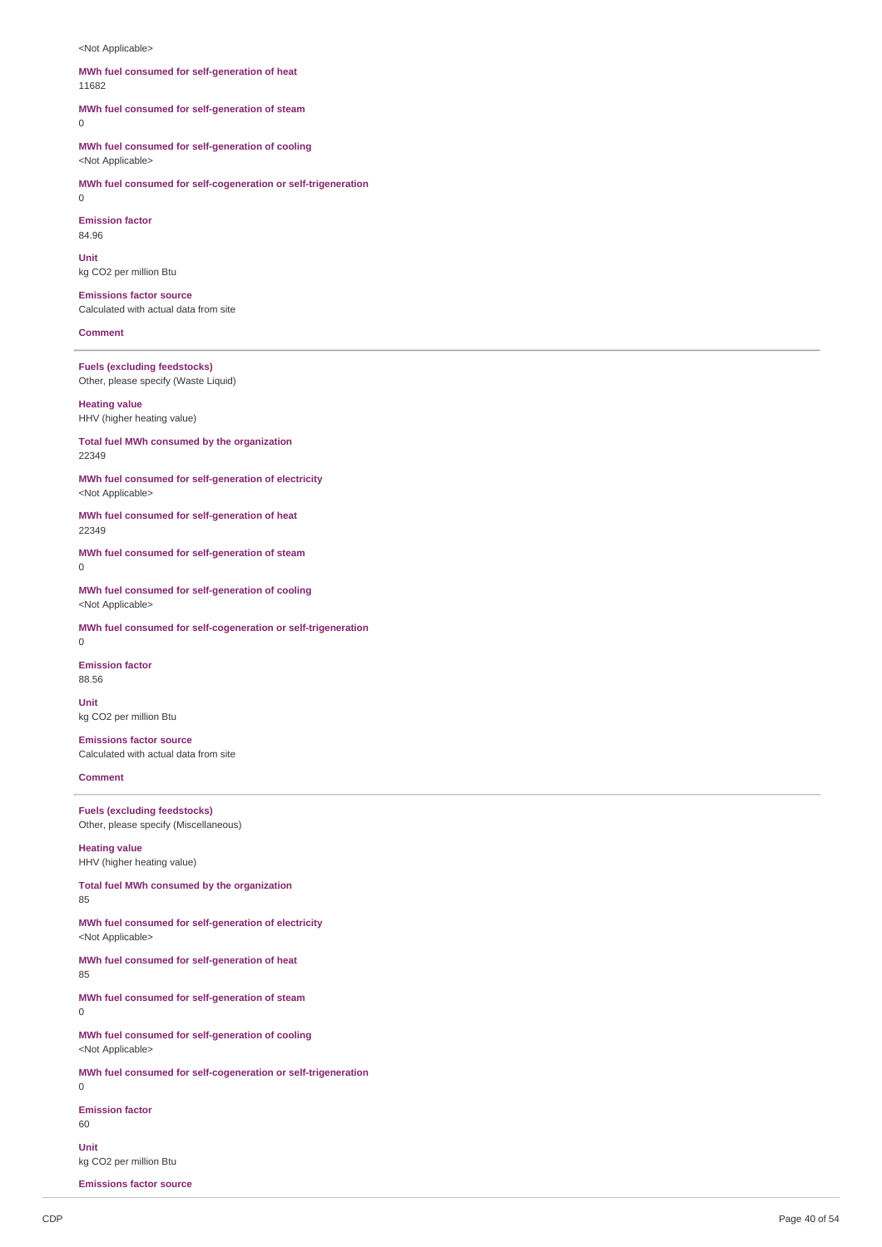<Not Applicable>

## **MWh fuel consumed for self-generation of heat** 11682

**MWh fuel consumed for self-generation of steam**  $\Omega$ 

**MWh fuel consumed for self-generation of cooling**

<Not Applicable>

**MWh fuel consumed for self-cogeneration or self-trigeneration**

 $\Omega$ 

**Emission factor**

84.96

**Unit** kg CO2 per million Btu

**Emissions factor source** Calculated with actual data from site

**Comment**

**Fuels (excluding feedstocks)** Other, please specify (Waste Liquid)

**Heating value** HHV (higher heating value)

**Total fuel MWh consumed by the organization** 22349

**MWh fuel consumed for self-generation of electricity** <Not Applicable>

**MWh fuel consumed for self-generation of heat** 22349

**MWh fuel consumed for self-generation of steam**  $\Omega$ 

**MWh fuel consumed for self-generation of cooling** <Not Applicable>

**MWh fuel consumed for self-cogeneration or self-trigeneration** 0

**Emission factor** 88.56

**Unit** kg CO2 per million Btu

**Emissions factor source** Calculated with actual data from site

**Comment**

**Fuels (excluding feedstocks)** Other, please specify (Miscellaneous)

**Heating value** HHV (higher heating value)

**Total fuel MWh consumed by the organization** 85

**MWh fuel consumed for self-generation of electricity** <Not Applicable>

**MWh fuel consumed for self-generation of heat** 85

**MWh fuel consumed for self-generation of steam** 0

**MWh fuel consumed for self-generation of cooling** <Not Applicable>

**MWh fuel consumed for self-cogeneration or self-trigeneration**

 $\Omega$ 

**Emission factor**

60

**Unit** kg CO2 per million Btu

**Emissions factor source**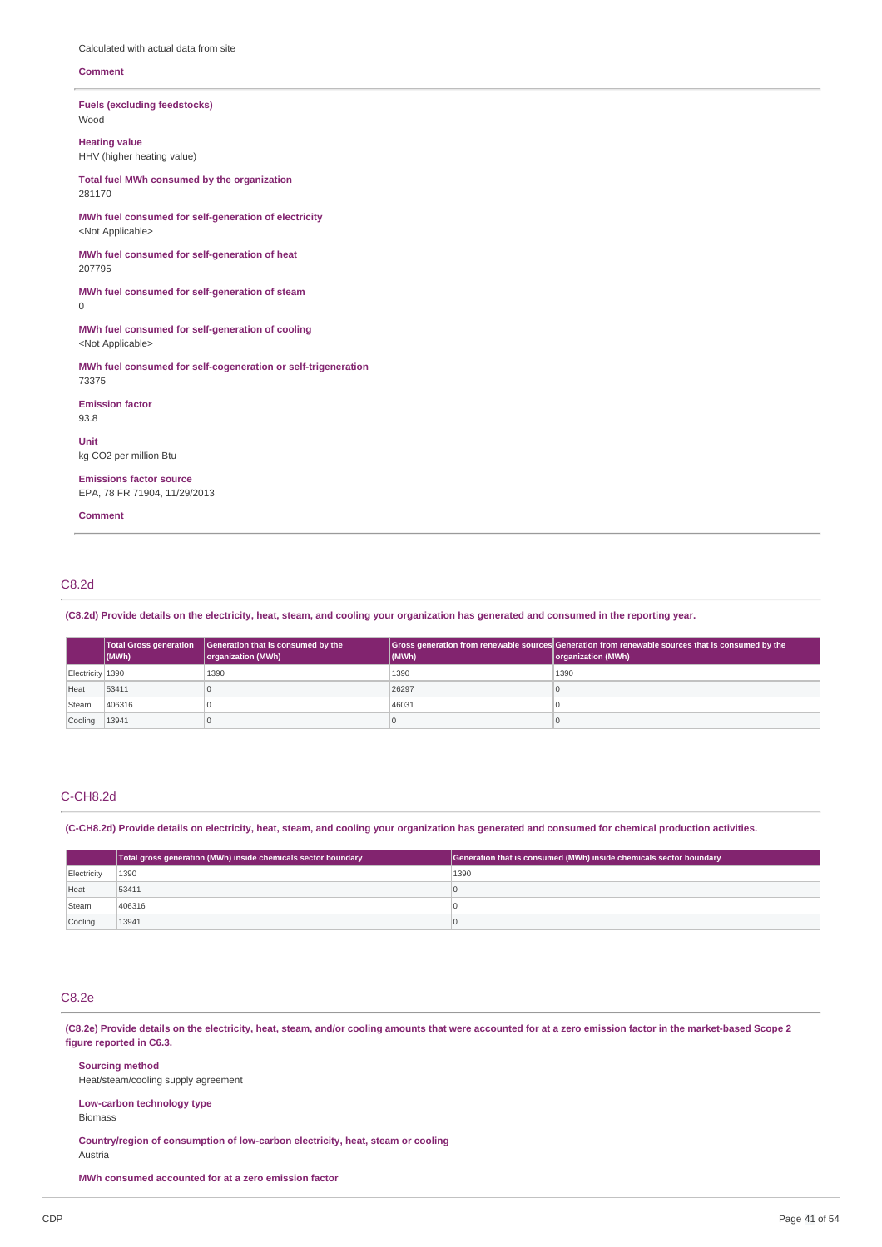Calculated with actual data from site

#### **Comment**

**Fuels (excluding feedstocks)** Wood

**Heating value** HHV (higher heating value)

**Total fuel MWh consumed by the organization** 281170

**MWh fuel consumed for self-generation of electricity** <Not Applicable>

**MWh fuel consumed for self-generation of heat** 207795

**MWh fuel consumed for self-generation of steam**  $\Omega$ 

**MWh fuel consumed for self-generation of cooling** <Not Applicable>

**MWh fuel consumed for self-cogeneration or self-trigeneration** 73375

**Emission factor**

93.8

**Unit** kg CO2 per million Btu

**Emissions factor source** EPA, 78 FR 71904, 11/29/2013

**Comment**

# C8.2d

(C8.2d) Provide details on the electricity, heat, steam, and cooling your organization has generated and consumed in the reporting year.

|                               | <b>Total Gross generation</b><br>$ $ (MWh) | Generation that is consumed by the<br>organization (MWh) | (MWh) | Gross generation from renewable sources Generation from renewable sources that is consumed by the<br>organization (MWh) |
|-------------------------------|--------------------------------------------|----------------------------------------------------------|-------|-------------------------------------------------------------------------------------------------------------------------|
| Electricity 1390              |                                            | 1390                                                     | 1390  | 1390                                                                                                                    |
| Heat                          | 53411                                      |                                                          | 26297 |                                                                                                                         |
| Steam                         | 406316                                     |                                                          | 46031 |                                                                                                                         |
| $\vert$ Cooling $\vert$ 13941 |                                            |                                                          | u     |                                                                                                                         |

## C-CH8.2d

(C-CH8.2d) Provide details on electricity, heat, steam, and cooling your organization has generated and consumed for chemical production activities.

|             | Total gross generation (MWh) inside chemicals sector boundary | Generation that is consumed (MWh) inside chemicals sector boundary |
|-------------|---------------------------------------------------------------|--------------------------------------------------------------------|
| Electricity | 1390                                                          | 1390                                                               |
| Heat        | 53411                                                         |                                                                    |
| Steam       | 406316                                                        |                                                                    |
| Cooling     | 13941                                                         |                                                                    |

# C8.2e

(C8.2e) Provide details on the electricity, heat, steam, and/or cooling amounts that were accounted for at a zero emission factor in the market-based Scope 2 **figure reported in C6.3.**

**Sourcing method** Heat/steam/cooling supply agreement **Low-carbon technology type** Biomass **Country/region of consumption of low-carbon electricity, heat, steam or cooling**

Austria

**MWh consumed accounted for at a zero emission factor**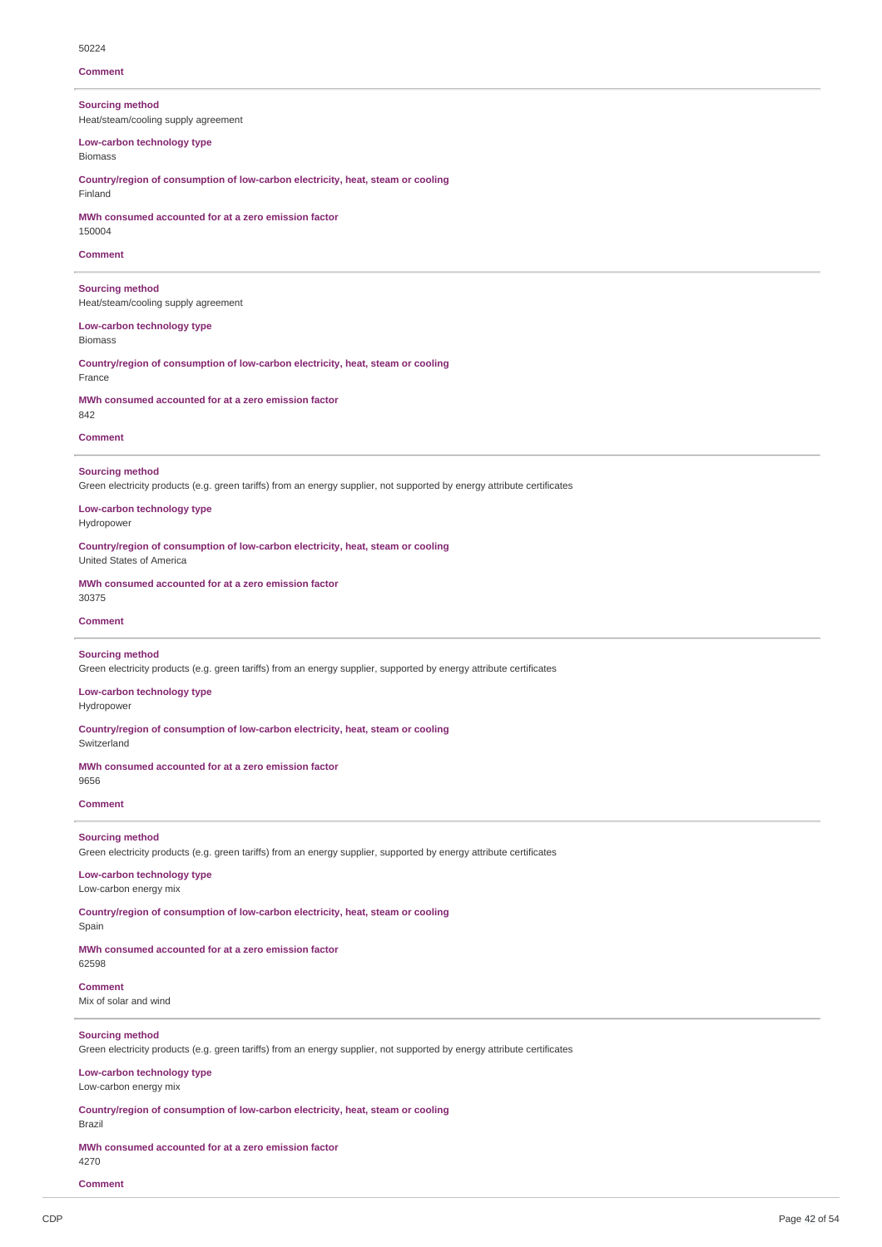#### **Comment**

**Sourcing method** Heat/steam/cooling supply agreement

**Low-carbon technology type** Biomass

**Country/region of consumption of low-carbon electricity, heat, steam or cooling** Finland

**MWh consumed accounted for at a zero emission factor** 150004

## **Comment**

**Sourcing method** Heat/steam/cooling supply agreement

**Low-carbon technology type** Biomass

**Country/region of consumption of low-carbon electricity, heat, steam or cooling** France

**MWh consumed accounted for at a zero emission factor** 842

## **Comment**

#### **Sourcing method**

Green electricity products (e.g. green tariffs) from an energy supplier, not supported by energy attribute certificates

**Low-carbon technology type** Hydropower

**Country/region of consumption of low-carbon electricity, heat, steam or cooling**

United States of America

**MWh consumed accounted for at a zero emission factor** 30375

**Comment**

# **Sourcing method**

Green electricity products (e.g. green tariffs) from an energy supplier, supported by energy attribute certificates

**Low-carbon technology type** Hydropower

**Country/region of consumption of low-carbon electricity, heat, steam or cooling**

Switzerland

**MWh consumed accounted for at a zero emission factor**

# 9656

**Comment**

# **Sourcing method**

Green electricity products (e.g. green tariffs) from an energy supplier, supported by energy attribute certificates

## **Low-carbon technology type** Low-carbon energy mix

**Country/region of consumption of low-carbon electricity, heat, steam or cooling**

## Spain

**MWh consumed accounted for at a zero emission factor** 62598

## **Comment**

Mix of solar and wind

## **Sourcing method**

Green electricity products (e.g. green tariffs) from an energy supplier, not supported by energy attribute certificates

#### **Low-carbon technology type** Low-carbon energy mix

**Country/region of consumption of low-carbon electricity, heat, steam or cooling** Brazil

**MWh consumed accounted for at a zero emission factor** 4270

**Comment**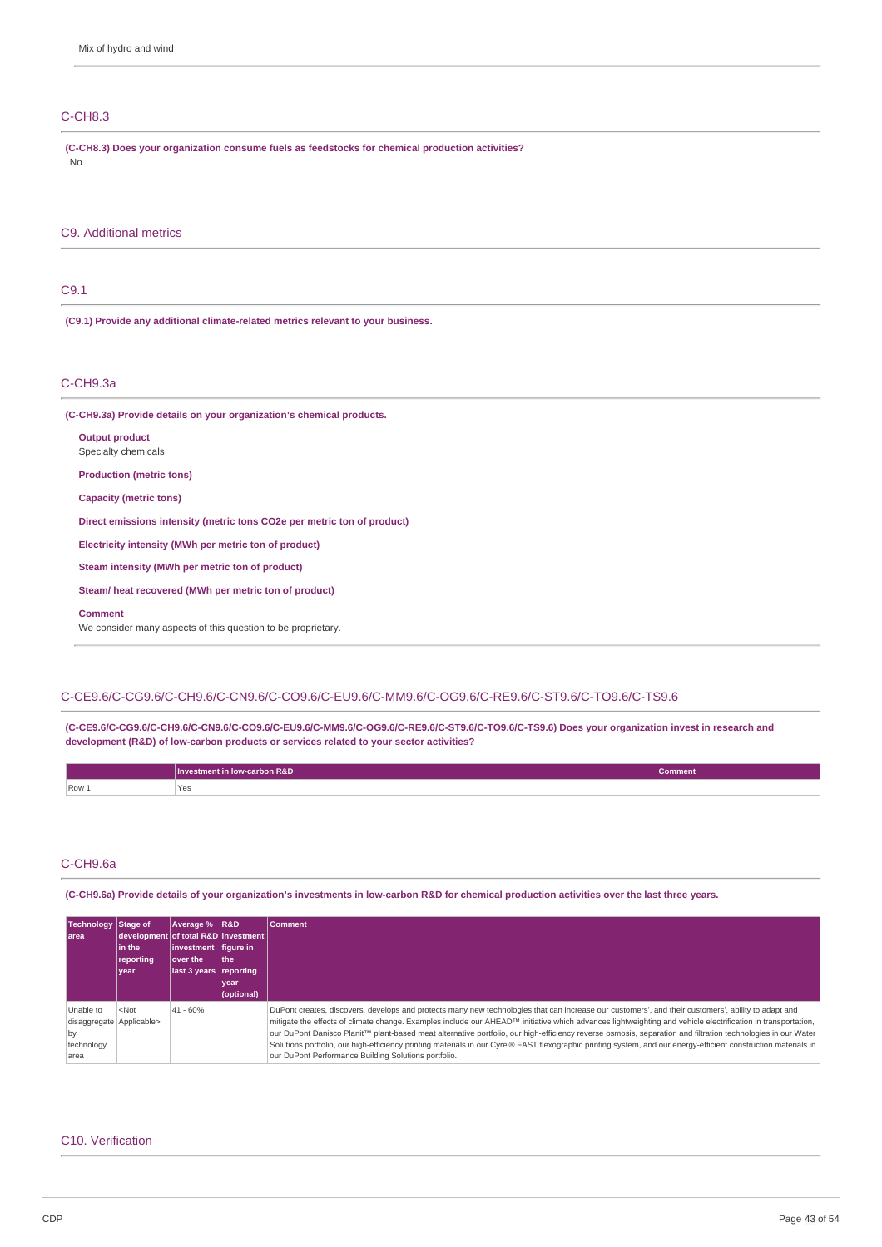# C-CH8.3

**(C-CH8.3) Does your organization consume fuels as feedstocks for chemical production activities?** No

## C9. Additional metrics

# C9.1

**(C9.1) Provide any additional climate-related metrics relevant to your business.**

# C-CH9.3a

**(C-CH9.3a) Provide details on your organization's chemical products.**

| <b>Output product</b><br>Specialty chemicals                            |
|-------------------------------------------------------------------------|
| <b>Production (metric tons)</b>                                         |
| Capacity (metric tons)                                                  |
| Direct emissions intensity (metric tons CO2e per metric ton of product) |
| Electricity intensity (MWh per metric ton of product)                   |
| Steam intensity (MWh per metric ton of product)                         |
| Steam/heat recovered (MWh per metric ton of product)                    |
|                                                                         |

**Comment**

We consider many aspects of this question to be proprietary.

## C-CE9.6/C-CG9.6/C-CH9.6/C-CN9.6/C-CO9.6/C-EU9.6/C-MM9.6/C-OG9.6/C-RE9.6/C-ST9.6/C-TO9.6/C-TS9.6

**(C-CE9.6/C-CG9.6/C-CH9.6/C-CN9.6/C-CO9.6/C-EU9.6/C-MM9.6/C-OG9.6/C-RE9.6/C-ST9.6/C-TO9.6/C-TS9.6) Does your organization invest in research and development (R&D) of low-carbon products or services related to your sector activities?**

|       | Investment in low-carbon R&D | Comment |
|-------|------------------------------|---------|
| Row 1 | 'Yes<br>___                  |         |

## C-CH9.6a

(C-CH9.6a) Provide details of your organization's investments in low-carbon R&D for chemical production activities over the last three years.

| Technology Stage of<br>l area                                     | development of total R&D investment<br>lin the<br>reporting<br>year | Average %   R&D<br>$ $ investment $ $ figure in<br>lover the<br>last 3 years reporting | l the<br>vear<br>(optional) | <b>Comment</b>                                                                                                                                                                                                                                                                                                                                                                                                                                                                                                                                                                                                                                                                                               |
|-------------------------------------------------------------------|---------------------------------------------------------------------|----------------------------------------------------------------------------------------|-----------------------------|--------------------------------------------------------------------------------------------------------------------------------------------------------------------------------------------------------------------------------------------------------------------------------------------------------------------------------------------------------------------------------------------------------------------------------------------------------------------------------------------------------------------------------------------------------------------------------------------------------------------------------------------------------------------------------------------------------------|
| Unable to<br>disaggregate Applicable><br>by<br>technology<br>area | $<$ Not                                                             | $41 - 60%$                                                                             |                             | DuPont creates, discovers, develops and protects many new technologies that can increase our customers', and their customers', ability to adapt and<br>mitigate the effects of climate change. Examples include our AHEAD™ initiative which advances lightweighting and vehicle electrification in transportation,<br>our DuPont Danisco Planit™ plant-based meat alternative portfolio, our high-efficiency reverse osmosis, separation and filtration technologies in our Water<br>Solutions portfolio, our high-efficiency printing materials in our Cyrel® FAST flexographic printing system, and our energy-efficient construction materials in<br>our DuPont Performance Building Solutions portfolio. |

# C10. Verification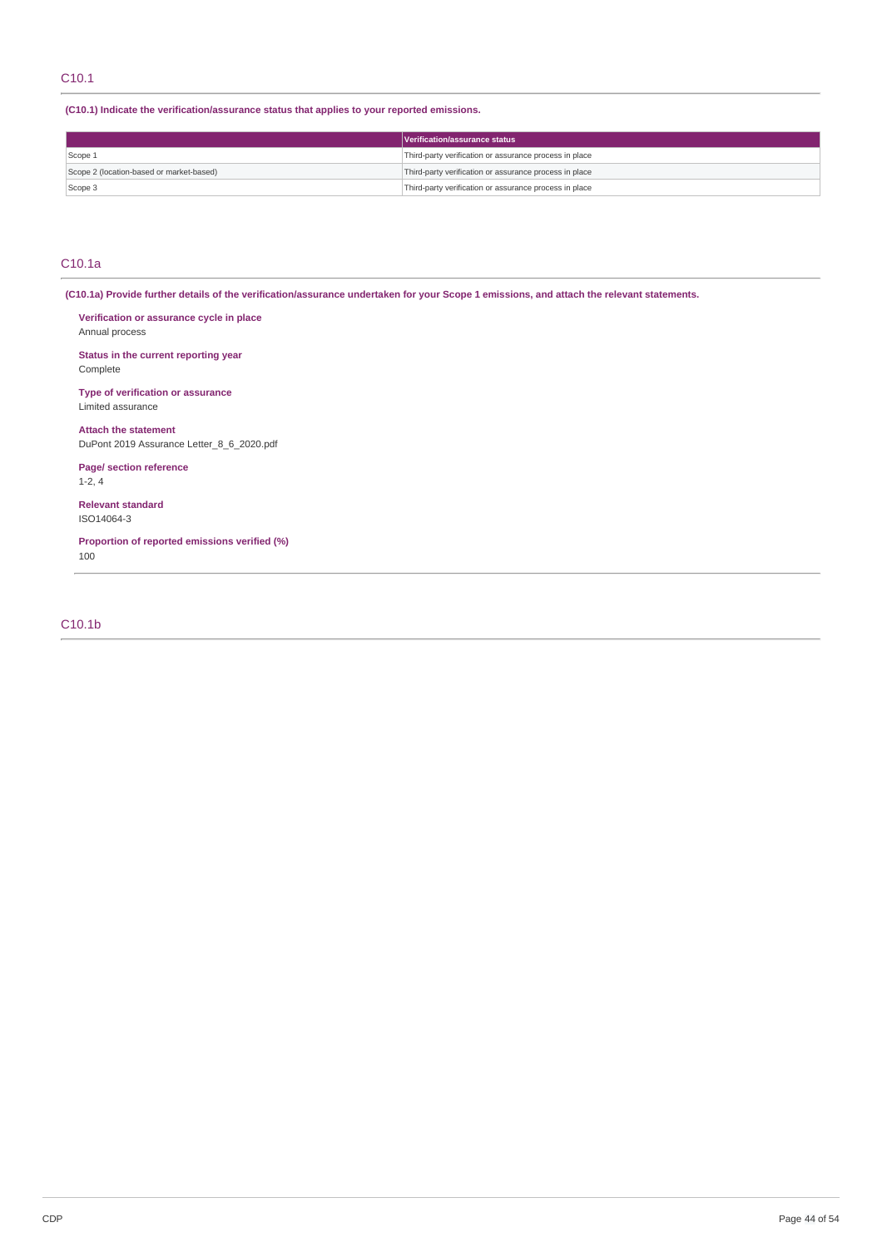# C10.1

**(C10.1) Indicate the verification/assurance status that applies to your reported emissions.**

|                                          | Verification/assurance status                          |
|------------------------------------------|--------------------------------------------------------|
| Scope 1                                  | Third-party verification or assurance process in place |
| Scope 2 (location-based or market-based) | Third-party verification or assurance process in place |
| Scope 3                                  | Third-party verification or assurance process in place |

# C10.1a

(C10.1a) Provide further details of the verification/assurance undertaken for your Scope 1 emissions, and attach the relevant statements.

**Verification or assurance cycle in place** Annual process

**Status in the current reporting year** Complete

**Type of verification or assurance** Limited assurance

**Attach the statement** DuPont 2019 Assurance Letter\_8\_6\_2020.pdf

**Page/ section reference** 1-2, 4

**Relevant standard** ISO14064-3

**Proportion of reported emissions verified (%)** 100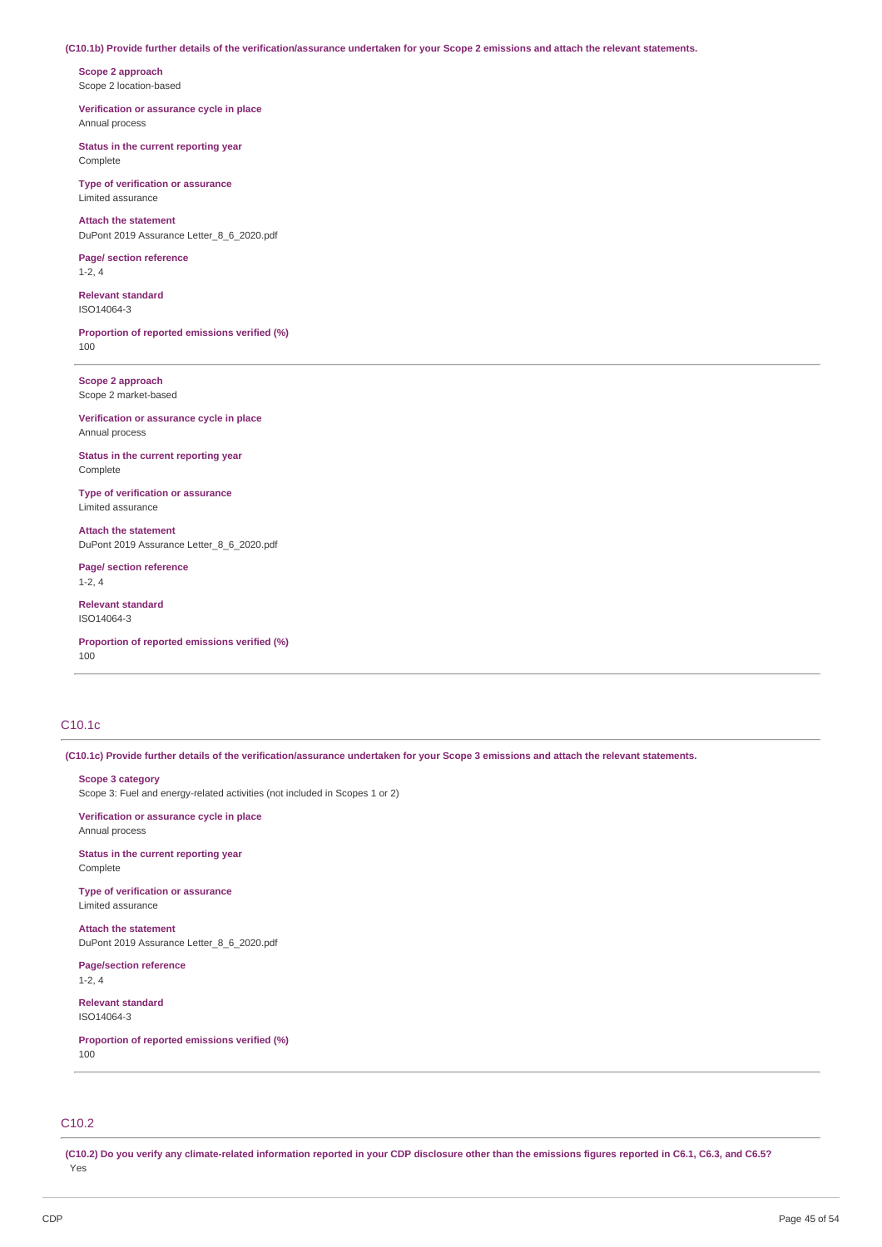#### (C10.1b) Provide further details of the verification/assurance undertaken for your Scope 2 emissions and attach the relevant statements.

**Scope 2 approach** Scope 2 location-based

**Verification or assurance cycle in place** Annual process

**Status in the current reporting year** Complete

**Type of verification or assurance** Limited assurance

**Attach the statement** DuPont 2019 Assurance Letter\_8\_6\_2020.pdf

**Page/ section reference** 1-2, 4

**Relevant standard** ISO14064-3

**Proportion of reported emissions verified (%)** 100

**Scope 2 approach** Scope 2 market-based

**Verification or assurance cycle in place** Annual process

**Status in the current reporting year** Complete

**Type of verification or assurance** Limited assurance

**Attach the statement** DuPont 2019 Assurance Letter\_8\_6\_2020.pdf

**Page/ section reference** 1-2, 4

**Relevant standard** ISO14064-3

**Proportion of reported emissions verified (%)** 100

# C10.1c

(C10.1c) Provide further details of the verification/assurance undertaken for your Scope 3 emissions and attach the relevant statements.

#### **Scope 3 category**

Scope 3: Fuel and energy-related activities (not included in Scopes 1 or 2)

**Verification or assurance cycle in place** Annual process

**Status in the current reporting year** Complete

**Type of verification or assurance** Limited assurance

**Attach the statement** DuPont 2019 Assurance Letter\_8\_6\_2020.pdf

**Page/section reference** 1-2, 4

**Relevant standard** ISO14064-3

**Proportion of reported emissions verified (%)** 100

# C10.2

(C10.2) Do you verify any climate-related information reported in your CDP disclosure other than the emissions figures reported in C6.1, C6.3, and C6.5? Yes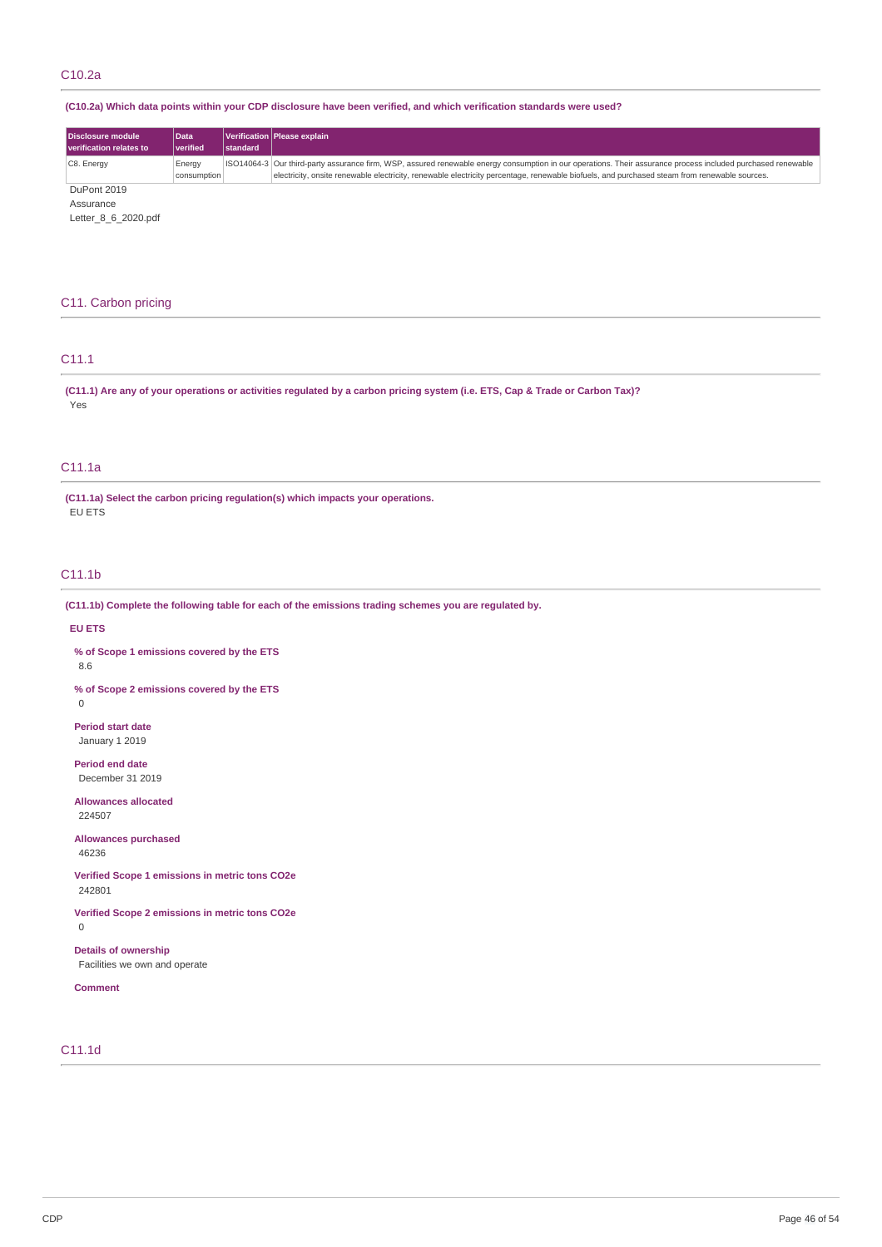# C10.2a

# (C10.2a) Which data points within your CDP disclosure have been verified, and which verification standards were used?

| Disclosure module<br>verification relates to | <b>Data</b><br>l verified | <b>Istandard</b> | Verification Please explain                                                                                                                                                                                                                                                                                  |
|----------------------------------------------|---------------------------|------------------|--------------------------------------------------------------------------------------------------------------------------------------------------------------------------------------------------------------------------------------------------------------------------------------------------------------|
| C8. Energy                                   | Energy<br>consumption     |                  | ISO14064-3 Our third-party assurance firm, WSP, assured renewable energy consumption in our operations. Their assurance process included purchased renewable<br>electricity, onsite renewable electricity, renewable electricity percentage, renewable biofuels, and purchased steam from renewable sources. |
| DuPont 2019                                  |                           |                  |                                                                                                                                                                                                                                                                                                              |

Assurance

Letter\_8\_6\_2020.pdf

# C11. Carbon pricing

# C11.1

(C11.1) Are any of your operations or activities regulated by a carbon pricing system (i.e. ETS, Cap & Trade or Carbon Tax)? Yes

# C11.1a

**(C11.1a) Select the carbon pricing regulation(s) which impacts your operations.** EU ETS

# C11.1b

**(C11.1b) Complete the following table for each of the emissions trading schemes you are regulated by.**

## **EU ETS**

**% of Scope 1 emissions covered by the ETS** 8.6

**% of Scope 2 emissions covered by the ETS**  $\overline{0}$ 

**Period start date** January 1 2019

**Period end date** December 31 2019

**Allowances allocated** 224507

**Allowances purchased** 46236

**Verified Scope 1 emissions in metric tons CO2e** 242801

**Verified Scope 2 emissions in metric tons CO2e** 0

**Details of ownership** Facilities we own and operate

**Comment**

# C11.1d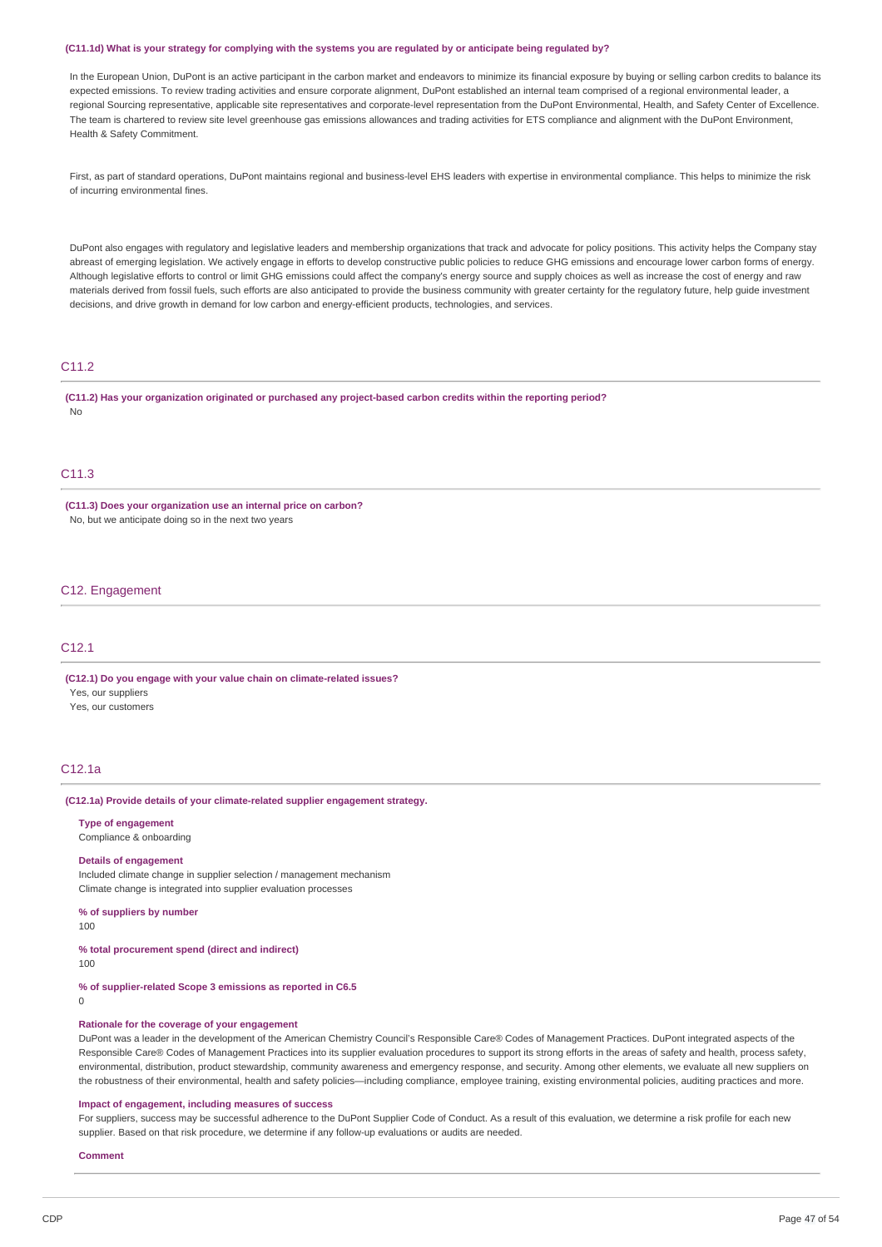#### (C11.1d) What is your strategy for complying with the systems you are regulated by or anticipate being regulated by?

In the European Union, DuPont is an active participant in the carbon market and endeavors to minimize its financial exposure by buying or selling carbon credits to balance its expected emissions. To review trading activities and ensure corporate alignment, DuPont established an internal team comprised of a regional environmental leader, a regional Sourcing representative, applicable site representatives and corporate-level representation from the DuPont Environmental, Health, and Safety Center of Excellence. The team is chartered to review site level greenhouse gas emissions allowances and trading activities for ETS compliance and alignment with the DuPont Environment, Health & Safety Commitment.

First, as part of standard operations, DuPont maintains regional and business-level EHS leaders with expertise in environmental compliance. This helps to minimize the risk of incurring environmental fines.

DuPont also engages with regulatory and legislative leaders and membership organizations that track and advocate for policy positions. This activity helps the Company stay abreast of emerging legislation. We actively engage in efforts to develop constructive public policies to reduce GHG emissions and encourage lower carbon forms of energy. Although legislative efforts to control or limit GHG emissions could affect the company's energy source and supply choices as well as increase the cost of energy and raw materials derived from fossil fuels, such efforts are also anticipated to provide the business community with greater certainty for the regulatory future, help guide investment decisions, and drive growth in demand for low carbon and energy-efficient products, technologies, and services.

# C11.2

**(C11.2) Has your organization originated or purchased any project-based carbon credits within the reporting period?** No

# C11.3

**(C11.3) Does your organization use an internal price on carbon?** No, but we anticipate doing so in the next two years

# C12. Engagement

# C12.1

**(C12.1) Do you engage with your value chain on climate-related issues?** Yes, our suppliers

Yes, our customers

# C12.1a

## **(C12.1a) Provide details of your climate-related supplier engagement strategy.**

**Type of engagement**

Compliance & onboarding

# **Details of engagement**

Included climate change in supplier selection / management mechanism Climate change is integrated into supplier evaluation processes

**% of suppliers by number**

100

**% total procurement spend (direct and indirect)**

100

**% of supplier-related Scope 3 emissions as reported in C6.5**

 $\Omega$ 

#### **Rationale for the coverage of your engagement**

DuPont was a leader in the development of the American Chemistry Council's Responsible Care® Codes of Management Practices. DuPont integrated aspects of the Responsible Care® Codes of Management Practices into its supplier evaluation procedures to support its strong efforts in the areas of safety and health, process safety, environmental, distribution, product stewardship, community awareness and emergency response, and security. Among other elements, we evaluate all new suppliers on the robustness of their environmental, health and safety policies—including compliance, employee training, existing environmental policies, auditing practices and more.

#### **Impact of engagement, including measures of success**

For suppliers, success may be successful adherence to the DuPont Supplier Code of Conduct. As a result of this evaluation, we determine a risk profile for each new supplier. Based on that risk procedure, we determine if any follow-up evaluations or audits are needed.

## **Comment**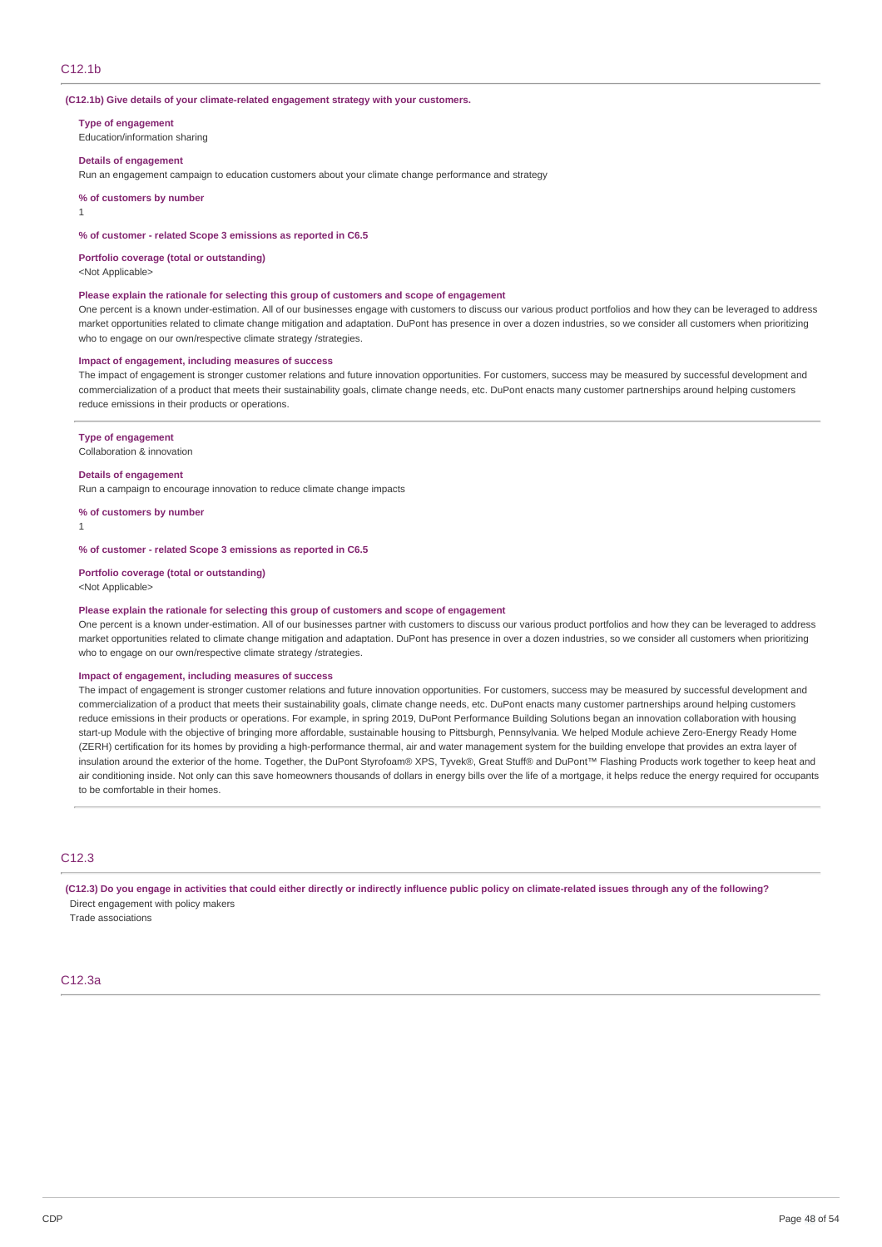#### **(C12.1b) Give details of your climate-related engagement strategy with your customers.**

**Type of engagement**

Education/information sharing

#### **Details of engagement**

Run an engagement campaign to education customers about your climate change performance and strategy

**% of customers by number**

1

#### **% of customer - related Scope 3 emissions as reported in C6.5**

**Portfolio coverage (total or outstanding)**

<Not Applicable>

#### **Please explain the rationale for selecting this group of customers and scope of engagement**

One percent is a known under-estimation. All of our businesses engage with customers to discuss our various product portfolios and how they can be leveraged to address market opportunities related to climate change mitigation and adaptation. DuPont has presence in over a dozen industries, so we consider all customers when prioritizing who to engage on our own/respective climate strategy /strategies.

## **Impact of engagement, including measures of success**

The impact of engagement is stronger customer relations and future innovation opportunities. For customers, success may be measured by successful development and commercialization of a product that meets their sustainability goals, climate change needs, etc. DuPont enacts many customer partnerships around helping customers reduce emissions in their products or operations.

#### **Type of engagement**

Collaboration & innovation

#### **Details of engagement**

Run a campaign to encourage innovation to reduce climate change impacts

**% of customers by number**

1

#### **% of customer - related Scope 3 emissions as reported in C6.5**

**Portfolio coverage (total or outstanding)**

<Not Applicable>

#### **Please explain the rationale for selecting this group of customers and scope of engagement**

One percent is a known under-estimation. All of our businesses partner with customers to discuss our various product portfolios and how they can be leveraged to address market opportunities related to climate change mitigation and adaptation. DuPont has presence in over a dozen industries, so we consider all customers when prioritizing who to engage on our own/respective climate strategy /strategies.

#### **Impact of engagement, including measures of success**

The impact of engagement is stronger customer relations and future innovation opportunities. For customers, success may be measured by successful development and commercialization of a product that meets their sustainability goals, climate change needs, etc. DuPont enacts many customer partnerships around helping customers reduce emissions in their products or operations. For example, in spring 2019, DuPont Performance Building Solutions began an innovation collaboration with housing start-up Module with the objective of bringing more affordable, sustainable housing to Pittsburgh, Pennsylvania. We helped Module achieve Zero-Energy Ready Home (ZERH) certification for its homes by providing a high-performance thermal, air and water management system for the building envelope that provides an extra layer of insulation around the exterior of the home. Together, the DuPont Styrofoam® XPS, Tyvek®, Great Stuff® and DuPont™ Flashing Products work together to keep heat and air conditioning inside. Not only can this save homeowners thousands of dollars in energy bills over the life of a mortgage, it helps reduce the energy required for occupants to be comfortable in their homes.

## $C12.3$

(C12.3) Do you engage in activities that could either directly or indirectly influence public policy on climate-related issues through any of the following? Direct engagement with policy makers

Trade associations

#### C12.3a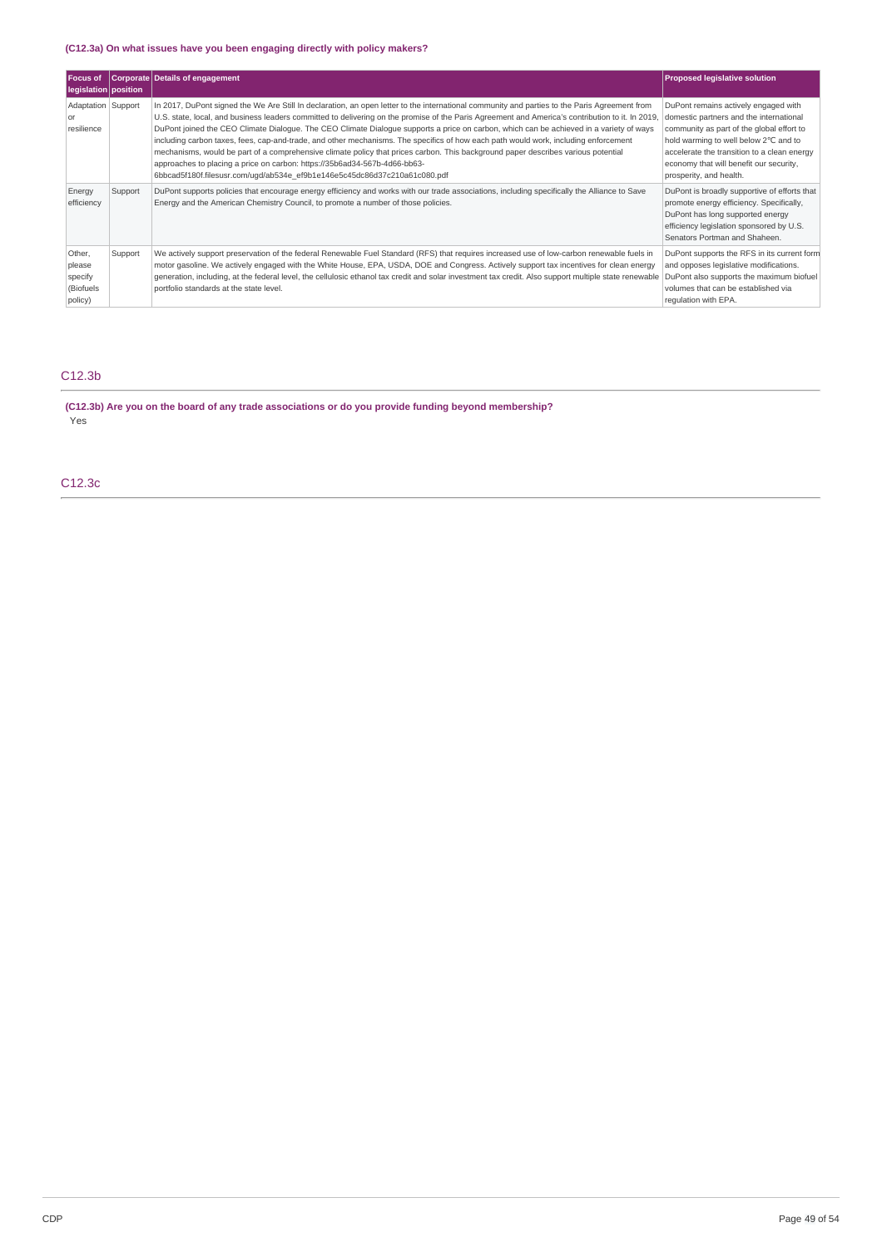# **(C12.3a) On what issues have you been engaging directly with policy makers?**

| <b>Focus of</b><br>legislation   position            |         | Corporate Details of engagement                                                                                                                                                                                                                                                                                                                                                                                                                                                                                                                                                                                                                                                                                                                                                                                                                                                    | <b>Proposed legislative solution</b>                                                                                                                                                                                                                                                       |
|------------------------------------------------------|---------|------------------------------------------------------------------------------------------------------------------------------------------------------------------------------------------------------------------------------------------------------------------------------------------------------------------------------------------------------------------------------------------------------------------------------------------------------------------------------------------------------------------------------------------------------------------------------------------------------------------------------------------------------------------------------------------------------------------------------------------------------------------------------------------------------------------------------------------------------------------------------------|--------------------------------------------------------------------------------------------------------------------------------------------------------------------------------------------------------------------------------------------------------------------------------------------|
| Adaptation Support<br><sub>or</sub><br>resilience    |         | In 2017, DuPont signed the We Are Still In declaration, an open letter to the international community and parties to the Paris Agreement from<br>U.S. state, local, and business leaders committed to delivering on the promise of the Paris Agreement and America's contribution to it. In 2019,<br>DuPont joined the CEO Climate Dialoque. The CEO Climate Dialoque supports a price on carbon, which can be achieved in a variety of ways<br>including carbon taxes, fees, cap-and-trade, and other mechanisms. The specifics of how each path would work, including enforcement<br>mechanisms, would be part of a comprehensive climate policy that prices carbon. This background paper describes various potential<br>approaches to placing a price on carbon: https://35b6ad34-567b-4d66-bb63-<br>6bbcad5f180f.filesusr.com/uqd/ab534e ef9b1e146e5c45dc86d37c210a61c080.pdf | DuPont remains actively engaged with<br>domestic partners and the international<br>community as part of the global effort to<br>hold warming to well below 2°C and to<br>accelerate the transition to a clean energy<br>economy that will benefit our security,<br>prosperity, and health. |
| Energy<br>efficiency                                 | Support | DuPont supports policies that encourage energy efficiency and works with our trade associations, including specifically the Alliance to Save<br>Energy and the American Chemistry Council, to promote a number of those policies.                                                                                                                                                                                                                                                                                                                                                                                                                                                                                                                                                                                                                                                  | DuPont is broadly supportive of efforts that<br>promote energy efficiency. Specifically,<br>DuPont has long supported energy<br>efficiency legislation sponsored by U.S.<br>Senators Portman and Shaheen.                                                                                  |
| Other,<br>please<br>specify<br>(Biofuels)<br>policy) | Support | We actively support preservation of the federal Renewable Fuel Standard (RFS) that requires increased use of low-carbon renewable fuels in<br>motor gasoline. We actively engaged with the White House, EPA, USDA, DOE and Congress. Actively support tax incentives for clean energy<br>generation, including, at the federal level, the cellulosic ethanol tax credit and solar investment tax credit. Also support multiple state renewable<br>portfolio standards at the state level.                                                                                                                                                                                                                                                                                                                                                                                          | DuPont supports the RFS in its current form<br>and opposes legislative modifications.<br>DuPont also supports the maximum biofuel<br>volumes that can be established via<br>requlation with EPA.                                                                                           |

# C12.3b

**(C12.3b) Are you on the board of any trade associations or do you provide funding beyond membership?** Yes

C12.3c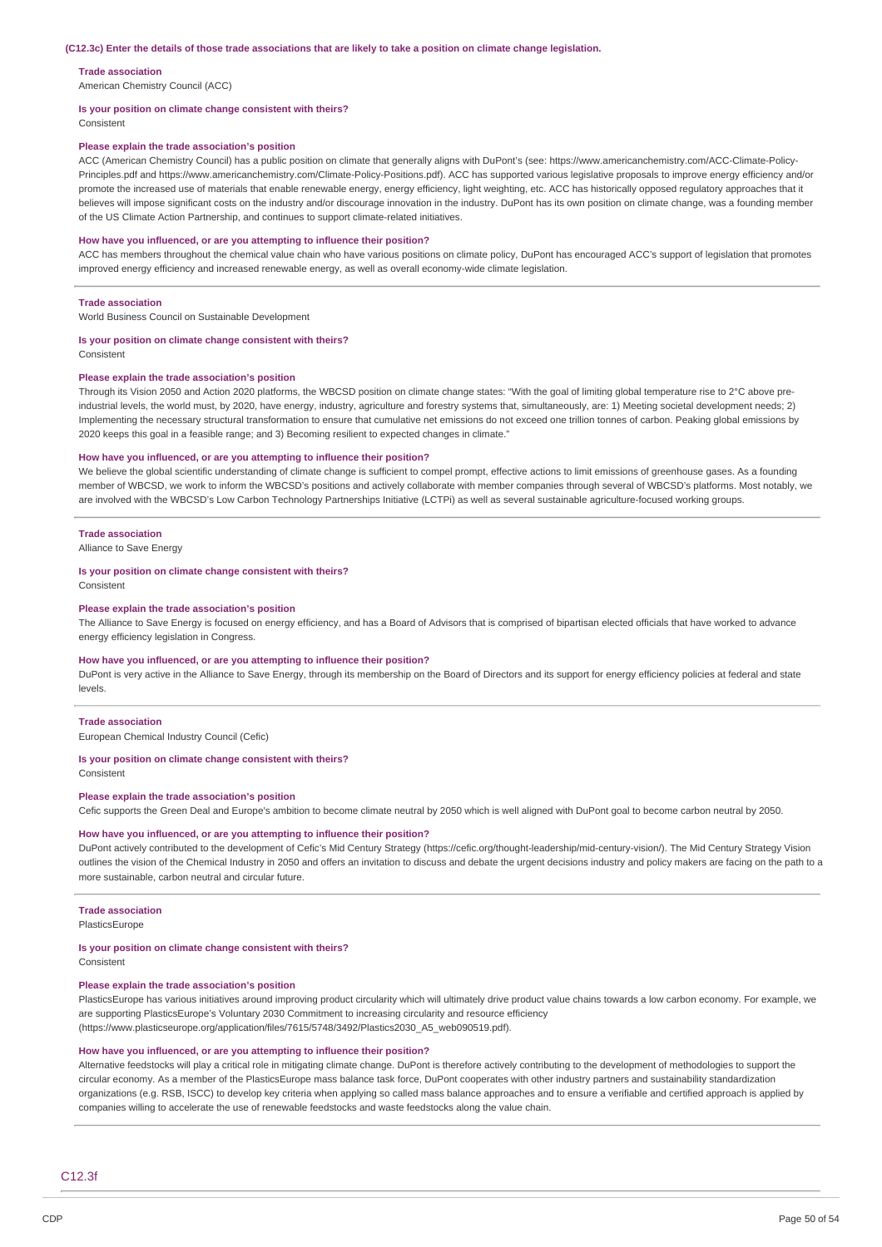#### **Trade association**

American Chemistry Council (ACC)

#### **Is your position on climate change consistent with theirs?**

Consistent

#### **Please explain the trade association's position**

ACC (American Chemistry Council) has a public position on climate that generally aligns with DuPont's (see: https://www.americanchemistry.com/ACC-Climate-Policy-Principles.pdf and https://www.americanchemistry.com/Climate-Policy-Positions.pdf). ACC has supported various legislative proposals to improve energy efficiency and/or promote the increased use of materials that enable renewable energy, energy efficiency, light weighting, etc. ACC has historically opposed regulatory approaches that it believes will impose significant costs on the industry and/or discourage innovation in the industry. DuPont has its own position on climate change, was a founding member of the US Climate Action Partnership, and continues to support climate-related initiatives.

#### **How have you influenced, or are you attempting to influence their position?**

ACC has members throughout the chemical value chain who have various positions on climate policy, DuPont has encouraged ACC's support of legislation that promotes improved energy efficiency and increased renewable energy, as well as overall economy-wide climate legislation.

#### **Trade association**

World Business Council on Sustainable Development

#### **Is your position on climate change consistent with theirs?**

Consistent

#### **Please explain the trade association's position**

Through its Vision 2050 and Action 2020 platforms, the WBCSD position on climate change states: "With the goal of limiting global temperature rise to 2°C above preindustrial levels, the world must, by 2020, have energy, industry, agriculture and forestry systems that, simultaneously, are: 1) Meeting societal development needs; 2) Implementing the necessary structural transformation to ensure that cumulative net emissions do not exceed one trillion tonnes of carbon. Peaking global emissions by 2020 keeps this goal in a feasible range; and 3) Becoming resilient to expected changes in climate."

#### **How have you influenced, or are you attempting to influence their position?**

We believe the global scientific understanding of climate change is sufficient to compel prompt, effective actions to limit emissions of greenhouse gases. As a founding member of WBCSD, we work to inform the WBCSD's positions and actively collaborate with member companies through several of WBCSD's platforms. Most notably, we are involved with the WBCSD's Low Carbon Technology Partnerships Initiative (LCTPi) as well as several sustainable agriculture-focused working groups.

#### **Trade association**

Alliance to Save Energy

#### **Is your position on climate change consistent with theirs?**

Consistent

#### **Please explain the trade association's position**

The Alliance to Save Energy is focused on energy efficiency, and has a Board of Advisors that is comprised of bipartisan elected officials that have worked to advance energy efficiency legislation in Congress.

#### **How have you influenced, or are you attempting to influence their position?**

DuPont is very active in the Alliance to Save Energy, through its membership on the Board of Directors and its support for energy efficiency policies at federal and state levels.

#### **Trade association**

European Chemical Industry Council (Cefic)

#### **Is your position on climate change consistent with theirs?**

Consistent

#### **Please explain the trade association's position**

Cefic supports the Green Deal and Europe's ambition to become climate neutral by 2050 which is well aligned with DuPont goal to become carbon neutral by 2050.

#### **How have you influenced, or are you attempting to influence their position?**

DuPont actively contributed to the development of Cefic's Mid Century Strategy (https://cefic.org/thought-leadership/mid-century-vision/). The Mid Century Strategy Vision outlines the vision of the Chemical Industry in 2050 and offers an invitation to discuss and debate the urgent decisions industry and policy makers are facing on the path to a more sustainable, carbon neutral and circular future.

#### **Trade association**

PlasticsEurope

#### **Is your position on climate change consistent with theirs?**

Consistent

#### **Please explain the trade association's position**

PlasticsEurope has various initiatives around improving product circularity which will ultimately drive product value chains towards a low carbon economy. For example, we are supporting PlasticsEurope's Voluntary 2030 Commitment to increasing circularity and resource efficiency (https://www.plasticseurope.org/application/files/7615/5748/3492/Plastics2030\_A5\_web090519.pdf).

#### **How have you influenced, or are you attempting to influence their position?**

Alternative feedstocks will play a critical role in mitigating climate change. DuPont is therefore actively contributing to the development of methodologies to support the circular economy. As a member of the PlasticsEurope mass balance task force, DuPont cooperates with other industry partners and sustainability standardization organizations (e.g. RSB, ISCC) to develop key criteria when applying so called mass balance approaches and to ensure a verifiable and certified approach is applied by companies willing to accelerate the use of renewable feedstocks and waste feedstocks along the value chain.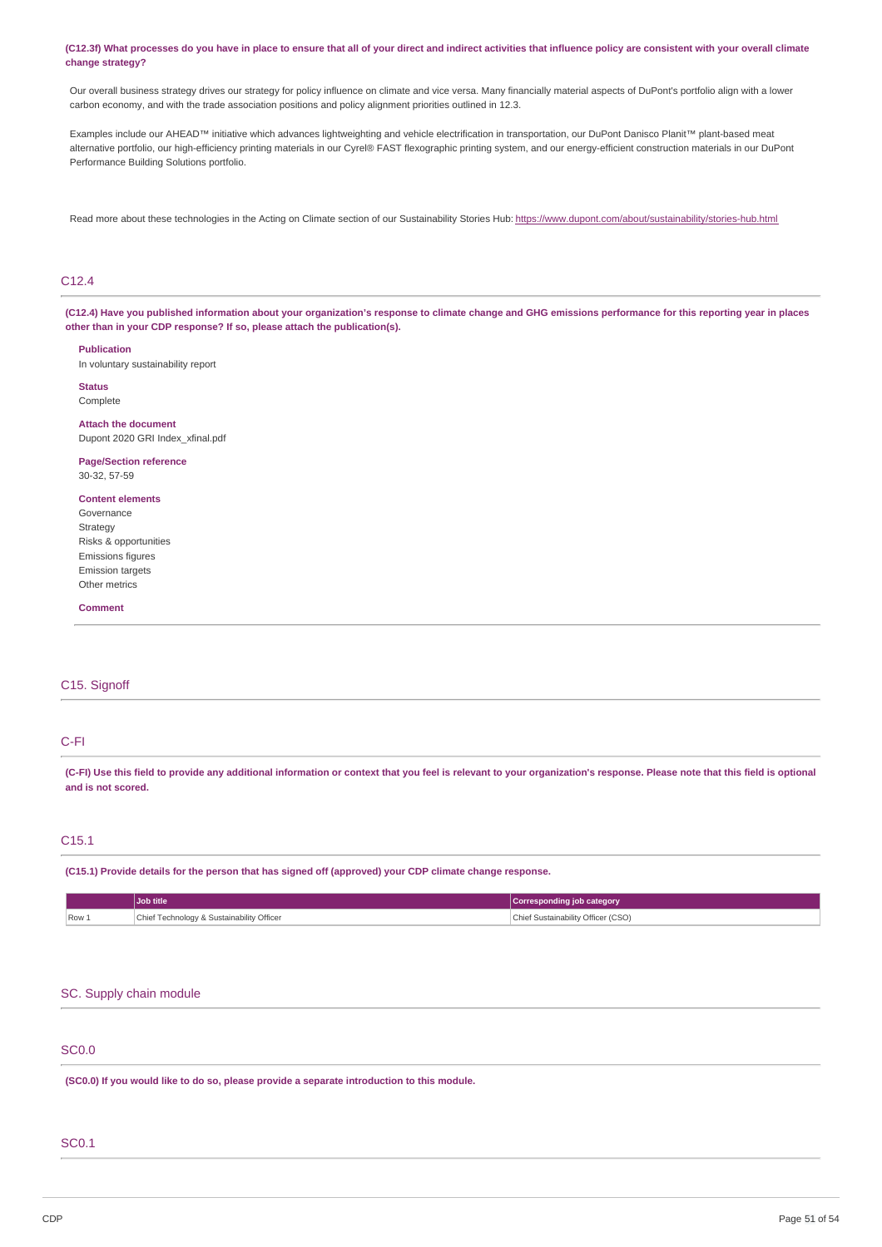#### (C12.3f) What processes do you have in place to ensure that all of your direct and indirect activities that influence policy are consistent with your overall climate **change strategy?**

Our overall business strategy drives our strategy for policy influence on climate and vice versa. Many financially material aspects of DuPont's portfolio align with a lower carbon economy, and with the trade association positions and policy alignment priorities outlined in 12.3.

Examples include our AHEAD™ initiative which advances lightweighting and vehicle electrification in transportation, our DuPont Danisco Planit™ plant-based meat alternative portfolio, our high-efficiency printing materials in our Cyrel® FAST flexographic printing system, and our energy-efficient construction materials in our DuPont Performance Building Solutions portfolio.

Read more about these technologies in the Acting on Climate section of our Sustainability Stories Hub: [https://www.dupont.com/about/sustainability/stories-hub.html](https://www.dupont.com/about/sustainability/stories-hub.html.html)

# C12.4

(C12.4) Have you published information about your organization's response to climate change and GHG emissions performance for this reporting year in places **other than in your CDP response? If so, please attach the publication(s).**

**Publication**

In voluntary sustainability report

**Status** Complete

**Attach the document** Dupont 2020 GRI Index\_xfinal.pdf

**Page/Section reference** 30-32, 57-59

# **Content elements**

Governance Strategy Risks & opportunities Emissions figures Emission targets Other metrics

**Comment**

## C15. Signoff

# C-FI

(C-FI) Use this field to provide any additional information or context that you feel is relevant to your organization's response. Please note that this field is optional **and is not scored.**

# C15.1

**(C15.1) Provide details for the person that has signed off (approved) your CDP climate change response.**

|         | Job title                                 | Corresponding job category         |
|---------|-------------------------------------------|------------------------------------|
| $Row_1$ | Chief Technology & Sustainability Officer | Chief Sustainability Officer (CSO) |

# SC. Supply chain module

# SC0.0

**(SC0.0) If you would like to do so, please provide a separate introduction to this module.**

# SC0.1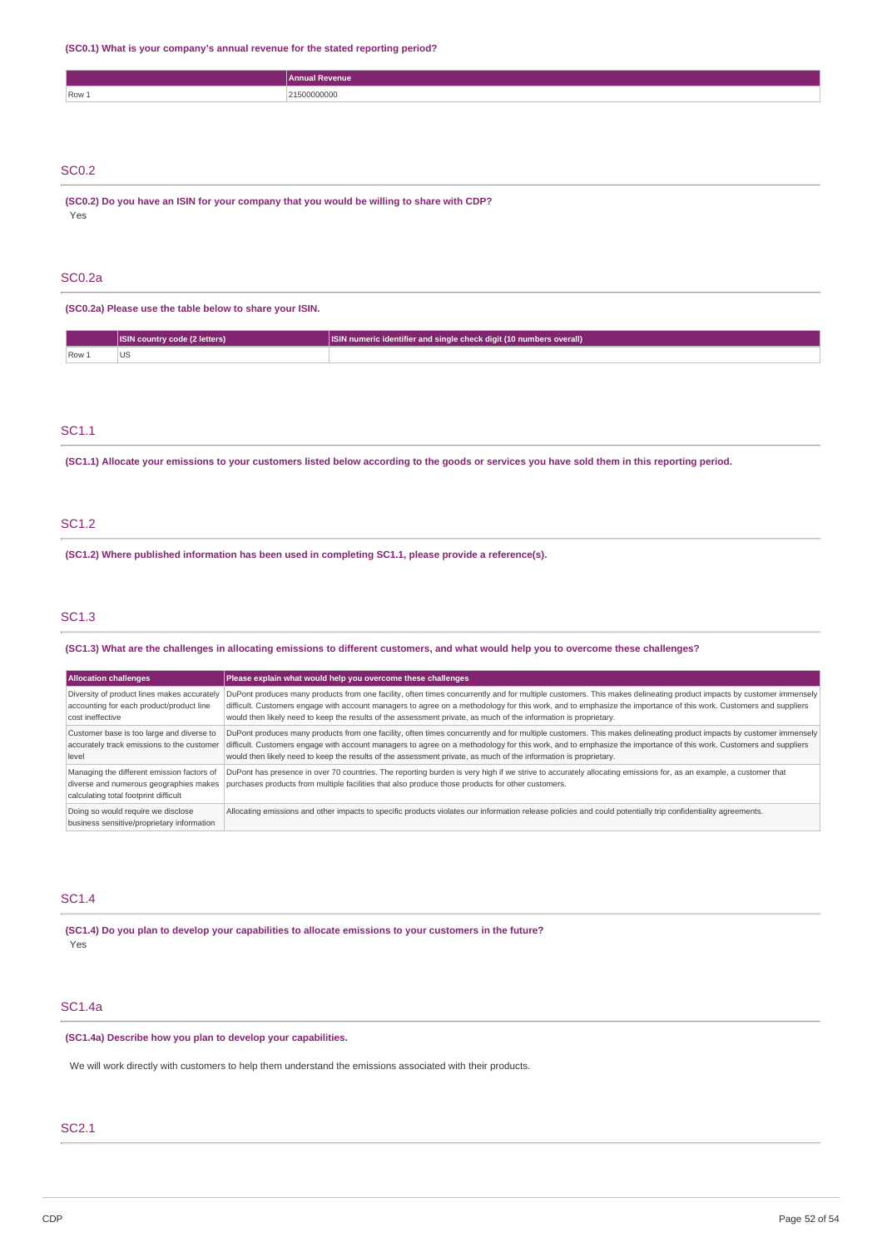**(SC0.1) What is your company's annual revenue for the stated reporting period?**

|       | Annual Revenue |
|-------|----------------|
| Row 1 | 21500000000    |
|       |                |
|       |                |
|       |                |

# SC0.2

**(SC0.2) Do you have an ISIN for your company that you would be willing to share with CDP?** Yes

## SC0.2a

**(SC0.2a) Please use the table below to share your ISIN.**

|       | ا (2 letters)<br><b>ISIN country</b> | SIN numeric identifier and single check digit (10 numbers overall) |
|-------|--------------------------------------|--------------------------------------------------------------------|
| Row 1 | US                                   |                                                                    |

# SC1.1

(SC1.1) Allocate your emissions to your customers listed below according to the goods or services you have sold them in this reporting period.

# SC1.2

**(SC1.2) Where published information has been used in completing SC1.1, please provide a reference(s).**

# SC1.3

(SC1.3) What are the challenges in allocating emissions to different customers, and what would help you to overcome these challenges?

| <b>Allocation challenges</b>                                                                                                  | Please explain what would help you overcome these challenges                                                                                                                                                                                                                                                                                                                                                                                               |
|-------------------------------------------------------------------------------------------------------------------------------|------------------------------------------------------------------------------------------------------------------------------------------------------------------------------------------------------------------------------------------------------------------------------------------------------------------------------------------------------------------------------------------------------------------------------------------------------------|
| Diversity of product lines makes accurately<br>accounting for each product/product line<br>cost ineffective                   | DuPont produces many products from one facility, often times concurrently and for multiple customers. This makes delineating product impacts by customer immensely<br>difficult. Customers engage with account managers to agree on a methodology for this work, and to emphasize the importance of this work. Customers and suppliers<br>would then likely need to keep the results of the assessment private, as much of the information is proprietary. |
| Customer base is too large and diverse to<br>accurately track emissions to the customer<br>level                              | DuPont produces many products from one facility, often times concurrently and for multiple customers. This makes delineating product impacts by customer immensely<br>difficult. Customers engage with account managers to agree on a methodology for this work, and to emphasize the importance of this work. Customers and suppliers<br>would then likely need to keep the results of the assessment private, as much of the information is proprietary. |
| Managing the different emission factors of<br>diverse and numerous geographies makes<br>calculating total footprint difficult | DuPont has presence in over 70 countries. The reporting burden is very high if we strive to accurately allocating emissions for, as an example, a customer that<br>purchases products from multiple facilities that also produce those products for other customers.                                                                                                                                                                                       |
| Doing so would require we disclose<br>business sensitive/proprietary information                                              | Allocating emissions and other impacts to specific products violates our information release policies and could potentially trip confidentiality agreements.                                                                                                                                                                                                                                                                                               |

# SC1.4

**(SC1.4) Do you plan to develop your capabilities to allocate emissions to your customers in the future?** Yes

# SC1.4a

**(SC1.4a) Describe how you plan to develop your capabilities.**

We will work directly with customers to help them understand the emissions associated with their products.

# SC2.1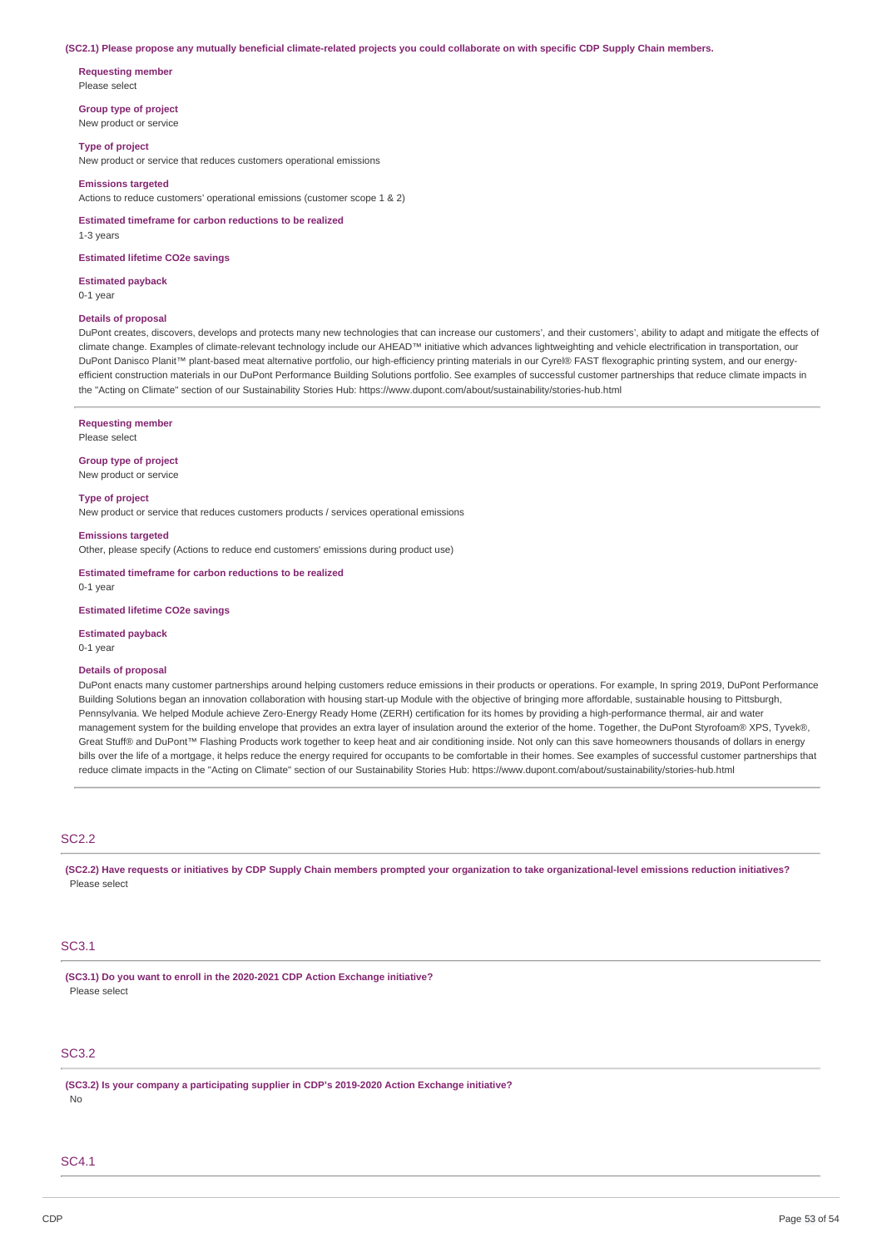#### (SC2.1) Please propose any mutually beneficial climate-related projects you could collaborate on with specific CDP Supply Chain members.

**Requesting member** Please select

**Group type of project** New product or service

**Type of project**

New product or service that reduces customers operational emissions

#### **Emissions targeted**

Actions to reduce customers' operational emissions (customer scope 1 & 2)

**Estimated timeframe for carbon reductions to be realized** 1-3 years

#### **Estimated lifetime CO2e savings**

**Estimated payback** 0-1 year

# **Details of proposal**

DuPont creates, discovers, develops and protects many new technologies that can increase our customers', and their customers', ability to adapt and mitigate the effects of climate change. Examples of climate-relevant technology include our AHEAD™ initiative which advances lightweighting and vehicle electrification in transportation, our DuPont Danisco Planit™ plant-based meat alternative portfolio, our high-efficiency printing materials in our Cyrel® FAST flexographic printing system, and our energyefficient construction materials in our DuPont Performance Building Solutions portfolio. See examples of successful customer partnerships that reduce climate impacts in the "Acting on Climate" section of our Sustainability Stories Hub: https://www.dupont.com/about/sustainability/stories-hub.html

#### **Requesting member**

Please select

## **Group type of project**

New product or service

#### **Type of project**

New product or service that reduces customers products / services operational emissions

#### **Emissions targeted**

Other, please specify (Actions to reduce end customers' emissions during product use)

**Estimated timeframe for carbon reductions to be realized**

0-1 year

**Estimated lifetime CO2e savings**

#### **Estimated payback**

0-1 year

## **Details of proposal**

DuPont enacts many customer partnerships around helping customers reduce emissions in their products or operations. For example, In spring 2019, DuPont Performance Building Solutions began an innovation collaboration with housing start-up Module with the objective of bringing more affordable, sustainable housing to Pittsburgh, Pennsylvania. We helped Module achieve Zero-Energy Ready Home (ZERH) certification for its homes by providing a high-performance thermal, air and water management system for the building envelope that provides an extra layer of insulation around the exterior of the home. Together, the DuPont Styrofoam® XPS, Tyvek®, Great Stuff® and DuPont™ Flashing Products work together to keep heat and air conditioning inside. Not only can this save homeowners thousands of dollars in energy bills over the life of a mortgage, it helps reduce the energy required for occupants to be comfortable in their homes. See examples of successful customer partnerships that reduce climate impacts in the "Acting on Climate" section of our Sustainability Stories Hub: https://www.dupont.com/about/sustainability/stories-hub.html

# SC<sub>2.2</sub>

(SC2.2) Have requests or initiatives by CDP Supply Chain members prompted your organization to take organizational-level emissions reduction initiatives? Please select

# SC3.1

**(SC3.1) Do you want to enroll in the 2020-2021 CDP Action Exchange initiative?** Please select

# SC3.2

**(SC3.2) Is your company a participating supplier in CDP's 2019-2020 Action Exchange initiative?**

No

# SC4.1